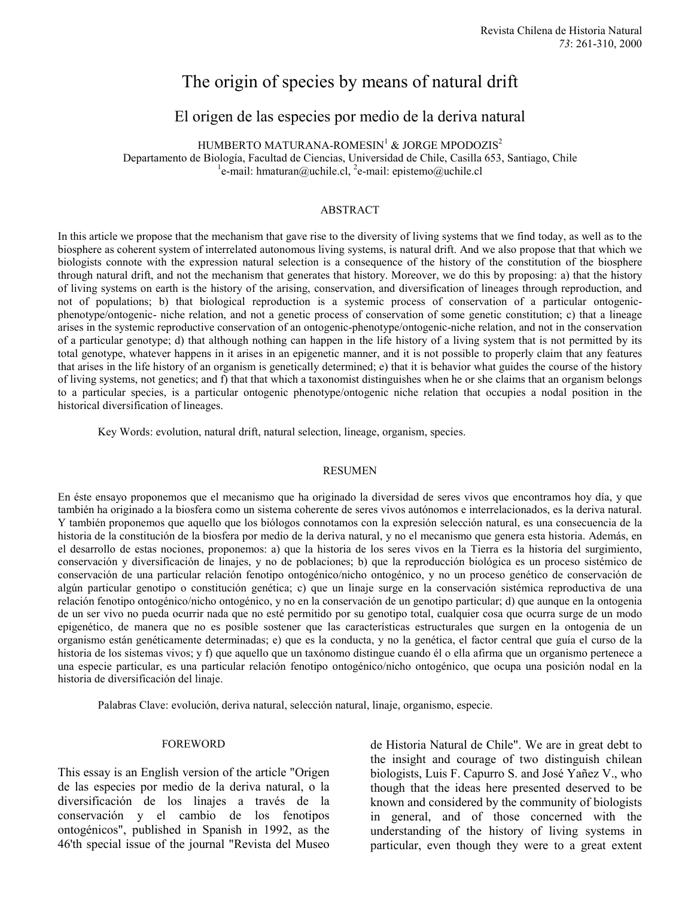# The origin of species by means of natural drift

# El origen de las especies por medio de la deriva natural

HUMBERTO MATURANA-ROMESIN<sup>1</sup> & JORGE MPODOZIS<sup>2</sup>

Departamento de Biología, Facultad de Ciencias, Universidad de Chile, Casilla 653, Santiago, Chile <sup>1</sup> e-mail: hmaturan@uchile.cl, <sup>2</sup>e-mail: epistemo@uchile.cl

#### ABSTRACT

In this article we propose that the mechanism that gave rise to the diversity of living systems that we find today, as well as to the biosphere as coherent system of interrelated autonomous living systems, is natural drift. And we also propose that that which we biologists connote with the expression natural selection is a consequence of the history of the constitution of the biosphere through natural drift, and not the mechanism that generates that history. Moreover, we do this by proposing: a) that the history of living systems on earth is the history of the arising, conservation, and diversification of lineages through reproduction, and not of populations; b) that biological reproduction is a systemic process of conservation of a particular ontogenicphenotype/ontogenic- niche relation, and not a genetic process of conservation of some genetic constitution; c) that a lineage arises in the systemic reproductive conservation of an ontogenic-phenotype/ontogenic-niche relation, and not in the conservation of a particular genotype; d) that although nothing can happen in the life history of a living system that is not permitted by its total genotype, whatever happens in it arises in an epigenetic manner, and it is not possible to properly claim that any features that arises in the life history of an organism is genetically determined; e) that it is behavior what guides the course of the history of living systems, not genetics; and f) that that which a taxonomist distinguishes when he or she claims that an organism belongs to a particular species, is a particular ontogenic phenotype/ontogenic niche relation that occupies a nodal position in the historical diversification of lineages.

Key Words: evolution, natural drift, natural selection, lineage, organism, species.

#### RESUMEN

En éste ensayo proponemos que el mecanismo que ha originado la diversidad de seres vivos que encontramos hoy día, y que también ha originado a la biosfera como un sistema coherente de seres vivos autónomos e interrelacionados, es la deriva natural. Y también proponemos que aquello que los biólogos connotamos con la expresión selección natural, es una consecuencia de la historia de la constitución de la biosfera por medio de la deriva natural, y no el mecanismo que genera esta historia. Además, en el desarrollo de estas nociones, proponemos: a) que la historia de los seres vivos en la Tierra es la historia del surgimiento, conservación y diversificación de linajes, y no de poblaciones; b) que la reproducción biológica es un proceso sistémico de conservación de una particular relación fenotipo ontogénico/nicho ontogénico, y no un proceso genético de conservación de algún particular genotipo o constitución genética; c) que un linaje surge en la conservación sistémica reproductiva de una relación fenotipo ontogénico/nicho ontogénico, y no en la conservación de un genotipo particular; d) que aunque en la ontogenia de un ser vivo no pueda ocurrir nada que no esté permitido por su genotipo total, cualquier cosa que ocurra surge de un modo epigenético, de manera que no es posible sostener que las características estructurales que surgen en la ontogenia de un organismo están genéticamente determinadas; e) que es la conducta, y no la genética, el factor central que guía el curso de la historia de los sistemas vivos; y f) que aquello que un taxónomo distingue cuando él o ella afirma que un organismo pertenece a una especie particular, es una particular relación fenotipo ontogénico/nicho ontogénico, que ocupa una posición nodal en la historia de diversificación del linaje.

Palabras Clave: evolución, deriva natural, selección natural, linaje, organismo, especie.

#### FOREWORD

This essay is an English version of the article "Origen de las especies por medio de la deriva natural, o la diversificación de los linajes a través de la conservación y el cambio de los fenotipos ontogénicos", published in Spanish in 1992, as the 46'th special issue of the journal "Revista del Museo

de Historia Natural de Chile". We are in great debt to the insight and courage of two distinguish chilean biologists, Luis F. Capurro S. and José Yañez V., who though that the ideas here presented deserved to be known and considered by the community of biologists in general, and of those concerned with the understanding of the history of living systems in particular, even though they were to a great extent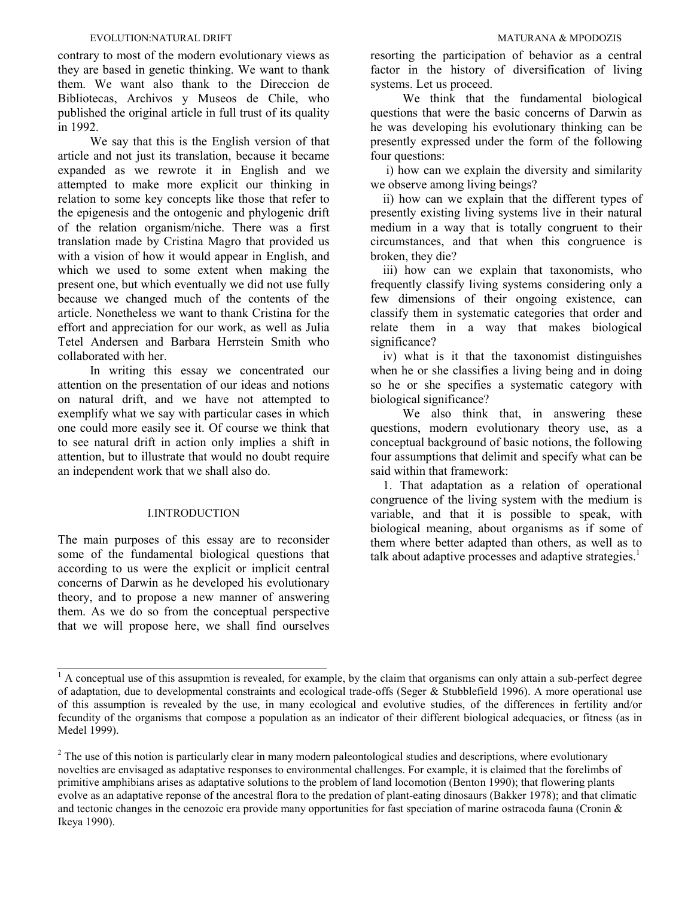contrary to most of the modern evolutionary views as they are based in genetic thinking. We want to thank them. We want also thank to the Direccion de Bibliotecas, Archivos y Museos de Chile, who published the original article in full trust of its quality in 1992.

We say that this is the English version of that article and not just its translation, because it became expanded as we rewrote it in English and we attempted to make more explicit our thinking in relation to some key concepts like those that refer to the epigenesis and the ontogenic and phylogenic drift of the relation organism/niche. There was a first translation made by Cristina Magro that provided us with a vision of how it would appear in English, and which we used to some extent when making the present one, but which eventually we did not use fully because we changed much of the contents of the article. Nonetheless we want to thank Cristina for the effort and appreciation for our work, as well as Julia Tetel Andersen and Barbara Herrstein Smith who collaborated with her.

In writing this essay we concentrated our attention on the presentation of our ideas and notions on natural drift, and we have not attempted to exemplify what we say with particular cases in which one could more easily see it. Of course we think that to see natural drift in action only implies a shift in attention, but to illustrate that would no doubt require an independent work that we shall also do.

#### I.INTRODUCTION

The main purposes of this essay are to reconsider some of the fundamental biological questions that according to us were the explicit or implicit central concerns of Darwin as he developed his evolutionary theory, and to propose a new manner of answering them. As we do so from the conceptual perspective that we will propose here, we shall find ourselves

resorting the participation of behavior as a central factor in the history of diversification of living systems. Let us proceed.

We think that the fundamental biological questions that were the basic concerns of Darwin as he was developing his evolutionary thinking can be presently expressed under the form of the following four questions:

 i) how can we explain the diversity and similarity we observe among living beings?

 ii) how can we explain that the different types of presently existing living systems live in their natural medium in a way that is totally congruent to their circumstances, and that when this congruence is broken, they die?

 iii) how can we explain that taxonomists, who frequently classify living systems considering only a few dimensions of their ongoing existence, can classify them in systematic categories that order and relate them in a way that makes biological significance?

 iv) what is it that the taxonomist distinguishes when he or she classifies a living being and in doing so he or she specifies a systematic category with biological significance?

We also think that, in answering these questions, modern evolutionary theory use, as a conceptual background of basic notions, the following four assumptions that delimit and specify what can be said within that framework:

 1. That adaptation as a relation of operational congruence of the living system with the medium is variable, and that it is possible to speak, with biological meaning, about organisms as if some of them where better adapted than others, as well as to talk about adaptive processes and adaptive strategies.<sup>1</sup>

 $<sup>1</sup>$  A conceptual use of this assupmtion is revealed, for example, by the claim that organisms can only attain a sub-perfect degree</sup> of adaptation, due to developmental constraints and ecological trade-offs (Seger & Stubblefield 1996). A more operational use of this assumption is revealed by the use, in many ecological and evolutive studies, of the differences in fertility and/or fecundity of the organisms that compose a population as an indicator of their different biological adequacies, or fitness (as in Medel 1999).

 $2<sup>2</sup>$  The use of this notion is particularly clear in many modern paleontological studies and descriptions, where evolutionary novelties are envisaged as adaptative responses to environmental challenges. For example, it is claimed that the forelimbs of primitive amphibians arises as adaptative solutions to the problem of land locomotion (Benton 1990); that flowering plants evolve as an adaptative reponse of the ancestral flora to the predation of plant-eating dinosaurs (Bakker 1978); and that climatic and tectonic changes in the cenozoic era provide many opportunities for fast speciation of marine ostracoda fauna (Cronin  $\&$ Ikeya 1990).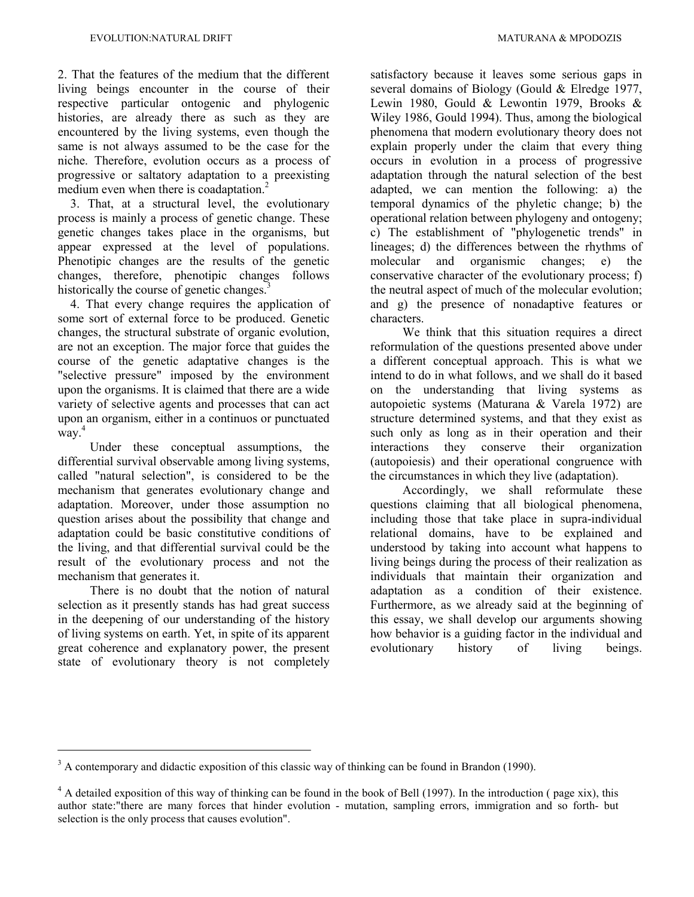2. That the features of the medium that the different living beings encounter in the course of their respective particular ontogenic and phylogenic histories, are already there as such as they are encountered by the living systems, even though the same is not always assumed to be the case for the niche. Therefore, evolution occurs as a process of progressive or saltatory adaptation to a preexisting medium even when there is coadaptation.<sup>2</sup>

 3. That, at a structural level, the evolutionary process is mainly a process of genetic change. These genetic changes takes place in the organisms, but appear expressed at the level of populations. Phenotipic changes are the results of the genetic changes, therefore, phenotipic changes follows historically the course of genetic changes.<sup>3</sup>

 4. That every change requires the application of some sort of external force to be produced. Genetic changes, the structural substrate of organic evolution, are not an exception. The major force that guides the course of the genetic adaptative changes is the "selective pressure" imposed by the environment upon the organisms. It is claimed that there are a wide variety of selective agents and processes that can act upon an organism, either in a continuos or punctuated way. 4

Under these conceptual assumptions, the differential survival observable among living systems, called "natural selection", is considered to be the mechanism that generates evolutionary change and adaptation. Moreover, under those assumption no question arises about the possibility that change and adaptation could be basic constitutive conditions of the living, and that differential survival could be the result of the evolutionary process and not the mechanism that generates it.

There is no doubt that the notion of natural selection as it presently stands has had great success in the deepening of our understanding of the history of living systems on earth. Yet, in spite of its apparent great coherence and explanatory power, the present state of evolutionary theory is not completely

satisfactory because it leaves some serious gaps in several domains of Biology (Gould & Elredge 1977, Lewin 1980, Gould & Lewontin 1979, Brooks  $\&$ Wiley 1986, Gould 1994). Thus, among the biological phenomena that modern evolutionary theory does not explain properly under the claim that every thing occurs in evolution in a process of progressive adaptation through the natural selection of the best adapted, we can mention the following: a) the temporal dynamics of the phyletic change; b) the operational relation between phylogeny and ontogeny; c) The establishment of "phylogenetic trends" in lineages; d) the differences between the rhythms of molecular and organismic changes; e) the conservative character of the evolutionary process; f) the neutral aspect of much of the molecular evolution; and g) the presence of nonadaptive features or characters.

We think that this situation requires a direct reformulation of the questions presented above under a different conceptual approach. This is what we intend to do in what follows, and we shall do it based on the understanding that living systems as autopoietic systems (Maturana & Varela 1972) are structure determined systems, and that they exist as such only as long as in their operation and their interactions they conserve their organization (autopoiesis) and their operational congruence with the circumstances in which they live (adaptation).

Accordingly, we shall reformulate these questions claiming that all biological phenomena, including those that take place in supra-individual relational domains, have to be explained and understood by taking into account what happens to living beings during the process of their realization as individuals that maintain their organization and adaptation as a condition of their existence. Furthermore, as we already said at the beginning of this essay, we shall develop our arguments showing how behavior is a guiding factor in the individual and evolutionary history of living beings.

 $3$  A contemporary and didactic exposition of this classic way of thinking can be found in Brandon (1990).

 $4 \text{ A detailed exposition of this way of thinking can be found in the book of Bell (1997). In the introduction (page xix), this$ author state:"there are many forces that hinder evolution - mutation, sampling errors, immigration and so forth- but selection is the only process that causes evolution".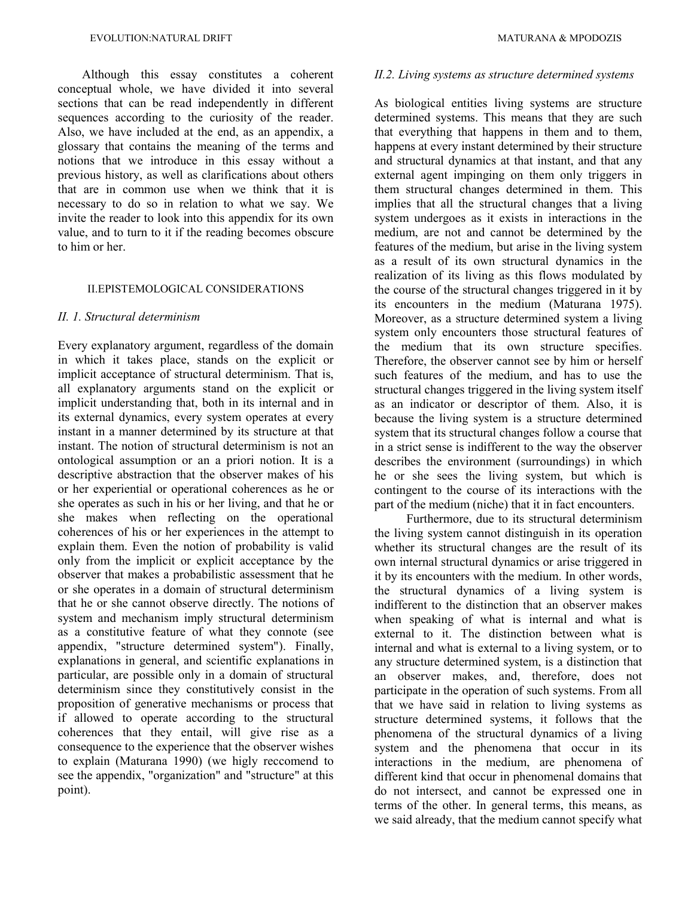Although this essay constitutes a coherent conceptual whole, we have divided it into several sections that can be read independently in different sequences according to the curiosity of the reader. Also, we have included at the end, as an appendix, a glossary that contains the meaning of the terms and notions that we introduce in this essay without a previous history, as well as clarifications about others that are in common use when we think that it is necessary to do so in relation to what we say. We invite the reader to look into this appendix for its own value, and to turn to it if the reading becomes obscure to him or her.

#### II.EPISTEMOLOGICAL CONSIDERATIONS

#### *II. 1. Structural determinism*

Every explanatory argument, regardless of the domain in which it takes place, stands on the explicit or implicit acceptance of structural determinism. That is, all explanatory arguments stand on the explicit or implicit understanding that, both in its internal and in its external dynamics, every system operates at every instant in a manner determined by its structure at that instant. The notion of structural determinism is not an ontological assumption or an a priori notion. It is a descriptive abstraction that the observer makes of his or her experiential or operational coherences as he or she operates as such in his or her living, and that he or she makes when reflecting on the operational coherences of his or her experiences in the attempt to explain them. Even the notion of probability is valid only from the implicit or explicit acceptance by the observer that makes a probabilistic assessment that he or she operates in a domain of structural determinism that he or she cannot observe directly. The notions of system and mechanism imply structural determinism as a constitutive feature of what they connote (see appendix, "structure determined system"). Finally, explanations in general, and scientific explanations in particular, are possible only in a domain of structural determinism since they constitutively consist in the proposition of generative mechanisms or process that if allowed to operate according to the structural coherences that they entail, will give rise as a consequence to the experience that the observer wishes to explain (Maturana 1990) (we higly reccomend to see the appendix, "organization" and "structure" at this point).

#### *II.2. Living systems as structure determined systems*

As biological entities living systems are structure determined systems. This means that they are such that everything that happens in them and to them, happens at every instant determined by their structure and structural dynamics at that instant, and that any external agent impinging on them only triggers in them structural changes determined in them. This implies that all the structural changes that a living system undergoes as it exists in interactions in the medium, are not and cannot be determined by the features of the medium, but arise in the living system as a result of its own structural dynamics in the realization of its living as this flows modulated by the course of the structural changes triggered in it by its encounters in the medium (Maturana 1975). Moreover, as a structure determined system a living system only encounters those structural features of the medium that its own structure specifies. Therefore, the observer cannot see by him or herself such features of the medium, and has to use the structural changes triggered in the living system itself as an indicator or descriptor of them. Also, it is because the living system is a structure determined system that its structural changes follow a course that in a strict sense is indifferent to the way the observer describes the environment (surroundings) in which he or she sees the living system, but which is contingent to the course of its interactions with the part of the medium (niche) that it in fact encounters.

Furthermore, due to its structural determinism the living system cannot distinguish in its operation whether its structural changes are the result of its own internal structural dynamics or arise triggered in it by its encounters with the medium. In other words, the structural dynamics of a living system is indifferent to the distinction that an observer makes when speaking of what is internal and what is external to it. The distinction between what is internal and what is external to a living system, or to any structure determined system, is a distinction that an observer makes, and, therefore, does not participate in the operation of such systems. From all that we have said in relation to living systems as structure determined systems, it follows that the phenomena of the structural dynamics of a living system and the phenomena that occur in its interactions in the medium, are phenomena of different kind that occur in phenomenal domains that do not intersect, and cannot be expressed one in terms of the other. In general terms, this means, as we said already, that the medium cannot specify what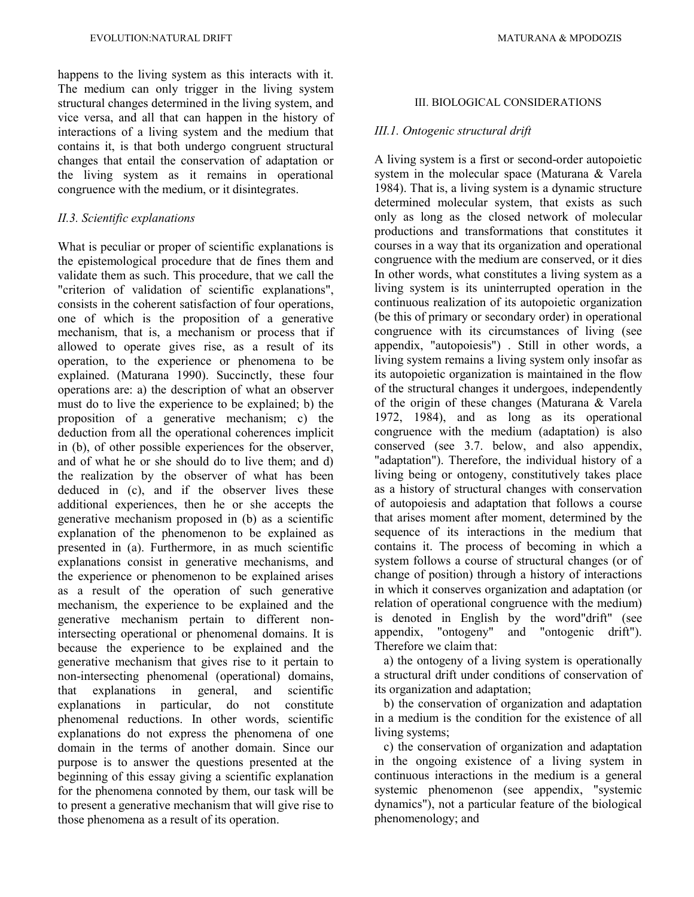happens to the living system as this interacts with it. The medium can only trigger in the living system structural changes determined in the living system, and vice versa, and all that can happen in the history of interactions of a living system and the medium that contains it, is that both undergo congruent structural changes that entail the conservation of adaptation or the living system as it remains in operational congruence with the medium, or it disintegrates.

# *II.3. Scientific explanations*

What is peculiar or proper of scientific explanations is the epistemological procedure that de fines them and validate them as such. This procedure, that we call the "criterion of validation of scientific explanations", consists in the coherent satisfaction of four operations, one of which is the proposition of a generative mechanism, that is, a mechanism or process that if allowed to operate gives rise, as a result of its operation, to the experience or phenomena to be explained. (Maturana 1990). Succinctly, these four operations are: a) the description of what an observer must do to live the experience to be explained; b) the proposition of a generative mechanism; c) the deduction from all the operational coherences implicit in (b), of other possible experiences for the observer, and of what he or she should do to live them; and d) the realization by the observer of what has been deduced in (c), and if the observer lives these additional experiences, then he or she accepts the generative mechanism proposed in (b) as a scientific explanation of the phenomenon to be explained as presented in (a). Furthermore, in as much scientific explanations consist in generative mechanisms, and the experience or phenomenon to be explained arises as a result of the operation of such generative mechanism, the experience to be explained and the generative mechanism pertain to different nonintersecting operational or phenomenal domains. It is because the experience to be explained and the generative mechanism that gives rise to it pertain to non-intersecting phenomenal (operational) domains, that explanations in general, and scientific explanations in particular, do not constitute phenomenal reductions. In other words, scientific explanations do not express the phenomena of one domain in the terms of another domain. Since our purpose is to answer the questions presented at the beginning of this essay giving a scientific explanation for the phenomena connoted by them, our task will be to present a generative mechanism that will give rise to those phenomena as a result of its operation.

# III. BIOLOGICAL CONSIDERATIONS

# *III.1. Ontogenic structural drift*

A living system is a first or second-order autopoietic system in the molecular space (Maturana & Varela 1984). That is, a living system is a dynamic structure determined molecular system, that exists as such only as long as the closed network of molecular productions and transformations that constitutes it courses in a way that its organization and operational congruence with the medium are conserved, or it dies In other words, what constitutes a living system as a living system is its uninterrupted operation in the continuous realization of its autopoietic organization (be this of primary or secondary order) in operational congruence with its circumstances of living (see appendix, "autopoiesis") . Still in other words, a living system remains a living system only insofar as its autopoietic organization is maintained in the flow of the structural changes it undergoes, independently of the origin of these changes (Maturana & Varela 1972, 1984), and as long as its operational congruence with the medium (adaptation) is also conserved (see 3.7. below, and also appendix, "adaptation"). Therefore, the individual history of a living being or ontogeny, constitutively takes place as a history of structural changes with conservation of autopoiesis and adaptation that follows a course that arises moment after moment, determined by the sequence of its interactions in the medium that contains it. The process of becoming in which a system follows a course of structural changes (or of change of position) through a history of interactions in which it conserves organization and adaptation (or relation of operational congruence with the medium) is denoted in English by the word"drift" (see appendix, "ontogeny" and "ontogenic drift"). Therefore we claim that:

 a) the ontogeny of a living system is operationally a structural drift under conditions of conservation of its organization and adaptation;

 b) the conservation of organization and adaptation in a medium is the condition for the existence of all living systems:

 c) the conservation of organization and adaptation in the ongoing existence of a living system in continuous interactions in the medium is a general systemic phenomenon (see appendix, "systemic dynamics"), not a particular feature of the biological phenomenology; and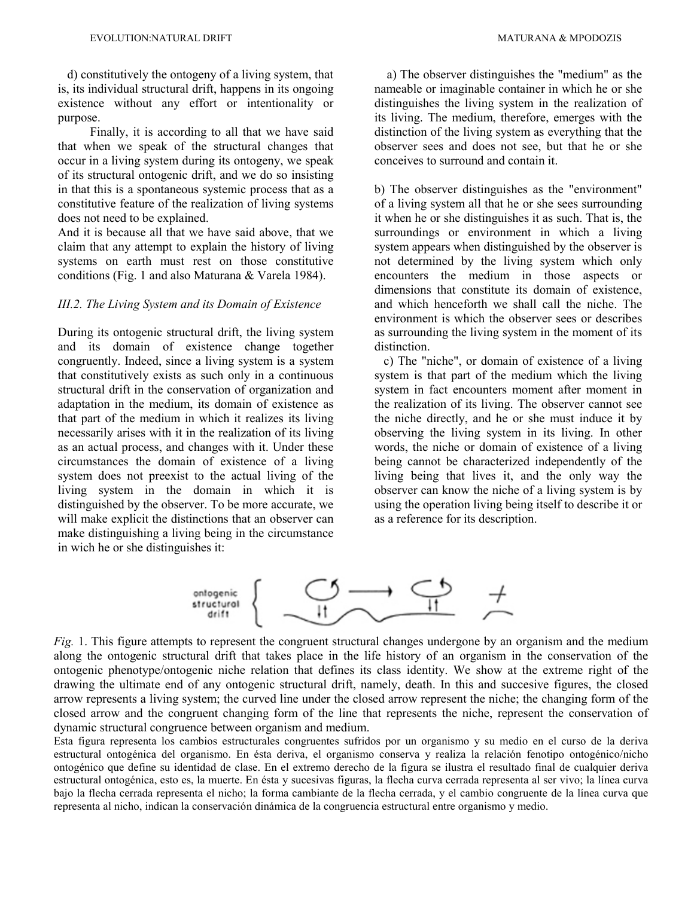d) constitutively the ontogeny of a living system, that is, its individual structural drift, happens in its ongoing existence without any effort or intentionality or purpose.

Finally, it is according to all that we have said that when we speak of the structural changes that occur in a living system during its ontogeny, we speak of its structural ontogenic drift, and we do so insisting in that this is a spontaneous systemic process that as a constitutive feature of the realization of living systems does not need to be explained.

And it is because all that we have said above, that we claim that any attempt to explain the history of living systems on earth must rest on those constitutive conditions (Fig. 1 and also Maturana & Varela 1984).

### *III.2. The Living System and its Domain of Existence*

During its ontogenic structural drift, the living system and its domain of existence change together congruently. Indeed, since a living system is a system that constitutively exists as such only in a continuous structural drift in the conservation of organization and adaptation in the medium, its domain of existence as that part of the medium in which it realizes its living necessarily arises with it in the realization of its living as an actual process, and changes with it. Under these circumstances the domain of existence of a living system does not preexist to the actual living of the living system in the domain in which it is distinguished by the observer. To be more accurate, we will make explicit the distinctions that an observer can make distinguishing a living being in the circumstance in wich he or she distinguishes it:

 a) The observer distinguishes the "medium" as the nameable or imaginable container in which he or she distinguishes the living system in the realization of its living. The medium, therefore, emerges with the distinction of the living system as everything that the observer sees and does not see, but that he or she conceives to surround and contain it.

b) The observer distinguishes as the "environment" of a living system all that he or she sees surrounding it when he or she distinguishes it as such. That is, the surroundings or environment in which a living system appears when distinguished by the observer is not determined by the living system which only encounters the medium in those aspects or dimensions that constitute its domain of existence, and which henceforth we shall call the niche. The environment is which the observer sees or describes as surrounding the living system in the moment of its distinction.

 c) The "niche", or domain of existence of a living system is that part of the medium which the living system in fact encounters moment after moment in the realization of its living. The observer cannot see the niche directly, and he or she must induce it by observing the living system in its living. In other words, the niche or domain of existence of a living being cannot be characterized independently of the living being that lives it, and the only way the observer can know the niche of a living system is by using the operation living being itself to describe it or as a reference for its description.



*Fig.* 1. This figure attempts to represent the congruent structural changes undergone by an organism and the medium along the ontogenic structural drift that takes place in the life history of an organism in the conservation of the ontogenic phenotype/ontogenic niche relation that defines its class identity. We show at the extreme right of the drawing the ultimate end of any ontogenic structural drift, namely, death. In this and succesive figures, the closed arrow represents a living system; the curved line under the closed arrow represent the niche; the changing form of the closed arrow and the congruent changing form of the line that represents the niche, represent the conservation of dynamic structural congruence between organism and medium.

Esta figura representa los cambios estructurales congruentes sufridos por un organismo y su medio en el curso de la deriva estructural ontogénica del organismo. En ésta deriva, el organismo conserva y realiza la relación fenotipo ontogénico/nicho ontogénico que define su identidad de clase. En el extremo derecho de la figura se ilustra el resultado final de cualquier deriva estructural ontogénica, esto es, la muerte. En ésta y sucesivas figuras, la flecha curva cerrada representa al ser vivo; la línea curva bajo la flecha cerrada representa el nicho; la forma cambiante de la flecha cerrada, y el cambio congruente de la línea curva que representa al nicho, indican la conservación dinámica de la congruencia estructural entre organismo y medio.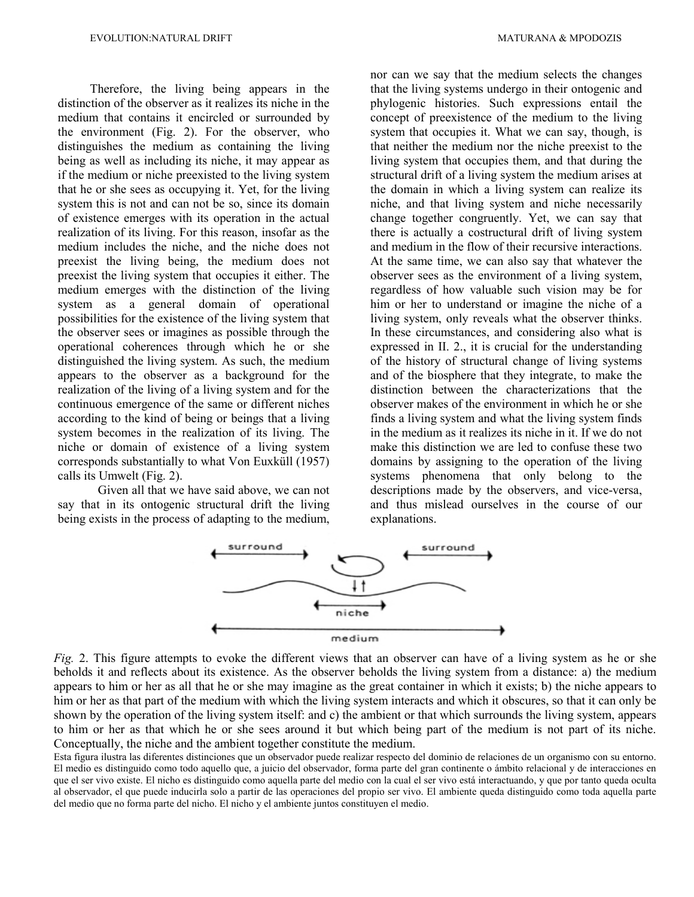Therefore, the living being appears in the distinction of the observer as it realizes its niche in the medium that contains it encircled or surrounded by the environment (Fig. 2). For the observer, who distinguishes the medium as containing the living being as well as including its niche, it may appear as if the medium or niche preexisted to the living system that he or she sees as occupying it. Yet, for the living system this is not and can not be so, since its domain of existence emerges with its operation in the actual realization of its living. For this reason, insofar as the medium includes the niche, and the niche does not preexist the living being, the medium does not preexist the living system that occupies it either. The medium emerges with the distinction of the living system as a general domain of operational possibilities for the existence of the living system that the observer sees or imagines as possible through the operational coherences through which he or she distinguished the living system. As such, the medium appears to the observer as a background for the realization of the living of a living system and for the continuous emergence of the same or different niches according to the kind of being or beings that a living system becomes in the realization of its living. The niche or domain of existence of a living system corresponds substantially to what Von Euxküll (1957) calls its Umwelt (Fig. 2).

Given all that we have said above, we can not say that in its ontogenic structural drift the living being exists in the process of adapting to the medium, nor can we say that the medium selects the changes that the living systems undergo in their ontogenic and phylogenic histories. Such expressions entail the concept of preexistence of the medium to the living system that occupies it. What we can say, though, is that neither the medium nor the niche preexist to the living system that occupies them, and that during the structural drift of a living system the medium arises at the domain in which a living system can realize its niche, and that living system and niche necessarily change together congruently. Yet, we can say that there is actually a costructural drift of living system and medium in the flow of their recursive interactions. At the same time, we can also say that whatever the observer sees as the environment of a living system, regardless of how valuable such vision may be for him or her to understand or imagine the niche of a living system, only reveals what the observer thinks. In these circumstances, and considering also what is expressed in II. 2., it is crucial for the understanding of the history of structural change of living systems and of the biosphere that they integrate, to make the distinction between the characterizations that the observer makes of the environment in which he or she finds a living system and what the living system finds in the medium as it realizes its niche in it. If we do not make this distinction we are led to confuse these two domains by assigning to the operation of the living systems phenomena that only belong to the descriptions made by the observers, and vice-versa, and thus mislead ourselves in the course of our explanations.



*Fig.* 2. This figure attempts to evoke the different views that an observer can have of a living system as he or she beholds it and reflects about its existence. As the observer beholds the living system from a distance: a) the medium appears to him or her as all that he or she may imagine as the great container in which it exists; b) the niche appears to him or her as that part of the medium with which the living system interacts and which it obscures, so that it can only be shown by the operation of the living system itself: and c) the ambient or that which surrounds the living system, appears to him or her as that which he or she sees around it but which being part of the medium is not part of its niche. Conceptually, the niche and the ambient together constitute the medium.

Esta figura ilustra las diferentes distinciones que un observador puede realizar respecto del dominio de relaciones de un organismo con su entorno. El medio es distinguido como todo aquello que, a juicio del observador, forma parte del gran continente o ámbito relacional y de interacciones en que el ser vivo existe. El nicho es distinguido como aquella parte del medio con la cual el ser vivo está interactuando, y que por tanto queda oculta al observador, el que puede inducirla solo a partir de las operaciones del propio ser vivo. El ambiente queda distinguido como toda aquella parte del medio que no forma parte del nicho. El nicho y el ambiente juntos constituyen el medio.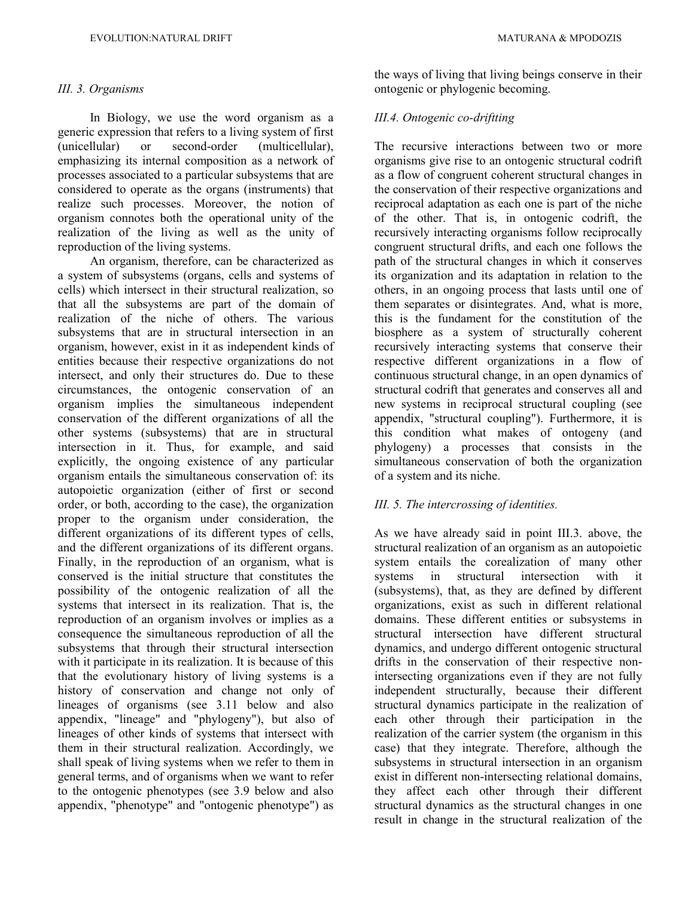### *III. 3. Organisms*

In Biology, we use the word organism as a generic expression that refers to a living system of first (unicellular) or second-order (multicellular), emphasizing its internal composition as a network of processes associated to a particular subsystems that are considered to operate as the organs (instruments) that realize such processes. Moreover, the notion of organism connotes both the operational unity of the realization of the living as well as the unity of reproduction of the living systems.

An organism, therefore, can be characterized as a system of subsystems (organs, cells and systems of cells) which intersect in their structural realization, so that all the subsystems are part of the domain of realization of the niche of others. The various subsystems that are in structural intersection in an organism, however, exist in it as independent kinds of entities because their respective organizations do not intersect, and only their structures do. Due to these circumstances, the ontogenic conservation of an organism implies the simultaneous independent conservation of the different organizations of all the other systems (subsystems) that are in structural intersection in it. Thus, for example, and said explicitly, the ongoing existence of any particular organism entails the simultaneous conservation of: its autopoietic organization (either of first or second order, or both, according to the case), the organization proper to the organism under consideration, the different organizations of its different types of cells, and the different organizations of its different organs. Finally, in the reproduction of an organism, what is conserved is the initial structure that constitutes the possibility of the ontogenic realization of all the systems that intersect in its realization. That is, the reproduction of an organism involves or implies as a consequence the simultaneous reproduction of all the subsystems that through their structural intersection with it participate in its realization. It is because of this that the evolutionary history of living systems is a history of conservation and change not only of lineages of organisms (see 3.11 below and also appendix, "lineage" and "phylogeny"), but also of lineages of other kinds of systems that intersect with them in their structural realization. Accordingly, we shall speak of living systems when we refer to them in general terms, and of organisms when we want to refer to the ontogenic phenotypes (see 3.9 below and also appendix, "phenotype" and "ontogenic phenotype") as

the ways of living that living beings conserve in their ontogenic or phylogenic becoming.

# *III.4. Ontogenic co-driftting*

The recursive interactions between two or more organisms give rise to an ontogenic structural codrift as a flow of congruent coherent structural changes in the conservation of their respective organizations and reciprocal adaptation as each one is part of the niche of the other. That is, in ontogenic codrift, the recursively interacting organisms follow reciprocally congruent structural drifts, and each one follows the path of the structural changes in which it conserves its organization and its adaptation in relation to the others, in an ongoing process that lasts until one of them separates or disintegrates. And, what is more, this is the fundament for the constitution of the biosphere as a system of structurally coherent recursively interacting systems that conserve their respective different organizations in a flow of continuous structural change, in an open dynamics of structural codrift that generates and conserves all and new systems in reciprocal structural coupling (see appendix, "structural coupling"). Furthermore, it is this condition what makes of ontogeny (and phylogeny) a processes that consists in the simultaneous conservation of both the organization of a system and its niche.

# *III. 5. The intercrossing of identities.*

As we have already said in point III.3. above, the structural realization of an organism as an autopoietic system entails the corealization of many other systems in structural intersection with it (subsystems), that, as they are defined by different organizations, exist as such in different relational domains. These different entities or subsystems in structural intersection have different structural dynamics, and undergo different ontogenic structural drifts in the conservation of their respective nonintersecting organizations even if they are not fully independent structurally, because their different structural dynamics participate in the realization of each other through their participation in the realization of the carrier system (the organism in this case) that they integrate. Therefore, although the subsystems in structural intersection in an organism exist in different non-intersecting relational domains, they affect each other through their different structural dynamics as the structural changes in one result in change in the structural realization of the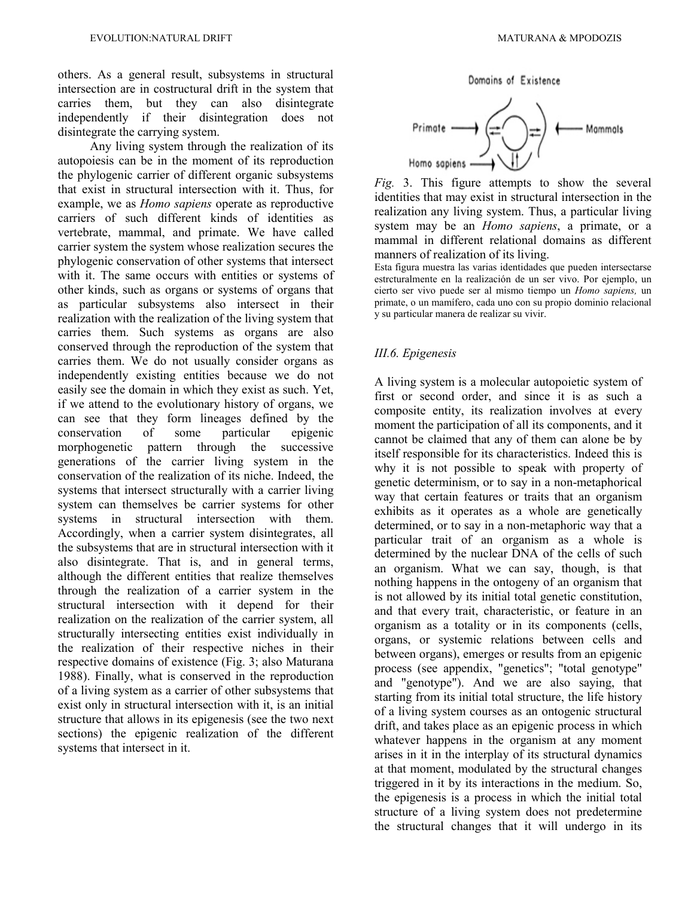others. As a general result, subsystems in structural intersection are in costructural drift in the system that carries them, but they can also disintegrate independently if their disintegration does not disintegrate the carrying system.

Any living system through the realization of its autopoiesis can be in the moment of its reproduction the phylogenic carrier of different organic subsystems that exist in structural intersection with it. Thus, for example, we as *Homo sapiens* operate as reproductive carriers of such different kinds of identities as vertebrate, mammal, and primate. We have called carrier system the system whose realization secures the phylogenic conservation of other systems that intersect with it. The same occurs with entities or systems of other kinds, such as organs or systems of organs that as particular subsystems also intersect in their realization with the realization of the living system that carries them. Such systems as organs are also conserved through the reproduction of the system that carries them. We do not usually consider organs as independently existing entities because we do not easily see the domain in which they exist as such. Yet, if we attend to the evolutionary history of organs, we can see that they form lineages defined by the conservation of some particular epigenic morphogenetic pattern through the successive generations of the carrier living system in the conservation of the realization of its niche. Indeed, the systems that intersect structurally with a carrier living system can themselves be carrier systems for other systems in structural intersection with them. Accordingly, when a carrier system disintegrates, all the subsystems that are in structural intersection with it also disintegrate. That is, and in general terms, although the different entities that realize themselves through the realization of a carrier system in the structural intersection with it depend for their realization on the realization of the carrier system, all structurally intersecting entities exist individually in the realization of their respective niches in their respective domains of existence (Fig. 3; also Maturana 1988). Finally, what is conserved in the reproduction of a living system as a carrier of other subsystems that exist only in structural intersection with it, is an initial structure that allows in its epigenesis (see the two next sections) the epigenic realization of the different systems that intersect in it.

Domains of Existence



*Fig.* 3. This figure attempts to show the several identities that may exist in structural intersection in the realization any living system. Thus, a particular living system may be an *Homo sapiens*, a primate, or a mammal in different relational domains as different manners of realization of its living.

Esta figura muestra las varias identidades que pueden intersectarse estrcturalmente en la realización de un ser vivo. Por ejemplo, un cierto ser vivo puede ser al mismo tiempo un *Homo sapiens,* un primate, o un mamífero, cada uno con su propio dominio relacional y su particular manera de realizar su vivir.

### *III.6. Epigenesis*

A living system is a molecular autopoietic system of first or second order, and since it is as such a composite entity, its realization involves at every moment the participation of all its components, and it cannot be claimed that any of them can alone be by itself responsible for its characteristics. Indeed this is why it is not possible to speak with property of genetic determinism, or to say in a non-metaphorical way that certain features or traits that an organism exhibits as it operates as a whole are genetically determined, or to say in a non-metaphoric way that a particular trait of an organism as a whole is determined by the nuclear DNA of the cells of such an organism. What we can say, though, is that nothing happens in the ontogeny of an organism that is not allowed by its initial total genetic constitution, and that every trait, characteristic, or feature in an organism as a totality or in its components (cells, organs, or systemic relations between cells and between organs), emerges or results from an epigenic process (see appendix, "genetics"; "total genotype" and "genotype"). And we are also saying, that starting from its initial total structure, the life history of a living system courses as an ontogenic structural drift, and takes place as an epigenic process in which whatever happens in the organism at any moment arises in it in the interplay of its structural dynamics at that moment, modulated by the structural changes triggered in it by its interactions in the medium. So, the epigenesis is a process in which the initial total structure of a living system does not predetermine the structural changes that it will undergo in its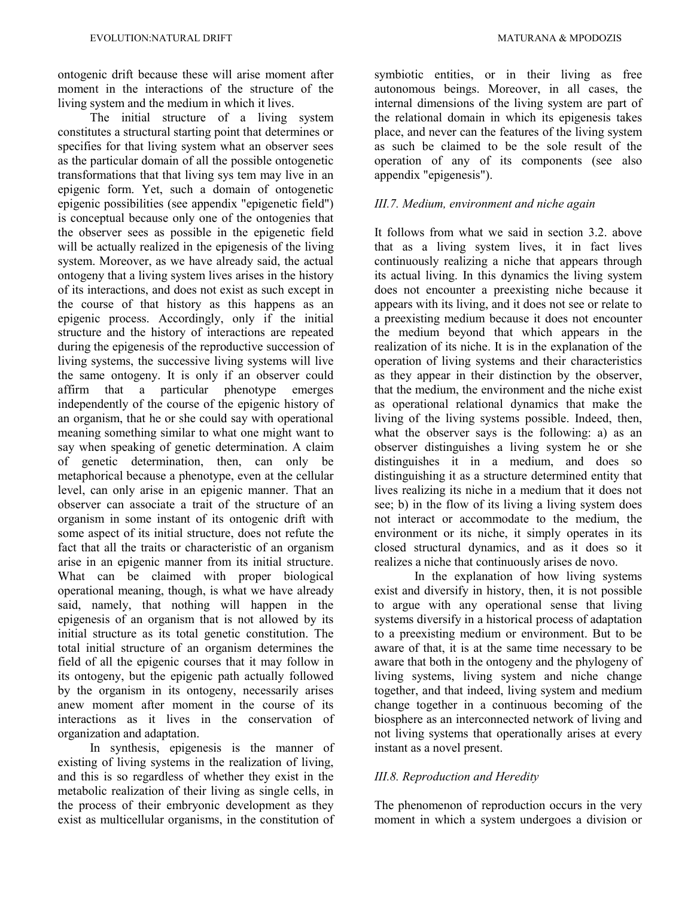ontogenic drift because these will arise moment after moment in the interactions of the structure of the living system and the medium in which it lives.

The initial structure of a living system constitutes a structural starting point that determines or specifies for that living system what an observer sees as the particular domain of all the possible ontogenetic transformations that that living sys tem may live in an epigenic form. Yet, such a domain of ontogenetic epigenic possibilities (see appendix "epigenetic field") is conceptual because only one of the ontogenies that the observer sees as possible in the epigenetic field will be actually realized in the epigenesis of the living system. Moreover, as we have already said, the actual ontogeny that a living system lives arises in the history of its interactions, and does not exist as such except in the course of that history as this happens as an epigenic process. Accordingly, only if the initial structure and the history of interactions are repeated during the epigenesis of the reproductive succession of living systems, the successive living systems will live the same ontogeny. It is only if an observer could affirm that a particular phenotype emerges independently of the course of the epigenic history of an organism, that he or she could say with operational meaning something similar to what one might want to say when speaking of genetic determination. A claim of genetic determination, then, can only be metaphorical because a phenotype, even at the cellular level, can only arise in an epigenic manner. That an observer can associate a trait of the structure of an organism in some instant of its ontogenic drift with some aspect of its initial structure, does not refute the fact that all the traits or characteristic of an organism arise in an epigenic manner from its initial structure. What can be claimed with proper biological operational meaning, though, is what we have already said, namely, that nothing will happen in the epigenesis of an organism that is not allowed by its initial structure as its total genetic constitution. The total initial structure of an organism determines the field of all the epigenic courses that it may follow in its ontogeny, but the epigenic path actually followed by the organism in its ontogeny, necessarily arises anew moment after moment in the course of its interactions as it lives in the conservation of organization and adaptation.

In synthesis, epigenesis is the manner of existing of living systems in the realization of living, and this is so regardless of whether they exist in the metabolic realization of their living as single cells, in the process of their embryonic development as they exist as multicellular organisms, in the constitution of symbiotic entities, or in their living as free autonomous beings. Moreover, in all cases, the internal dimensions of the living system are part of the relational domain in which its epigenesis takes place, and never can the features of the living system as such be claimed to be the sole result of the operation of any of its components (see also appendix "epigenesis").

### *III.7. Medium, environment and niche again*

It follows from what we said in section 3.2. above that as a living system lives, it in fact lives continuously realizing a niche that appears through its actual living. In this dynamics the living system does not encounter a preexisting niche because it appears with its living, and it does not see or relate to a preexisting medium because it does not encounter the medium beyond that which appears in the realization of its niche. It is in the explanation of the operation of living systems and their characteristics as they appear in their distinction by the observer, that the medium, the environment and the niche exist as operational relational dynamics that make the living of the living systems possible. Indeed, then, what the observer says is the following: a) as an observer distinguishes a living system he or she distinguishes it in a medium, and does so distinguishing it as a structure determined entity that lives realizing its niche in a medium that it does not see; b) in the flow of its living a living system does not interact or accommodate to the medium, the environment or its niche, it simply operates in its closed structural dynamics, and as it does so it realizes a niche that continuously arises de novo.

In the explanation of how living systems exist and diversify in history, then, it is not possible to argue with any operational sense that living systems diversify in a historical process of adaptation to a preexisting medium or environment. But to be aware of that, it is at the same time necessary to be aware that both in the ontogeny and the phylogeny of living systems, living system and niche change together, and that indeed, living system and medium change together in a continuous becoming of the biosphere as an interconnected network of living and not living systems that operationally arises at every instant as a novel present.

# *III.8. Reproduction and Heredity*

The phenomenon of reproduction occurs in the very moment in which a system undergoes a division or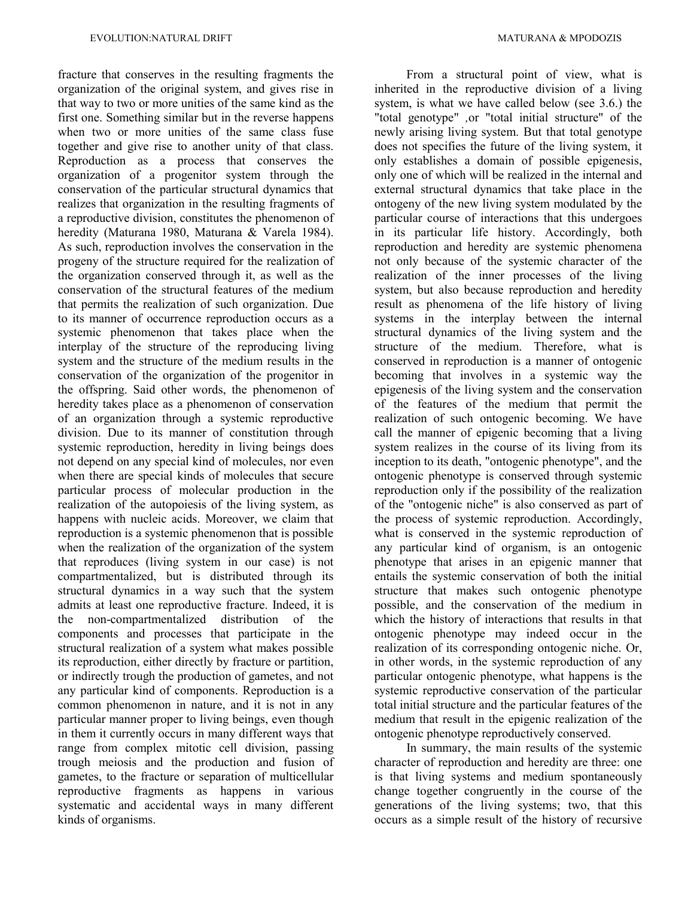fracture that conserves in the resulting fragments the organization of the original system, and gives rise in that way to two or more unities of the same kind as the first one. Something similar but in the reverse happens when two or more unities of the same class fuse together and give rise to another unity of that class. Reproduction as a process that conserves the organization of a progenitor system through the conservation of the particular structural dynamics that realizes that organization in the resulting fragments of a reproductive division, constitutes the phenomenon of heredity (Maturana 1980, Maturana & Varela 1984). As such, reproduction involves the conservation in the progeny of the structure required for the realization of the organization conserved through it, as well as the conservation of the structural features of the medium that permits the realization of such organization. Due to its manner of occurrence reproduction occurs as a systemic phenomenon that takes place when the interplay of the structure of the reproducing living system and the structure of the medium results in the conservation of the organization of the progenitor in the offspring. Said other words, the phenomenon of heredity takes place as a phenomenon of conservation of an organization through a systemic reproductive division. Due to its manner of constitution through systemic reproduction, heredity in living beings does not depend on any special kind of molecules, nor even when there are special kinds of molecules that secure particular process of molecular production in the realization of the autopoiesis of the living system, as happens with nucleic acids. Moreover, we claim that reproduction is a systemic phenomenon that is possible when the realization of the organization of the system that reproduces (living system in our case) is not compartmentalized, but is distributed through its structural dynamics in a way such that the system admits at least one reproductive fracture. Indeed, it is the non-compartmentalized distribution of the components and processes that participate in the structural realization of a system what makes possible its reproduction, either directly by fracture or partition, or indirectly trough the production of gametes, and not any particular kind of components. Reproduction is a common phenomenon in nature, and it is not in any particular manner proper to living beings, even though in them it currently occurs in many different ways that range from complex mitotic cell division, passing trough meiosis and the production and fusion of gametes, to the fracture or separation of multicellular reproductive fragments as happens in various systematic and accidental ways in many different kinds of organisms.

From a structural point of view, what is inherited in the reproductive division of a living system, is what we have called below (see 3.6.) the "total genotype" *,*or "total initial structure" of the newly arising living system. But that total genotype does not specifies the future of the living system, it only establishes a domain of possible epigenesis, only one of which will be realized in the internal and external structural dynamics that take place in the ontogeny of the new living system modulated by the particular course of interactions that this undergoes in its particular life history. Accordingly, both reproduction and heredity are systemic phenomena not only because of the systemic character of the realization of the inner processes of the living system, but also because reproduction and heredity result as phenomena of the life history of living systems in the interplay between the internal structural dynamics of the living system and the structure of the medium. Therefore, what is conserved in reproduction is a manner of ontogenic becoming that involves in a systemic way the epigenesis of the living system and the conservation of the features of the medium that permit the realization of such ontogenic becoming. We have call the manner of epigenic becoming that a living system realizes in the course of its living from its inception to its death, "ontogenic phenotype", and the ontogenic phenotype is conserved through systemic reproduction only if the possibility of the realization of the "ontogenic niche" is also conserved as part of the process of systemic reproduction. Accordingly, what is conserved in the systemic reproduction of any particular kind of organism, is an ontogenic phenotype that arises in an epigenic manner that entails the systemic conservation of both the initial structure that makes such ontogenic phenotype possible, and the conservation of the medium in which the history of interactions that results in that ontogenic phenotype may indeed occur in the realization of its corresponding ontogenic niche. Or, in other words, in the systemic reproduction of any particular ontogenic phenotype, what happens is the systemic reproductive conservation of the particular total initial structure and the particular features of the medium that result in the epigenic realization of the ontogenic phenotype reproductively conserved.

In summary, the main results of the systemic character of reproduction and heredity are three: one is that living systems and medium spontaneously change together congruently in the course of the generations of the living systems; two, that this occurs as a simple result of the history of recursive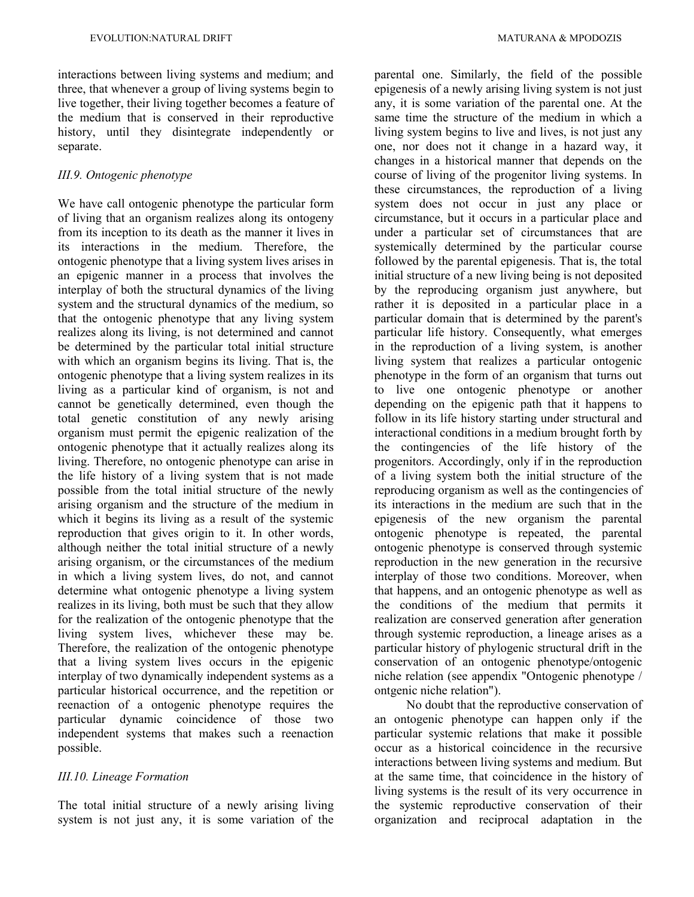interactions between living systems and medium; and three, that whenever a group of living systems begin to live together, their living together becomes a feature of the medium that is conserved in their reproductive history, until they disintegrate independently or separate.

# *III.9. Ontogenic phenotype*

We have call ontogenic phenotype the particular form of living that an organism realizes along its ontogeny from its inception to its death as the manner it lives in its interactions in the medium. Therefore, the ontogenic phenotype that a living system lives arises in an epigenic manner in a process that involves the interplay of both the structural dynamics of the living system and the structural dynamics of the medium, so that the ontogenic phenotype that any living system realizes along its living, is not determined and cannot be determined by the particular total initial structure with which an organism begins its living. That is, the ontogenic phenotype that a living system realizes in its living as a particular kind of organism, is not and cannot be genetically determined, even though the total genetic constitution of any newly arising organism must permit the epigenic realization of the ontogenic phenotype that it actually realizes along its living. Therefore, no ontogenic phenotype can arise in the life history of a living system that is not made possible from the total initial structure of the newly arising organism and the structure of the medium in which it begins its living as a result of the systemic reproduction that gives origin to it. In other words, although neither the total initial structure of a newly arising organism, or the circumstances of the medium in which a living system lives, do not, and cannot determine what ontogenic phenotype a living system realizes in its living, both must be such that they allow for the realization of the ontogenic phenotype that the living system lives, whichever these may be. Therefore, the realization of the ontogenic phenotype that a living system lives occurs in the epigenic interplay of two dynamically independent systems as a particular historical occurrence, and the repetition or reenaction of a ontogenic phenotype requires the particular dynamic coincidence of those two independent systems that makes such a reenaction possible.

# *III.10. Lineage Formation*

The total initial structure of a newly arising living system is not just any, it is some variation of the

parental one. Similarly, the field of the possible epigenesis of a newly arising living system is not just any, it is some variation of the parental one. At the same time the structure of the medium in which a living system begins to live and lives, is not just any one, nor does not it change in a hazard way, it changes in a historical manner that depends on the course of living of the progenitor living systems. In these circumstances, the reproduction of a living system does not occur in just any place or circumstance, but it occurs in a particular place and under a particular set of circumstances that are systemically determined by the particular course followed by the parental epigenesis. That is, the total initial structure of a new living being is not deposited by the reproducing organism just anywhere, but rather it is deposited in a particular place in a particular domain that is determined by the parent's particular life history. Consequently, what emerges in the reproduction of a living system, is another living system that realizes a particular ontogenic phenotype in the form of an organism that turns out to live one ontogenic phenotype or another depending on the epigenic path that it happens to follow in its life history starting under structural and interactional conditions in a medium brought forth by the contingencies of the life history of the progenitors. Accordingly, only if in the reproduction of a living system both the initial structure of the reproducing organism as well as the contingencies of its interactions in the medium are such that in the epigenesis of the new organism the parental ontogenic phenotype is repeated, the parental ontogenic phenotype is conserved through systemic reproduction in the new generation in the recursive interplay of those two conditions. Moreover, when that happens, and an ontogenic phenotype as well as the conditions of the medium that permits it realization are conserved generation after generation through systemic reproduction, a lineage arises as a particular history of phylogenic structural drift in the conservation of an ontogenic phenotype/ontogenic niche relation (see appendix "Ontogenic phenotype / ontgenic niche relation").

No doubt that the reproductive conservation of an ontogenic phenotype can happen only if the particular systemic relations that make it possible occur as a historical coincidence in the recursive interactions between living systems and medium. But at the same time, that coincidence in the history of living systems is the result of its very occurrence in the systemic reproductive conservation of their organization and reciprocal adaptation in the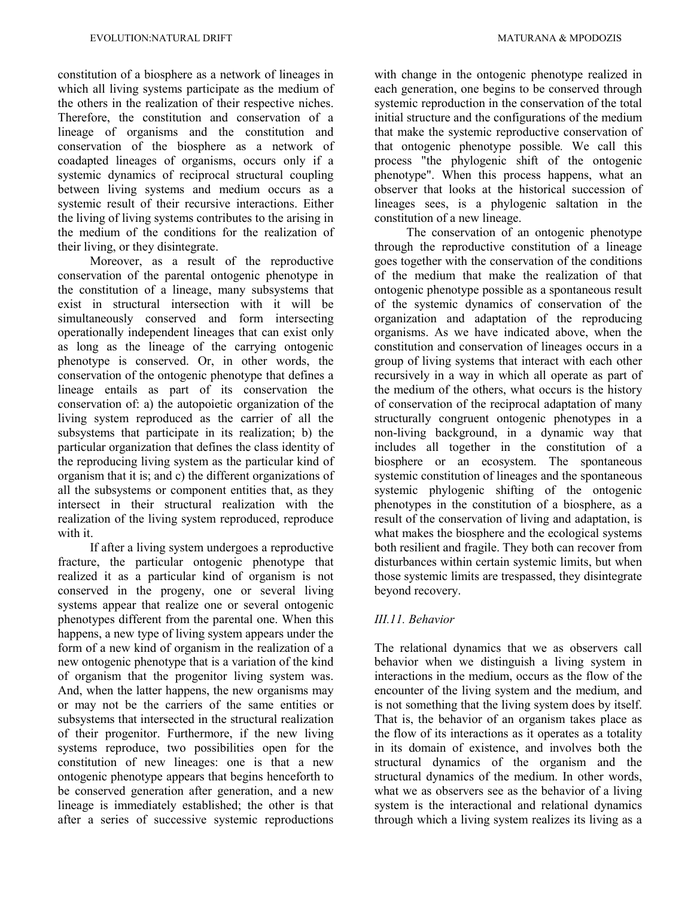constitution of a biosphere as a network of lineages in which all living systems participate as the medium of the others in the realization of their respective niches. Therefore, the constitution and conservation of a lineage of organisms and the constitution and conservation of the biosphere as a network of coadapted lineages of organisms, occurs only if a systemic dynamics of reciprocal structural coupling between living systems and medium occurs as a systemic result of their recursive interactions. Either the living of living systems contributes to the arising in the medium of the conditions for the realization of their living, or they disintegrate.

Moreover, as a result of the reproductive conservation of the parental ontogenic phenotype in the constitution of a lineage, many subsystems that exist in structural intersection with it will be simultaneously conserved and form intersecting operationally independent lineages that can exist only as long as the lineage of the carrying ontogenic phenotype is conserved. Or, in other words, the conservation of the ontogenic phenotype that defines a lineage entails as part of its conservation the conservation of: a) the autopoietic organization of the living system reproduced as the carrier of all the subsystems that participate in its realization; b) the particular organization that defines the class identity of the reproducing living system as the particular kind of organism that it is; and c) the different organizations of all the subsystems or component entities that, as they intersect in their structural realization with the realization of the living system reproduced, reproduce with it.

If after a living system undergoes a reproductive fracture, the particular ontogenic phenotype that realized it as a particular kind of organism is not conserved in the progeny, one or several living systems appear that realize one or several ontogenic phenotypes different from the parental one. When this happens, a new type of living system appears under the form of a new kind of organism in the realization of a new ontogenic phenotype that is a variation of the kind of organism that the progenitor living system was. And, when the latter happens, the new organisms may or may not be the carriers of the same entities or subsystems that intersected in the structural realization of their progenitor. Furthermore, if the new living systems reproduce, two possibilities open for the constitution of new lineages: one is that a new ontogenic phenotype appears that begins henceforth to be conserved generation after generation, and a new lineage is immediately established; the other is that after a series of successive systemic reproductions

with change in the ontogenic phenotype realized in each generation, one begins to be conserved through systemic reproduction in the conservation of the total initial structure and the configurations of the medium that make the systemic reproductive conservation of that ontogenic phenotype possible*.* We call this process "the phylogenic shift of the ontogenic phenotype". When this process happens, what an observer that looks at the historical succession of lineages sees, is a phylogenic saltation in the constitution of a new lineage.

The conservation of an ontogenic phenotype through the reproductive constitution of a lineage goes together with the conservation of the conditions of the medium that make the realization of that ontogenic phenotype possible as a spontaneous result of the systemic dynamics of conservation of the organization and adaptation of the reproducing organisms. As we have indicated above, when the constitution and conservation of lineages occurs in a group of living systems that interact with each other recursively in a way in which all operate as part of the medium of the others, what occurs is the history of conservation of the reciprocal adaptation of many structurally congruent ontogenic phenotypes in a non-living background, in a dynamic way that includes all together in the constitution of a biosphere or an ecosystem. The spontaneous systemic constitution of lineages and the spontaneous systemic phylogenic shifting of the ontogenic phenotypes in the constitution of a biosphere, as a result of the conservation of living and adaptation, is what makes the biosphere and the ecological systems both resilient and fragile. They both can recover from disturbances within certain systemic limits, but when those systemic limits are trespassed, they disintegrate beyond recovery.

# *III.11. Behavior*

The relational dynamics that we as observers call behavior when we distinguish a living system in interactions in the medium, occurs as the flow of the encounter of the living system and the medium, and is not something that the living system does by itself. That is, the behavior of an organism takes place as the flow of its interactions as it operates as a totality in its domain of existence, and involves both the structural dynamics of the organism and the structural dynamics of the medium. In other words, what we as observers see as the behavior of a living system is the interactional and relational dynamics through which a living system realizes its living as a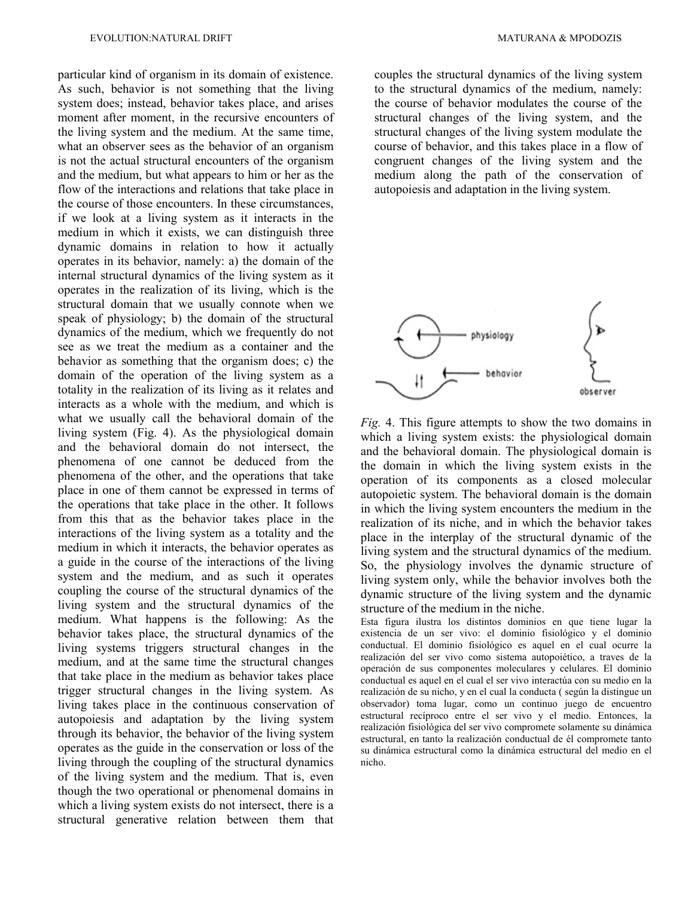particular kind of organism in its domain of existence. As such, behavior is not something that the living system does; instead, behavior takes place, and arises moment after moment, in the recursive encounters of the living system and the medium. At the same time, what an observer sees as the behavior of an organism is not the actual structural encounters of the organism and the medium, but what appears to him or her as the flow of the interactions and relations that take place in the course of those encounters. In these circumstances, if we look at a living system as it interacts in the medium in which it exists, we can distinguish three dynamic domains in relation to how it actually operates in its behavior, namely: a) the domain of the internal structural dynamics of the living system as it operates in the realization of its living, which is the structural domain that we usually connote when we speak of physiology; b) the domain of the structural dynamics of the medium, which we frequently do not see as we treat the medium as a container and the behavior as something that the organism does; c) the domain of the operation of the living system as a totality in the realization of its living as it relates and interacts as a whole with the medium, and which is what we usually call the behavioral domain of the living system (Fig. 4). As the physiological domain and the behavioral domain do not intersect, the phenomena of one cannot be deduced from the phenomena of the other, and the operations that take place in one of them cannot be expressed in terms of the operations that take place in the other. It follows from this that as the behavior takes place in the interactions of the living system as a totality and the medium in which it interacts, the behavior operates as a guide in the course of the interactions of the living system and the medium, and as such it operates coupling the course of the structural dynamics of the living system and the structural dynamics of the medium. What happens is the following: As the behavior takes place, the structural dynamics of the living systems triggers structural changes in the medium, and at the same time the structural changes that take place in the medium as behavior takes place trigger structural changes in the living system. As living takes place in the continuous conservation of autopoiesis and adaptation by the living system through its behavior, the behavior of the living system operates as the guide in the conservation or loss of the living through the coupling of the structural dynamics of the living system and the medium. That is, even though the two operational or phenomenal domains in which a living system exists do not intersect, there is a structural generative relation between them that couples the structural dynamics of the living system to the structural dynamics of the medium, namely: the course of behavior modulates the course of the structural changes of the living system, and the structural changes of the living system modulate the course of behavior, and this takes place in a flow of congruent changes of the living system and the medium along the path of the conservation of autopoiesis and adaptation in the living system.



*Fig.* 4. This figure attempts to show the two domains in which a living system exists: the physiological domain and the behavioral domain. The physiological domain is the domain in which the living system exists in the operation of its components as a closed molecular autopoietic system. The behavioral domain is the domain in which the living system encounters the medium in the realization of its niche, and in which the behavior takes place in the interplay of the structural dynamic of the living system and the structural dynamics of the medium. So, the physiology involves the dynamic structure of living system only, while the behavior involves both the dynamic structure of the living system and the dynamic structure of the medium in the niche.

Esta figura ilustra los distintos dominios en que tiene lugar la existencia de un ser vivo: el dominio fisiológico y el dominio conductual. El dominio fisiológico es aquel en el cual ocurre la realización del ser vivo como sistema autopoiético, a traves de la operación de sus componentes moleculares y celulares. El dominio conductual es aquel en el cual el ser vivo interactúa con su medio en la realización de su nicho, y en el cual la conducta ( según la distingue un observador) toma lugar, como un continuo juego de encuentro estructural recíproco entre el ser vivo y el medio. Entonces, la realización fisiológica del ser vivo compromete solamente su dinámica estructural, en tanto la realización conductual de él compromete tanto su dinámica estructural como la dinámica estructural del medio en el nicho.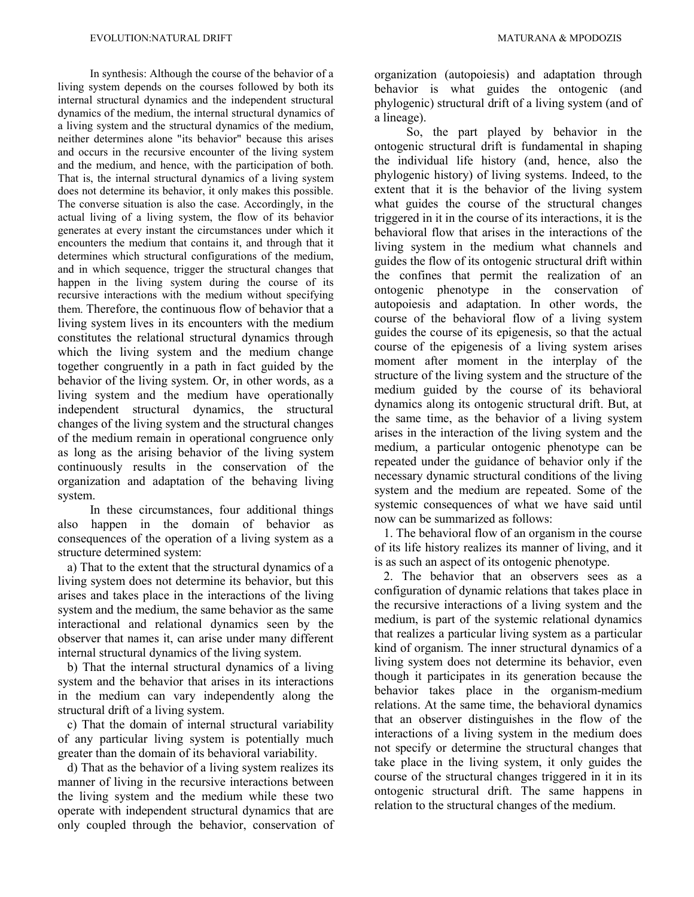In synthesis: Although the course of the behavior of a living system depends on the courses followed by both its internal structural dynamics and the independent structural dynamics of the medium, the internal structural dynamics of a living system and the structural dynamics of the medium, neither determines alone "its behavior" because this arises and occurs in the recursive encounter of the living system and the medium, and hence, with the participation of both. That is, the internal structural dynamics of a living system does not determine its behavior, it only makes this possible. The converse situation is also the case. Accordingly, in the actual living of a living system, the flow of its behavior generates at every instant the circumstances under which it encounters the medium that contains it, and through that it determines which structural configurations of the medium, and in which sequence, trigger the structural changes that happen in the living system during the course of its recursive interactions with the medium without specifying them. Therefore, the continuous flow of behavior that a living system lives in its encounters with the medium constitutes the relational structural dynamics through which the living system and the medium change together congruently in a path in fact guided by the behavior of the living system. Or, in other words, as a living system and the medium have operationally independent structural dynamics, the structural changes of the living system and the structural changes of the medium remain in operational congruence only as long as the arising behavior of the living system continuously results in the conservation of the organization and adaptation of the behaving living system.

In these circumstances, four additional things also happen in the domain of behavior as consequences of the operation of a living system as a structure determined system:

 a) That to the extent that the structural dynamics of a living system does not determine its behavior, but this arises and takes place in the interactions of the living system and the medium, the same behavior as the same interactional and relational dynamics seen by the observer that names it, can arise under many different internal structural dynamics of the living system.

 b) That the internal structural dynamics of a living system and the behavior that arises in its interactions in the medium can vary independently along the structural drift of a living system.

 c) That the domain of internal structural variability of any particular living system is potentially much greater than the domain of its behavioral variability.

 d) That as the behavior of a living system realizes its manner of living in the recursive interactions between the living system and the medium while these two operate with independent structural dynamics that are only coupled through the behavior, conservation of organization (autopoiesis) and adaptation through behavior is what guides the ontogenic (and phylogenic) structural drift of a living system (and of a lineage).

So, the part played by behavior in the ontogenic structural drift is fundamental in shaping the individual life history (and, hence, also the phylogenic history) of living systems. Indeed, to the extent that it is the behavior of the living system what guides the course of the structural changes triggered in it in the course of its interactions, it is the behavioral flow that arises in the interactions of the living system in the medium what channels and guides the flow of its ontogenic structural drift within the confines that permit the realization of an ontogenic phenotype in the conservation of autopoiesis and adaptation. In other words, the course of the behavioral flow of a living system guides the course of its epigenesis, so that the actual course of the epigenesis of a living system arises moment after moment in the interplay of the structure of the living system and the structure of the medium guided by the course of its behavioral dynamics along its ontogenic structural drift. But, at the same time, as the behavior of a living system arises in the interaction of the living system and the medium, a particular ontogenic phenotype can be repeated under the guidance of behavior only if the necessary dynamic structural conditions of the living system and the medium are repeated. Some of the systemic consequences of what we have said until now can be summarized as follows:

 1. The behavioral flow of an organism in the course of its life history realizes its manner of living, and it is as such an aspect of its ontogenic phenotype.

 2. The behavior that an observers sees as a configuration of dynamic relations that takes place in the recursive interactions of a living system and the medium, is part of the systemic relational dynamics that realizes a particular living system as a particular kind of organism. The inner structural dynamics of a living system does not determine its behavior, even though it participates in its generation because the behavior takes place in the organism-medium relations. At the same time, the behavioral dynamics that an observer distinguishes in the flow of the interactions of a living system in the medium does not specify or determine the structural changes that take place in the living system, it only guides the course of the structural changes triggered in it in its ontogenic structural drift. The same happens in relation to the structural changes of the medium.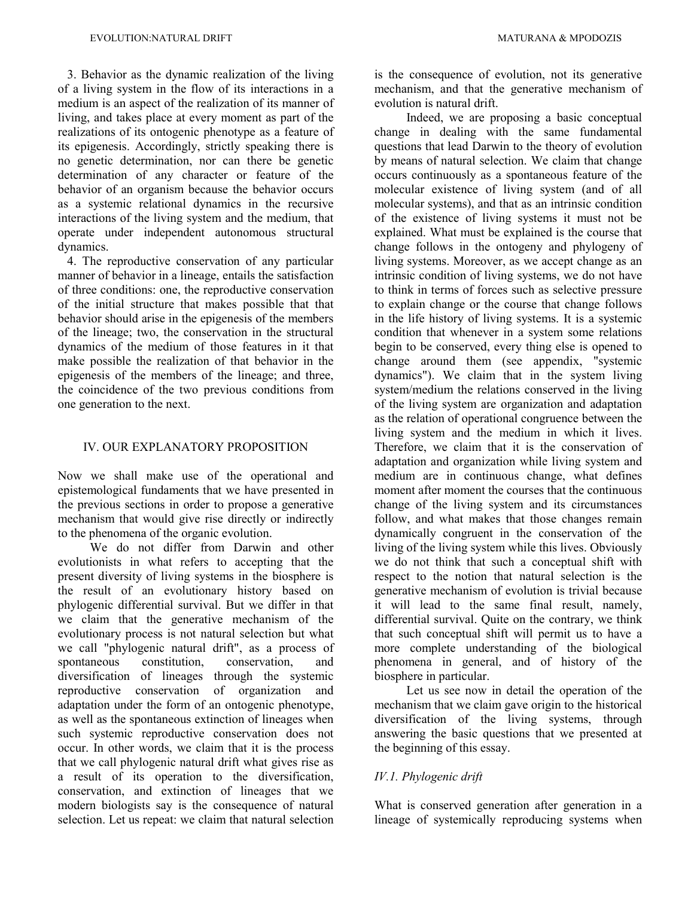3. Behavior as the dynamic realization of the living of a living system in the flow of its interactions in a medium is an aspect of the realization of its manner of living, and takes place at every moment as part of the realizations of its ontogenic phenotype as a feature of its epigenesis. Accordingly, strictly speaking there is no genetic determination, nor can there be genetic determination of any character or feature of the behavior of an organism because the behavior occurs as a systemic relational dynamics in the recursive interactions of the living system and the medium, that operate under independent autonomous structural dynamics.

 4. The reproductive conservation of any particular manner of behavior in a lineage, entails the satisfaction of three conditions: one, the reproductive conservation of the initial structure that makes possible that that behavior should arise in the epigenesis of the members of the lineage; two, the conservation in the structural dynamics of the medium of those features in it that make possible the realization of that behavior in the epigenesis of the members of the lineage; and three, the coincidence of the two previous conditions from one generation to the next.

#### IV. OUR EXPLANATORY PROPOSITION

Now we shall make use of the operational and epistemological fundaments that we have presented in the previous sections in order to propose a generative mechanism that would give rise directly or indirectly to the phenomena of the organic evolution.

We do not differ from Darwin and other evolutionists in what refers to accepting that the present diversity of living systems in the biosphere is the result of an evolutionary history based on phylogenic differential survival. But we differ in that we claim that the generative mechanism of the evolutionary process is not natural selection but what we call "phylogenic natural drift", as a process of spontaneous constitution, conservation, and diversification of lineages through the systemic reproductive conservation of organization and adaptation under the form of an ontogenic phenotype, as well as the spontaneous extinction of lineages when such systemic reproductive conservation does not occur. In other words, we claim that it is the process that we call phylogenic natural drift what gives rise as a result of its operation to the diversification, conservation, and extinction of lineages that we modern biologists say is the consequence of natural selection. Let us repeat: we claim that natural selection

is the consequence of evolution, not its generative mechanism, and that the generative mechanism of evolution is natural drift.

Indeed, we are proposing a basic conceptual change in dealing with the same fundamental questions that lead Darwin to the theory of evolution by means of natural selection. We claim that change occurs continuously as a spontaneous feature of the molecular existence of living system (and of all molecular systems), and that as an intrinsic condition of the existence of living systems it must not be explained. What must be explained is the course that change follows in the ontogeny and phylogeny of living systems. Moreover, as we accept change as an intrinsic condition of living systems, we do not have to think in terms of forces such as selective pressure to explain change or the course that change follows in the life history of living systems. It is a systemic condition that whenever in a system some relations begin to be conserved, every thing else is opened to change around them (see appendix, "systemic dynamics"). We claim that in the system living system/medium the relations conserved in the living of the living system are organization and adaptation as the relation of operational congruence between the living system and the medium in which it lives. Therefore, we claim that it is the conservation of adaptation and organization while living system and medium are in continuous change, what defines moment after moment the courses that the continuous change of the living system and its circumstances follow, and what makes that those changes remain dynamically congruent in the conservation of the living of the living system while this lives. Obviously we do not think that such a conceptual shift with respect to the notion that natural selection is the generative mechanism of evolution is trivial because it will lead to the same final result, namely, differential survival. Quite on the contrary, we think that such conceptual shift will permit us to have a more complete understanding of the biological phenomena in general, and of history of the biosphere in particular.

Let us see now in detail the operation of the mechanism that we claim gave origin to the historical diversification of the living systems, through answering the basic questions that we presented at the beginning of this essay.

# *IV.1. Phylogenic drift*

What is conserved generation after generation in a lineage of systemically reproducing systems when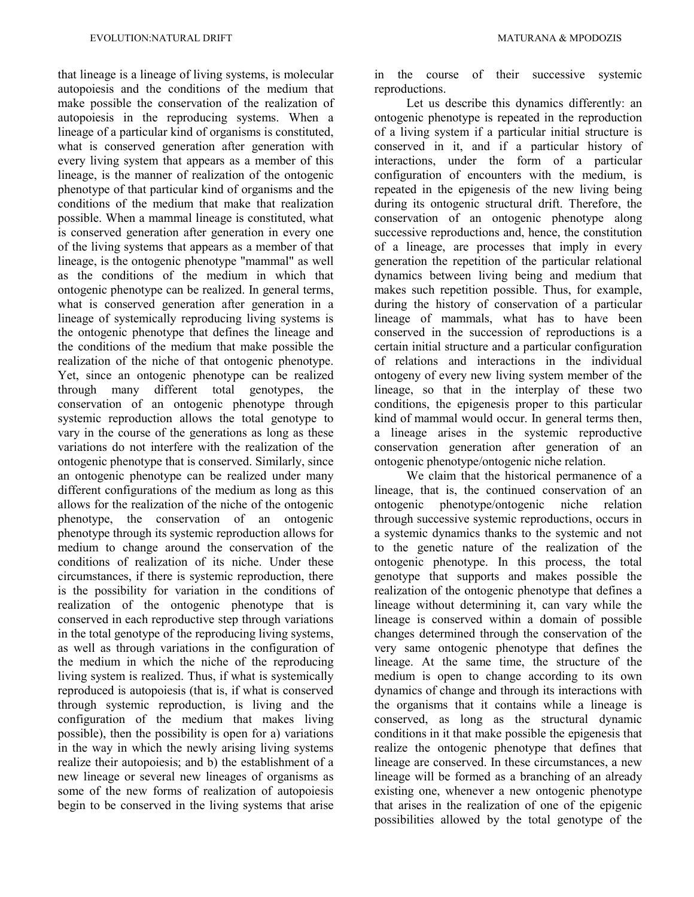that lineage is a lineage of living systems, is molecular autopoiesis and the conditions of the medium that make possible the conservation of the realization of autopoiesis in the reproducing systems. When a lineage of a particular kind of organisms is constituted, what is conserved generation after generation with every living system that appears as a member of this lineage, is the manner of realization of the ontogenic phenotype of that particular kind of organisms and the conditions of the medium that make that realization possible. When a mammal lineage is constituted, what is conserved generation after generation in every one of the living systems that appears as a member of that lineage, is the ontogenic phenotype "mammal" as well as the conditions of the medium in which that ontogenic phenotype can be realized. In general terms, what is conserved generation after generation in a lineage of systemically reproducing living systems is the ontogenic phenotype that defines the lineage and the conditions of the medium that make possible the realization of the niche of that ontogenic phenotype. Yet, since an ontogenic phenotype can be realized through many different total genotypes, the conservation of an ontogenic phenotype through systemic reproduction allows the total genotype to vary in the course of the generations as long as these variations do not interfere with the realization of the ontogenic phenotype that is conserved. Similarly, since an ontogenic phenotype can be realized under many different configurations of the medium as long as this allows for the realization of the niche of the ontogenic phenotype, the conservation of an ontogenic phenotype through its systemic reproduction allows for medium to change around the conservation of the conditions of realization of its niche. Under these circumstances, if there is systemic reproduction, there is the possibility for variation in the conditions of realization of the ontogenic phenotype that is conserved in each reproductive step through variations in the total genotype of the reproducing living systems, as well as through variations in the configuration of the medium in which the niche of the reproducing living system is realized. Thus, if what is systemically reproduced is autopoiesis (that is, if what is conserved through systemic reproduction, is living and the configuration of the medium that makes living possible), then the possibility is open for a) variations in the way in which the newly arising living systems realize their autopoiesis; and b) the establishment of a new lineage or several new lineages of organisms as some of the new forms of realization of autopoiesis begin to be conserved in the living systems that arise

in the course of their successive systemic reproductions.

Let us describe this dynamics differently: an ontogenic phenotype is repeated in the reproduction of a living system if a particular initial structure is conserved in it, and if a particular history of interactions, under the form of a particular configuration of encounters with the medium, is repeated in the epigenesis of the new living being during its ontogenic structural drift. Therefore, the conservation of an ontogenic phenotype along successive reproductions and, hence, the constitution of a lineage, are processes that imply in every generation the repetition of the particular relational dynamics between living being and medium that makes such repetition possible. Thus, for example, during the history of conservation of a particular lineage of mammals, what has to have been conserved in the succession of reproductions is a certain initial structure and a particular configuration of relations and interactions in the individual ontogeny of every new living system member of the lineage, so that in the interplay of these two conditions, the epigenesis proper to this particular kind of mammal would occur. In general terms then, a lineage arises in the systemic reproductive conservation generation after generation of an ontogenic phenotype/ontogenic niche relation.

We claim that the historical permanence of a lineage, that is, the continued conservation of an ontogenic phenotype/ontogenic niche relation through successive systemic reproductions, occurs in a systemic dynamics thanks to the systemic and not to the genetic nature of the realization of the ontogenic phenotype. In this process, the total genotype that supports and makes possible the realization of the ontogenic phenotype that defines a lineage without determining it, can vary while the lineage is conserved within a domain of possible changes determined through the conservation of the very same ontogenic phenotype that defines the lineage. At the same time, the structure of the medium is open to change according to its own dynamics of change and through its interactions with the organisms that it contains while a lineage is conserved, as long as the structural dynamic conditions in it that make possible the epigenesis that realize the ontogenic phenotype that defines that lineage are conserved. In these circumstances, a new lineage will be formed as a branching of an already existing one, whenever a new ontogenic phenotype that arises in the realization of one of the epigenic possibilities allowed by the total genotype of the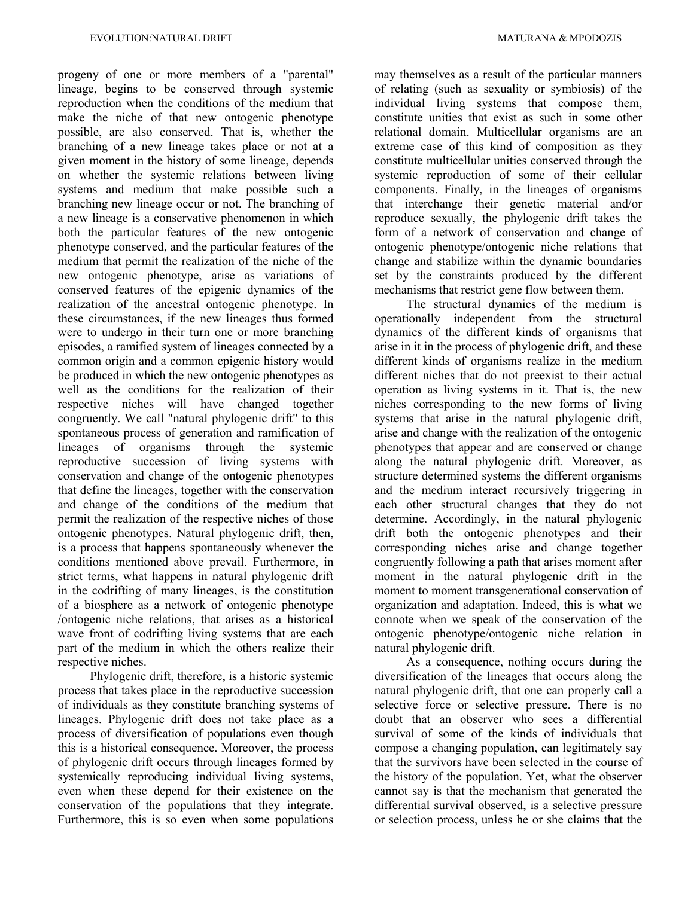progeny of one or more members of a "parental" lineage, begins to be conserved through systemic reproduction when the conditions of the medium that make the niche of that new ontogenic phenotype possible, are also conserved. That is, whether the branching of a new lineage takes place or not at a given moment in the history of some lineage, depends on whether the systemic relations between living systems and medium that make possible such a branching new lineage occur or not. The branching of a new lineage is a conservative phenomenon in which both the particular features of the new ontogenic phenotype conserved, and the particular features of the medium that permit the realization of the niche of the new ontogenic phenotype, arise as variations of conserved features of the epigenic dynamics of the realization of the ancestral ontogenic phenotype. In these circumstances, if the new lineages thus formed were to undergo in their turn one or more branching episodes, a ramified system of lineages connected by a common origin and a common epigenic history would be produced in which the new ontogenic phenotypes as well as the conditions for the realization of their respective niches will have changed together congruently. We call "natural phylogenic drift" to this spontaneous process of generation and ramification of lineages of organisms through the systemic reproductive succession of living systems with conservation and change of the ontogenic phenotypes that define the lineages, together with the conservation and change of the conditions of the medium that permit the realization of the respective niches of those ontogenic phenotypes. Natural phylogenic drift, then, is a process that happens spontaneously whenever the conditions mentioned above prevail. Furthermore, in strict terms, what happens in natural phylogenic drift in the codrifting of many lineages, is the constitution of a biosphere as a network of ontogenic phenotype /ontogenic niche relations, that arises as a historical wave front of codrifting living systems that are each part of the medium in which the others realize their respective niches.

Phylogenic drift, therefore, is a historic systemic process that takes place in the reproductive succession of individuals as they constitute branching systems of lineages. Phylogenic drift does not take place as a process of diversification of populations even though this is a historical consequence. Moreover, the process of phylogenic drift occurs through lineages formed by systemically reproducing individual living systems, even when these depend for their existence on the conservation of the populations that they integrate. Furthermore, this is so even when some populations

may themselves as a result of the particular manners of relating (such as sexuality or symbiosis) of the individual living systems that compose them, constitute unities that exist as such in some other relational domain. Multicellular organisms are an extreme case of this kind of composition as they constitute multicellular unities conserved through the systemic reproduction of some of their cellular components. Finally, in the lineages of organisms that interchange their genetic material and/or reproduce sexually, the phylogenic drift takes the form of a network of conservation and change of ontogenic phenotype/ontogenic niche relations that change and stabilize within the dynamic boundaries set by the constraints produced by the different mechanisms that restrict gene flow between them.

The structural dynamics of the medium is operationally independent from the structural dynamics of the different kinds of organisms that arise in it in the process of phylogenic drift, and these different kinds of organisms realize in the medium different niches that do not preexist to their actual operation as living systems in it. That is, the new niches corresponding to the new forms of living systems that arise in the natural phylogenic drift, arise and change with the realization of the ontogenic phenotypes that appear and are conserved or change along the natural phylogenic drift. Moreover, as structure determined systems the different organisms and the medium interact recursively triggering in each other structural changes that they do not determine. Accordingly, in the natural phylogenic drift both the ontogenic phenotypes and their corresponding niches arise and change together congruently following a path that arises moment after moment in the natural phylogenic drift in the moment to moment transgenerational conservation of organization and adaptation. Indeed, this is what we connote when we speak of the conservation of the ontogenic phenotype/ontogenic niche relation in natural phylogenic drift.

As a consequence, nothing occurs during the diversification of the lineages that occurs along the natural phylogenic drift, that one can properly call a selective force or selective pressure. There is no doubt that an observer who sees a differential survival of some of the kinds of individuals that compose a changing population, can legitimately say that the survivors have been selected in the course of the history of the population. Yet, what the observer cannot say is that the mechanism that generated the differential survival observed, is a selective pressure or selection process, unless he or she claims that the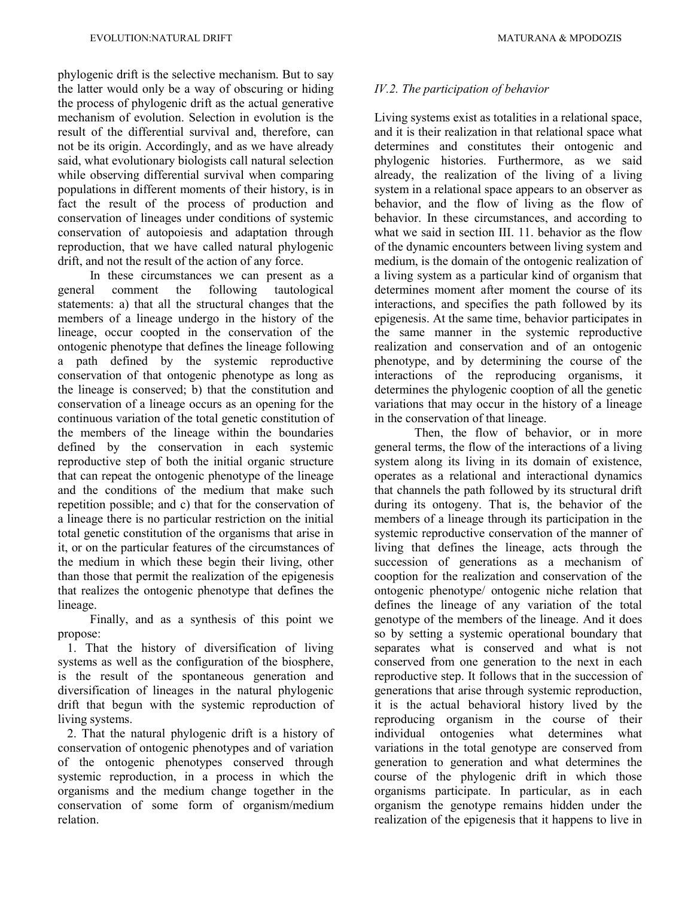phylogenic drift is the selective mechanism. But to say the latter would only be a way of obscuring or hiding the process of phylogenic drift as the actual generative mechanism of evolution. Selection in evolution is the result of the differential survival and, therefore, can not be its origin. Accordingly, and as we have already said, what evolutionary biologists call natural selection while observing differential survival when comparing populations in different moments of their history, is in fact the result of the process of production and conservation of lineages under conditions of systemic conservation of autopoiesis and adaptation through reproduction, that we have called natural phylogenic drift, and not the result of the action of any force.

In these circumstances we can present as a general comment the following tautological statements: a) that all the structural changes that the members of a lineage undergo in the history of the lineage, occur coopted in the conservation of the ontogenic phenotype that defines the lineage following a path defined by the systemic reproductive conservation of that ontogenic phenotype as long as the lineage is conserved; b) that the constitution and conservation of a lineage occurs as an opening for the continuous variation of the total genetic constitution of the members of the lineage within the boundaries defined by the conservation in each systemic reproductive step of both the initial organic structure that can repeat the ontogenic phenotype of the lineage and the conditions of the medium that make such repetition possible; and c) that for the conservation of a lineage there is no particular restriction on the initial total genetic constitution of the organisms that arise in it, or on the particular features of the circumstances of the medium in which these begin their living, other than those that permit the realization of the epigenesis that realizes the ontogenic phenotype that defines the lineage.

Finally, and as a synthesis of this point we propose:

 1. That the history of diversification of living systems as well as the configuration of the biosphere, is the result of the spontaneous generation and diversification of lineages in the natural phylogenic drift that begun with the systemic reproduction of living systems.

 2. That the natural phylogenic drift is a history of conservation of ontogenic phenotypes and of variation of the ontogenic phenotypes conserved through systemic reproduction, in a process in which the organisms and the medium change together in the conservation of some form of organism/medium relation.

# *IV.2. The participation of behavior*

Living systems exist as totalities in a relational space, and it is their realization in that relational space what determines and constitutes their ontogenic and phylogenic histories. Furthermore, as we said already, the realization of the living of a living system in a relational space appears to an observer as behavior, and the flow of living as the flow of behavior. In these circumstances, and according to what we said in section III. 11. behavior as the flow of the dynamic encounters between living system and medium, is the domain of the ontogenic realization of a living system as a particular kind of organism that determines moment after moment the course of its interactions, and specifies the path followed by its epigenesis. At the same time, behavior participates in the same manner in the systemic reproductive realization and conservation and of an ontogenic phenotype, and by determining the course of the interactions of the reproducing organisms, it determines the phylogenic cooption of all the genetic variations that may occur in the history of a lineage in the conservation of that lineage.

Then, the flow of behavior, or in more general terms, the flow of the interactions of a living system along its living in its domain of existence, operates as a relational and interactional dynamics that channels the path followed by its structural drift during its ontogeny. That is, the behavior of the members of a lineage through its participation in the systemic reproductive conservation of the manner of living that defines the lineage, acts through the succession of generations as a mechanism of cooption for the realization and conservation of the ontogenic phenotype/ ontogenic niche relation that defines the lineage of any variation of the total genotype of the members of the lineage. And it does so by setting a systemic operational boundary that separates what is conserved and what is not conserved from one generation to the next in each reproductive step. It follows that in the succession of generations that arise through systemic reproduction, it is the actual behavioral history lived by the reproducing organism in the course of their individual ontogenies what determines what variations in the total genotype are conserved from generation to generation and what determines the course of the phylogenic drift in which those organisms participate. In particular, as in each organism the genotype remains hidden under the realization of the epigenesis that it happens to live in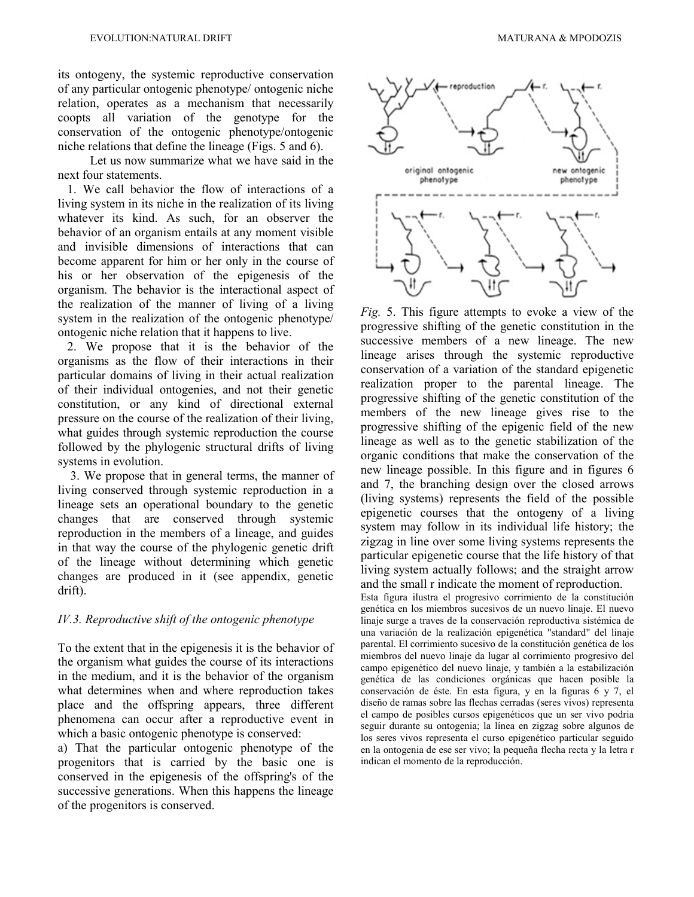its ontogeny, the systemic reproductive conservation of any particular ontogenic phenotype/ ontogenic niche relation, operates as a mechanism that necessarily coopts all variation of the genotype for the conservation of the ontogenic phenotype/ontogenic niche relations that define the lineage (Figs. 5 and 6).

Let us now summarize what we have said in the next four statements.

 1. We call behavior the flow of interactions of a living system in its niche in the realization of its living whatever its kind. As such, for an observer the behavior of an organism entails at any moment visible and invisible dimensions of interactions that can become apparent for him or her only in the course of his or her observation of the epigenesis of the organism. The behavior is the interactional aspect of the realization of the manner of living of a living system in the realization of the ontogenic phenotype/ ontogenic niche relation that it happens to live.

 2. We propose that it is the behavior of the organisms as the flow of their interactions in their particular domains of living in their actual realization of their individual ontogenies, and not their genetic constitution, or any kind of directional external pressure on the course of the realization of their living, what guides through systemic reproduction the course followed by the phylogenic structural drifts of living systems in evolution.

3. We propose that in general terms, the manner of living conserved through systemic reproduction in a lineage sets an operational boundary to the genetic changes that are conserved through systemic reproduction in the members of a lineage, and guides in that way the course of the phylogenic genetic drift of the lineage without determining which genetic changes are produced in it (see appendix, genetic drift).

### *IV.3. Reproductive shift of the ontogenic phenotype*

To the extent that in the epigenesis it is the behavior of the organism what guides the course of its interactions in the medium, and it is the behavior of the organism what determines when and where reproduction takes place and the offspring appears, three different phenomena can occur after a reproductive event in which a basic ontogenic phenotype is conserved:

a) That the particular ontogenic phenotype of the progenitors that is carried by the basic one is conserved in the epigenesis of the offspring's of the successive generations. When this happens the lineage of the progenitors is conserved.



*Fig.* 5. This figure attempts to evoke a view of the progressive shifting of the genetic constitution in the successive members of a new lineage. The new lineage arises through the systemic reproductive conservation of a variation of the standard epigenetic realization proper to the parental lineage. The progressive shifting of the genetic constitution of the members of the new lineage gives rise to the progressive shifting of the epigenic field of the new lineage as well as to the genetic stabilization of the organic conditions that make the conservation of the new lineage possible. In this figure and in figures 6 and 7, the branching design over the closed arrows (living systems) represents the field of the possible epigenetic courses that the ontogeny of a living system may follow in its individual life history; the zigzag in line over some living systems represents the particular epigenetic course that the life history of that living system actually follows; and the straight arrow and the small r indicate the moment of reproduction. Esta figura ilustra el progresivo corrimiento de la constitución genética en los miembros sucesivos de un nuevo linaje. El nuevo linaje surge a traves de la conservación reproductiva sistémica de una variación de la realización epigenética "standard" del linaje parental. El corrimiento sucesivo de la constitución genética de los miembros del nuevo linaje da lugar al corrimiento progresivo del campo epigenético del nuevo linaje, y también a la estabilización genética de las condiciones orgánicas que hacen posible la

conservación de éste. En esta figura, y en la figuras 6 y 7, el diseño de ramas sobre las flechas cerradas (seres vivos) representa el campo de posibles cursos epigenéticos que un ser vivo podria seguir durante su ontogenia; la línea en zigzag sobre algunos de los seres vivos representa el curso epigenético particular seguido en la ontogenia de ese ser vivo; la pequeña flecha recta y la letra r indican el momento de la reproducción.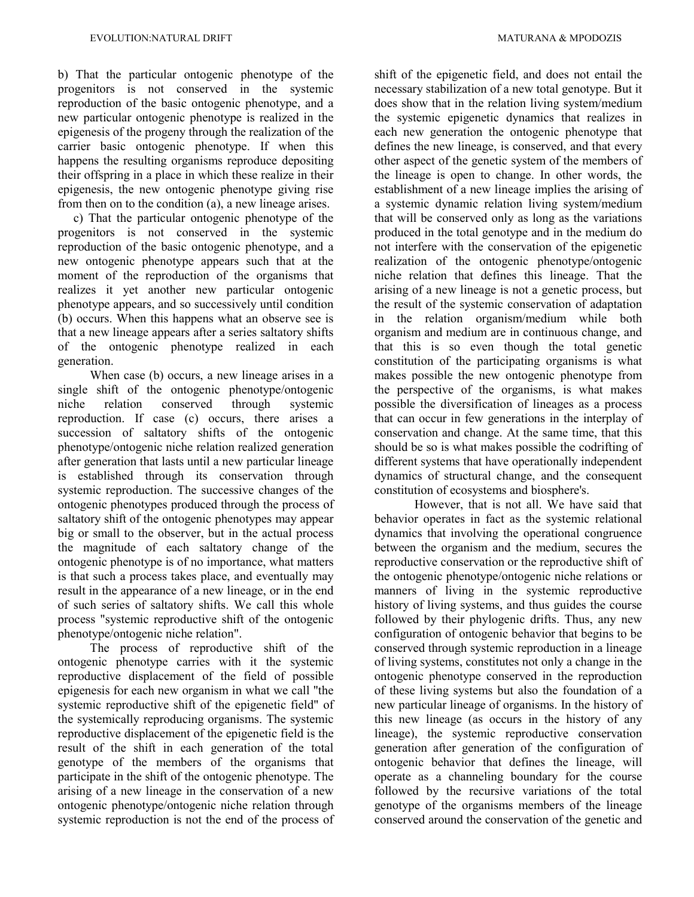b) That the particular ontogenic phenotype of the progenitors is not conserved in the systemic reproduction of the basic ontogenic phenotype, and a new particular ontogenic phenotype is realized in the epigenesis of the progeny through the realization of the carrier basic ontogenic phenotype. If when this happens the resulting organisms reproduce depositing their offspring in a place in which these realize in their epigenesis, the new ontogenic phenotype giving rise from then on to the condition (a), a new lineage arises.

 c) That the particular ontogenic phenotype of the progenitors is not conserved in the systemic reproduction of the basic ontogenic phenotype, and a new ontogenic phenotype appears such that at the moment of the reproduction of the organisms that realizes it yet another new particular ontogenic phenotype appears, and so successively until condition (b) occurs. When this happens what an observe see is that a new lineage appears after a series saltatory shifts of the ontogenic phenotype realized in each generation.

When case (b) occurs, a new lineage arises in a single shift of the ontogenic phenotype/ontogenic niche relation conserved through systemic reproduction. If case (c) occurs, there arises a succession of saltatory shifts of the ontogenic phenotype/ontogenic niche relation realized generation after generation that lasts until a new particular lineage is established through its conservation through systemic reproduction. The successive changes of the ontogenic phenotypes produced through the process of saltatory shift of the ontogenic phenotypes may appear big or small to the observer, but in the actual process the magnitude of each saltatory change of the ontogenic phenotype is of no importance, what matters is that such a process takes place, and eventually may result in the appearance of a new lineage, or in the end of such series of saltatory shifts. We call this whole process "systemic reproductive shift of the ontogenic phenotype/ontogenic niche relation".

The process of reproductive shift of the ontogenic phenotype carries with it the systemic reproductive displacement of the field of possible epigenesis for each new organism in what we call "the systemic reproductive shift of the epigenetic field" of the systemically reproducing organisms. The systemic reproductive displacement of the epigenetic field is the result of the shift in each generation of the total genotype of the members of the organisms that participate in the shift of the ontogenic phenotype. The arising of a new lineage in the conservation of a new ontogenic phenotype/ontogenic niche relation through systemic reproduction is not the end of the process of shift of the epigenetic field, and does not entail the necessary stabilization of a new total genotype. But it does show that in the relation living system/medium the systemic epigenetic dynamics that realizes in each new generation the ontogenic phenotype that defines the new lineage, is conserved, and that every other aspect of the genetic system of the members of the lineage is open to change. In other words, the establishment of a new lineage implies the arising of a systemic dynamic relation living system/medium that will be conserved only as long as the variations produced in the total genotype and in the medium do not interfere with the conservation of the epigenetic realization of the ontogenic phenotype/ontogenic niche relation that defines this lineage. That the arising of a new lineage is not a genetic process, but the result of the systemic conservation of adaptation in the relation organism/medium while both organism and medium are in continuous change, and that this is so even though the total genetic constitution of the participating organisms is what makes possible the new ontogenic phenotype from the perspective of the organisms, is what makes possible the diversification of lineages as a process that can occur in few generations in the interplay of conservation and change. At the same time, that this should be so is what makes possible the codrifting of different systems that have operationally independent dynamics of structural change, and the consequent constitution of ecosystems and biosphere's.

However, that is not all. We have said that behavior operates in fact as the systemic relational dynamics that involving the operational congruence between the organism and the medium, secures the reproductive conservation or the reproductive shift of the ontogenic phenotype/ontogenic niche relations or manners of living in the systemic reproductive history of living systems, and thus guides the course followed by their phylogenic drifts. Thus, any new configuration of ontogenic behavior that begins to be conserved through systemic reproduction in a lineage of living systems, constitutes not only a change in the ontogenic phenotype conserved in the reproduction of these living systems but also the foundation of a new particular lineage of organisms. In the history of this new lineage (as occurs in the history of any lineage), the systemic reproductive conservation generation after generation of the configuration of ontogenic behavior that defines the lineage, will operate as a channeling boundary for the course followed by the recursive variations of the total genotype of the organisms members of the lineage conserved around the conservation of the genetic and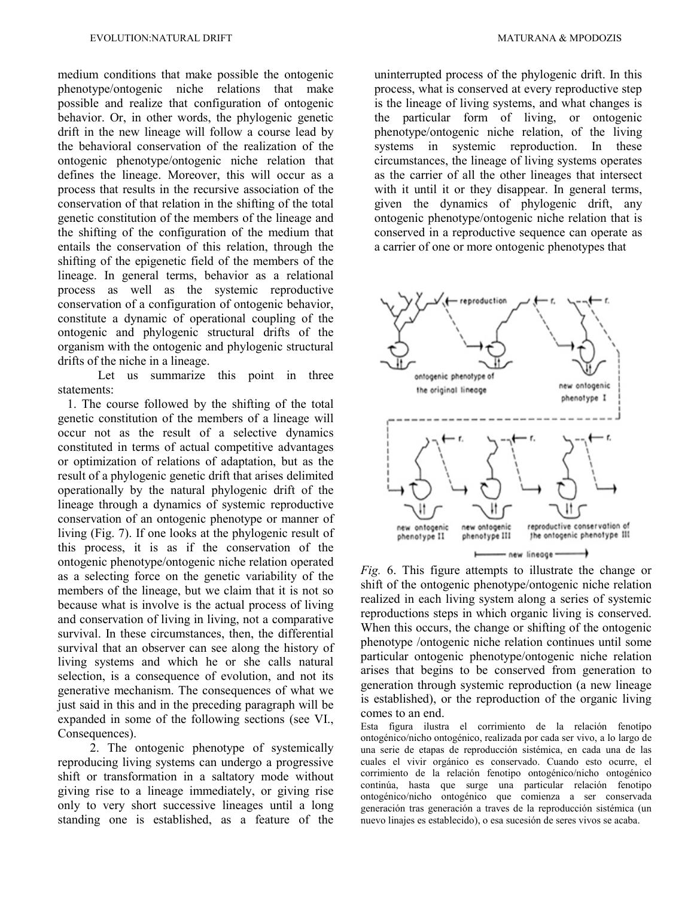medium conditions that make possible the ontogenic phenotype/ontogenic niche relations that make possible and realize that configuration of ontogenic behavior. Or, in other words, the phylogenic genetic drift in the new lineage will follow a course lead by the behavioral conservation of the realization of the ontogenic phenotype/ontogenic niche relation that defines the lineage. Moreover, this will occur as a process that results in the recursive association of the conservation of that relation in the shifting of the total genetic constitution of the members of the lineage and the shifting of the configuration of the medium that entails the conservation of this relation, through the shifting of the epigenetic field of the members of the lineage. In general terms, behavior as a relational process as well as the systemic reproductive conservation of a configuration of ontogenic behavior, constitute a dynamic of operational coupling of the ontogenic and phylogenic structural drifts of the organism with the ontogenic and phylogenic structural drifts of the niche in a lineage.

Let us summarize this point in three statements:

 1. The course followed by the shifting of the total genetic constitution of the members of a lineage will occur not as the result of a selective dynamics constituted in terms of actual competitive advantages or optimization of relations of adaptation, but as the result of a phylogenic genetic drift that arises delimited operationally by the natural phylogenic drift of the lineage through a dynamics of systemic reproductive conservation of an ontogenic phenotype or manner of living (Fig. 7). If one looks at the phylogenic result of this process, it is as if the conservation of the ontogenic phenotype/ontogenic niche relation operated as a selecting force on the genetic variability of the members of the lineage, but we claim that it is not so because what is involve is the actual process of living and conservation of living in living, not a comparative survival. In these circumstances, then, the differential survival that an observer can see along the history of living systems and which he or she calls natural selection, is a consequence of evolution, and not its generative mechanism. The consequences of what we just said in this and in the preceding paragraph will be expanded in some of the following sections (see VI., Consequences).

2. The ontogenic phenotype of systemically reproducing living systems can undergo a progressive shift or transformation in a saltatory mode without giving rise to a lineage immediately, or giving rise only to very short successive lineages until a long standing one is established, as a feature of the

uninterrupted process of the phylogenic drift. In this process, what is conserved at every reproductive step is the lineage of living systems, and what changes is the particular form of living, or ontogenic phenotype/ontogenic niche relation, of the living systems in systemic reproduction. In these circumstances, the lineage of living systems operates as the carrier of all the other lineages that intersect with it until it or they disappear. In general terms, given the dynamics of phylogenic drift, any ontogenic phenotype/ontogenic niche relation that is conserved in a reproductive sequence can operate as a carrier of one or more ontogenic phenotypes that



*Fig.* 6. This figure attempts to illustrate the change or shift of the ontogenic phenotype/ontogenic niche relation realized in each living system along a series of systemic reproductions steps in which organic living is conserved. When this occurs, the change or shifting of the ontogenic phenotype /ontogenic niche relation continues until some particular ontogenic phenotype/ontogenic niche relation arises that begins to be conserved from generation to generation through systemic reproduction (a new lineage is established), or the reproduction of the organic living comes to an end.

Esta figura ilustra el corrimiento de la relación fenotípo ontogénico/nicho ontogénico, realizada por cada ser vivo, a lo largo de una serie de etapas de reproducción sistémica, en cada una de las cuales el vivir orgánico es conservado. Cuando esto ocurre, el corrimiento de la relación fenotipo ontogénico/nicho ontogénico continúa, hasta que surge una particular relación fenotipo ontogénico/nicho ontogénico que comienza a ser conservada generación tras generación a traves de la reproducción sistémica (un nuevo linajes es establecido), o esa sucesión de seres vivos se acaba.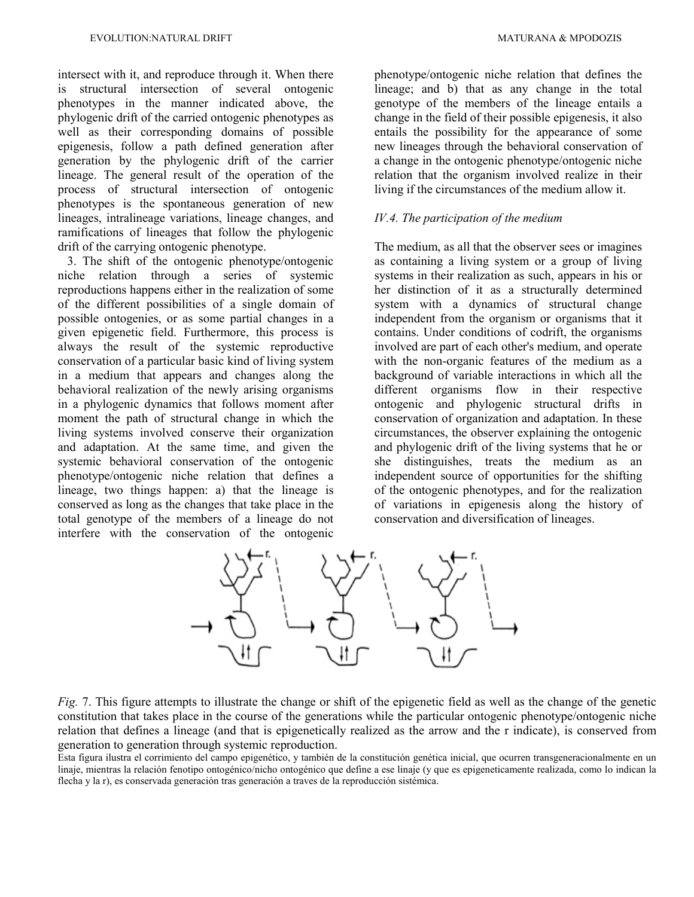intersect with it, and reproduce through it. When there is structural intersection of several ontogenic phenotypes in the manner indicated above, the phylogenic drift of the carried ontogenic phenotypes as well as their corresponding domains of possible epigenesis, follow a path defined generation after generation by the phylogenic drift of the carrier lineage. The general result of the operation of the process of structural intersection of ontogenic phenotypes is the spontaneous generation of new lineages, intralineage variations, lineage changes, and ramifications of lineages that follow the phylogenic drift of the carrying ontogenic phenotype.

 3. The shift of the ontogenic phenotype/ontogenic niche relation through a series of systemic reproductions happens either in the realization of some of the different possibilities of a single domain of possible ontogenies, or as some partial changes in a given epigenetic field. Furthermore, this process is always the result of the systemic reproductive conservation of a particular basic kind of living system in a medium that appears and changes along the behavioral realization of the newly arising organisms in a phylogenic dynamics that follows moment after moment the path of structural change in which the living systems involved conserve their organization and adaptation. At the same time, and given the systemic behavioral conservation of the ontogenic phenotype/ontogenic niche relation that defines a lineage, two things happen: a) that the lineage is conserved as long as the changes that take place in the total genotype of the members of a lineage do not interfere with the conservation of the ontogenic

phenotype/ontogenic niche relation that defines the lineage; and b) that as any change in the total genotype of the members of the lineage entails a change in the field of their possible epigenesis, it also entails the possibility for the appearance of some new lineages through the behavioral conservation of a change in the ontogenic phenotype/ontogenic niche relation that the organism involved realize in their living if the circumstances of the medium allow it.

# *IV.4. The participation of the medium*

The medium, as all that the observer sees or imagines as containing a living system or a group of living systems in their realization as such, appears in his or her distinction of it as a structurally determined system with a dynamics of structural change independent from the organism or organisms that it contains. Under conditions of codrift, the organisms involved are part of each other's medium, and operate with the non-organic features of the medium as a background of variable interactions in which all the different organisms flow in their respective ontogenic and phylogenic structural drifts in conservation of organization and adaptation. In these circumstances, the observer explaining the ontogenic and phylogenic drift of the living systems that he or she distinguishes, treats the medium as an independent source of opportunities for the shifting of the ontogenic phenotypes, and for the realization of variations in epigenesis along the history of conservation and diversification of lineages.



*Fig.* 7. This figure attempts to illustrate the change or shift of the epigenetic field as well as the change of the genetic constitution that takes place in the course of the generations while the particular ontogenic phenotype/ontogenic niche relation that defines a lineage (and that is epigenetically realized as the arrow and the r indicate), is conserved from generation to generation through systemic reproduction.

Esta figura ilustra el corrimiento del campo epigenético, y también de la constitución genética inicial, que ocurren transgeneracionalmente en un linaje, mientras la relación fenotipo ontogénico/nicho ontogénico que define a ese linaje (y que es epigeneticamente realizada, como lo indican la flecha y la r), es conservada generación tras generación a traves de la reproducción sistémica.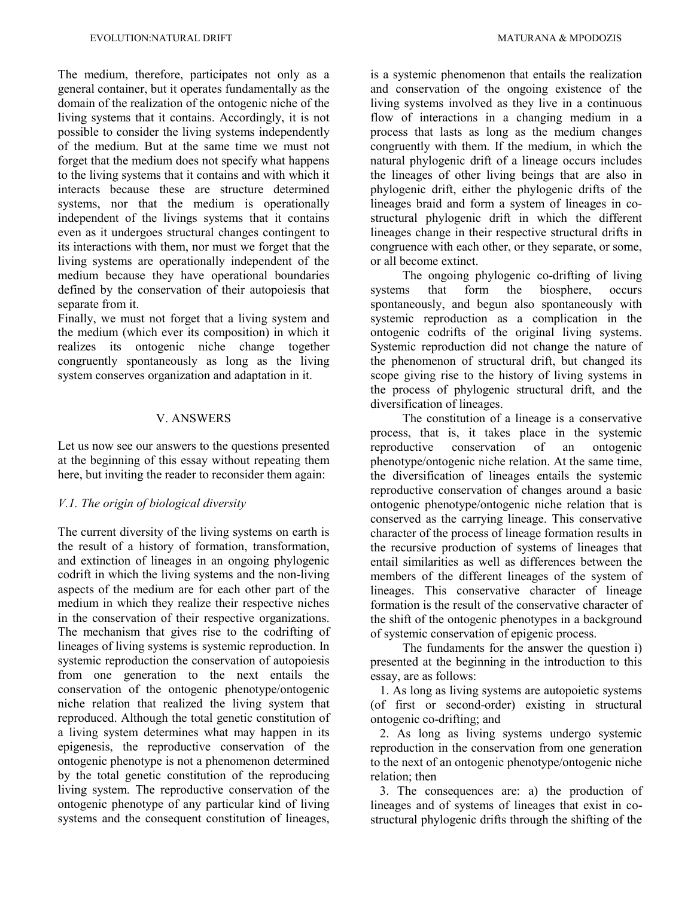The medium, therefore, participates not only as a general container, but it operates fundamentally as the domain of the realization of the ontogenic niche of the living systems that it contains. Accordingly, it is not possible to consider the living systems independently of the medium. But at the same time we must not forget that the medium does not specify what happens to the living systems that it contains and with which it interacts because these are structure determined systems, nor that the medium is operationally independent of the livings systems that it contains even as it undergoes structural changes contingent to its interactions with them, nor must we forget that the living systems are operationally independent of the medium because they have operational boundaries defined by the conservation of their autopoiesis that separate from it.

Finally, we must not forget that a living system and the medium (which ever its composition) in which it realizes its ontogenic niche change together congruently spontaneously as long as the living system conserves organization and adaptation in it.

# V. ANSWERS

Let us now see our answers to the questions presented at the beginning of this essay without repeating them here, but inviting the reader to reconsider them again:

#### *V.1. The origin of biological diversity*

The current diversity of the living systems on earth is the result of a history of formation, transformation, and extinction of lineages in an ongoing phylogenic codrift in which the living systems and the non-living aspects of the medium are for each other part of the medium in which they realize their respective niches in the conservation of their respective organizations. The mechanism that gives rise to the codrifting of lineages of living systems is systemic reproduction. In systemic reproduction the conservation of autopoiesis from one generation to the next entails the conservation of the ontogenic phenotype/ontogenic niche relation that realized the living system that reproduced. Although the total genetic constitution of a living system determines what may happen in its epigenesis, the reproductive conservation of the ontogenic phenotype is not a phenomenon determined by the total genetic constitution of the reproducing living system. The reproductive conservation of the ontogenic phenotype of any particular kind of living systems and the consequent constitution of lineages,

is a systemic phenomenon that entails the realization and conservation of the ongoing existence of the living systems involved as they live in a continuous flow of interactions in a changing medium in a process that lasts as long as the medium changes congruently with them. If the medium, in which the natural phylogenic drift of a lineage occurs includes the lineages of other living beings that are also in phylogenic drift, either the phylogenic drifts of the lineages braid and form a system of lineages in costructural phylogenic drift in which the different lineages change in their respective structural drifts in congruence with each other, or they separate, or some, or all become extinct.

The ongoing phylogenic co-drifting of living systems that form the biosphere, occurs spontaneously, and begun also spontaneously with systemic reproduction as a complication in the ontogenic codrifts of the original living systems. Systemic reproduction did not change the nature of the phenomenon of structural drift, but changed its scope giving rise to the history of living systems in the process of phylogenic structural drift, and the diversification of lineages.

The constitution of a lineage is a conservative process, that is, it takes place in the systemic reproductive conservation of an ontogenic phenotype/ontogenic niche relation. At the same time, the diversification of lineages entails the systemic reproductive conservation of changes around a basic ontogenic phenotype/ontogenic niche relation that is conserved as the carrying lineage. This conservative character of the process of lineage formation results in the recursive production of systems of lineages that entail similarities as well as differences between the members of the different lineages of the system of lineages. This conservative character of lineage formation is the result of the conservative character of the shift of the ontogenic phenotypes in a background of systemic conservation of epigenic process.

The fundaments for the answer the question i) presented at the beginning in the introduction to this essay, are as follows:

 1. As long as living systems are autopoietic systems (of first or second-order) existing in structural ontogenic co-drifting; and

 2. As long as living systems undergo systemic reproduction in the conservation from one generation to the next of an ontogenic phenotype/ontogenic niche relation; then

 3. The consequences are: a) the production of lineages and of systems of lineages that exist in costructural phylogenic drifts through the shifting of the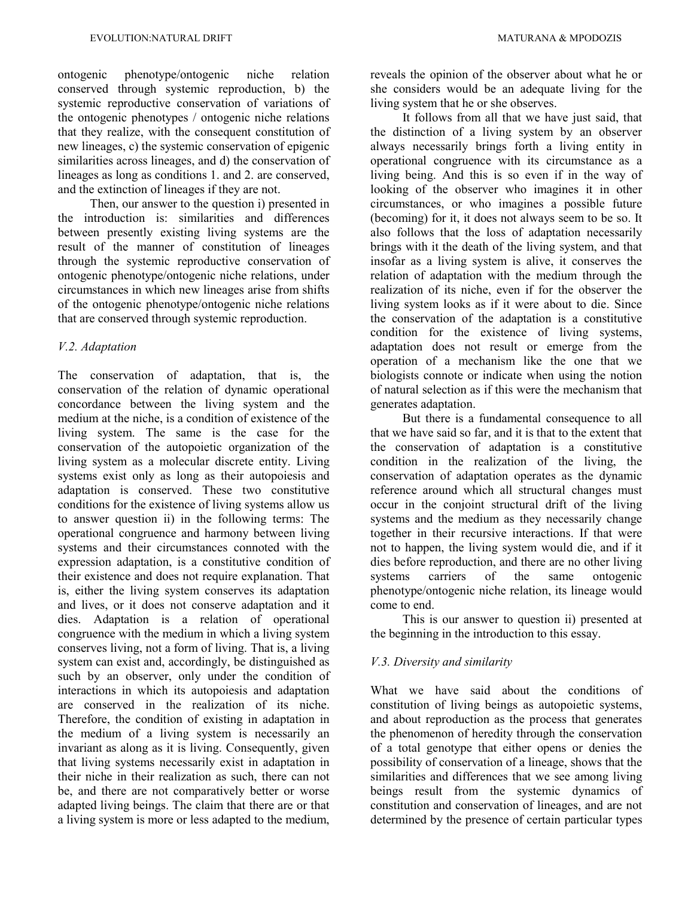ontogenic phenotype/ontogenic niche relation conserved through systemic reproduction, b) the systemic reproductive conservation of variations of the ontogenic phenotypes / ontogenic niche relations that they realize, with the consequent constitution of new lineages, c) the systemic conservation of epigenic similarities across lineages, and d) the conservation of lineages as long as conditions 1. and 2. are conserved, and the extinction of lineages if they are not.

Then, our answer to the question i) presented in the introduction is: similarities and differences between presently existing living systems are the result of the manner of constitution of lineages through the systemic reproductive conservation of ontogenic phenotype/ontogenic niche relations, under circumstances in which new lineages arise from shifts of the ontogenic phenotype/ontogenic niche relations that are conserved through systemic reproduction.

#### *V.2. Adaptation*

The conservation of adaptation, that is, the conservation of the relation of dynamic operational concordance between the living system and the medium at the niche, is a condition of existence of the living system. The same is the case for the conservation of the autopoietic organization of the living system as a molecular discrete entity. Living systems exist only as long as their autopoiesis and adaptation is conserved. These two constitutive conditions for the existence of living systems allow us to answer question ii) in the following terms: The operational congruence and harmony between living systems and their circumstances connoted with the expression adaptation, is a constitutive condition of their existence and does not require explanation. That is, either the living system conserves its adaptation and lives, or it does not conserve adaptation and it dies. Adaptation is a relation of operational congruence with the medium in which a living system conserves living, not a form of living. That is, a living system can exist and, accordingly, be distinguished as such by an observer, only under the condition of interactions in which its autopoiesis and adaptation are conserved in the realization of its niche. Therefore, the condition of existing in adaptation in the medium of a living system is necessarily an invariant as along as it is living. Consequently, given that living systems necessarily exist in adaptation in their niche in their realization as such, there can not be, and there are not comparatively better or worse adapted living beings. The claim that there are or that a living system is more or less adapted to the medium,

reveals the opinion of the observer about what he or she considers would be an adequate living for the living system that he or she observes.

It follows from all that we have just said, that the distinction of a living system by an observer always necessarily brings forth a living entity in operational congruence with its circumstance as a living being. And this is so even if in the way of looking of the observer who imagines it in other circumstances, or who imagines a possible future (becoming) for it, it does not always seem to be so. It also follows that the loss of adaptation necessarily brings with it the death of the living system, and that insofar as a living system is alive, it conserves the relation of adaptation with the medium through the realization of its niche, even if for the observer the living system looks as if it were about to die. Since the conservation of the adaptation is a constitutive condition for the existence of living systems, adaptation does not result or emerge from the operation of a mechanism like the one that we biologists connote or indicate when using the notion of natural selection as if this were the mechanism that generates adaptation.

But there is a fundamental consequence to all that we have said so far, and it is that to the extent that the conservation of adaptation is a constitutive condition in the realization of the living, the conservation of adaptation operates as the dynamic reference around which all structural changes must occur in the conjoint structural drift of the living systems and the medium as they necessarily change together in their recursive interactions. If that were not to happen, the living system would die, and if it dies before reproduction, and there are no other living systems carriers of the same ontogenic phenotype/ontogenic niche relation, its lineage would come to end.

This is our answer to question ii) presented at the beginning in the introduction to this essay.

### *V.3. Diversity and similarity*

What we have said about the conditions of constitution of living beings as autopoietic systems, and about reproduction as the process that generates the phenomenon of heredity through the conservation of a total genotype that either opens or denies the possibility of conservation of a lineage, shows that the similarities and differences that we see among living beings result from the systemic dynamics of constitution and conservation of lineages, and are not determined by the presence of certain particular types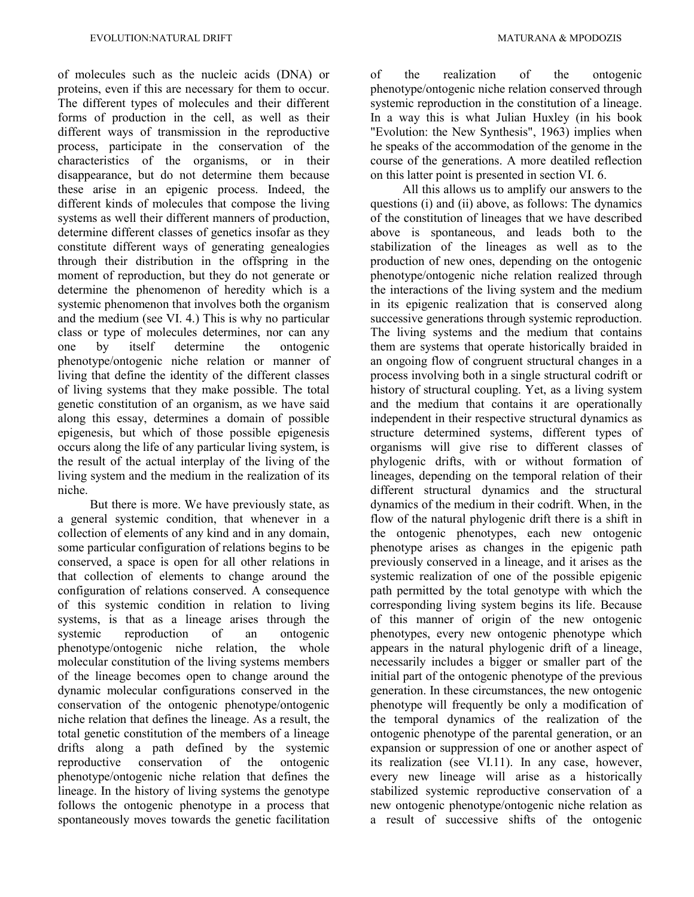of molecules such as the nucleic acids (DNA) or proteins, even if this are necessary for them to occur. The different types of molecules and their different forms of production in the cell, as well as their different ways of transmission in the reproductive process, participate in the conservation of the characteristics of the organisms, or in their disappearance, but do not determine them because these arise in an epigenic process. Indeed, the different kinds of molecules that compose the living systems as well their different manners of production, determine different classes of genetics insofar as they constitute different ways of generating genealogies through their distribution in the offspring in the moment of reproduction, but they do not generate or determine the phenomenon of heredity which is a systemic phenomenon that involves both the organism and the medium (see VI. 4.) This is why no particular class or type of molecules determines, nor can any one by itself determine the ontogenic phenotype/ontogenic niche relation or manner of living that define the identity of the different classes of living systems that they make possible. The total genetic constitution of an organism, as we have said along this essay, determines a domain of possible epigenesis, but which of those possible epigenesis occurs along the life of any particular living system, is the result of the actual interplay of the living of the living system and the medium in the realization of its niche.

But there is more. We have previously state, as a general systemic condition, that whenever in a collection of elements of any kind and in any domain, some particular configuration of relations begins to be conserved, a space is open for all other relations in that collection of elements to change around the configuration of relations conserved. A consequence of this systemic condition in relation to living systems, is that as a lineage arises through the systemic reproduction of an ontogenic phenotype/ontogenic niche relation, the whole molecular constitution of the living systems members of the lineage becomes open to change around the dynamic molecular configurations conserved in the conservation of the ontogenic phenotype/ontogenic niche relation that defines the lineage. As a result, the total genetic constitution of the members of a lineage drifts along a path defined by the systemic reproductive conservation of the ontogenic phenotype/ontogenic niche relation that defines the lineage. In the history of living systems the genotype follows the ontogenic phenotype in a process that spontaneously moves towards the genetic facilitation

of the realization of the ontogenic phenotype/ontogenic niche relation conserved through systemic reproduction in the constitution of a lineage. In a way this is what Julian Huxley (in his book "Evolution: the New Synthesis", 1963) implies when he speaks of the accommodation of the genome in the course of the generations. A more deatiled reflection on this latter point is presented in section VI. 6.

All this allows us to amplify our answers to the questions (i) and (ii) above, as follows: The dynamics of the constitution of lineages that we have described above is spontaneous, and leads both to the stabilization of the lineages as well as to the production of new ones, depending on the ontogenic phenotype/ontogenic niche relation realized through the interactions of the living system and the medium in its epigenic realization that is conserved along successive generations through systemic reproduction. The living systems and the medium that contains them are systems that operate historically braided in an ongoing flow of congruent structural changes in a process involving both in a single structural codrift or history of structural coupling. Yet, as a living system and the medium that contains it are operationally independent in their respective structural dynamics as structure determined systems, different types of organisms will give rise to different classes of phylogenic drifts, with or without formation of lineages, depending on the temporal relation of their different structural dynamics and the structural dynamics of the medium in their codrift. When, in the flow of the natural phylogenic drift there is a shift in the ontogenic phenotypes, each new ontogenic phenotype arises as changes in the epigenic path previously conserved in a lineage, and it arises as the systemic realization of one of the possible epigenic path permitted by the total genotype with which the corresponding living system begins its life. Because of this manner of origin of the new ontogenic phenotypes, every new ontogenic phenotype which appears in the natural phylogenic drift of a lineage, necessarily includes a bigger or smaller part of the initial part of the ontogenic phenotype of the previous generation. In these circumstances, the new ontogenic phenotype will frequently be only a modification of the temporal dynamics of the realization of the ontogenic phenotype of the parental generation, or an expansion or suppression of one or another aspect of its realization (see VI.11). In any case, however, every new lineage will arise as a historically stabilized systemic reproductive conservation of a new ontogenic phenotype/ontogenic niche relation as a result of successive shifts of the ontogenic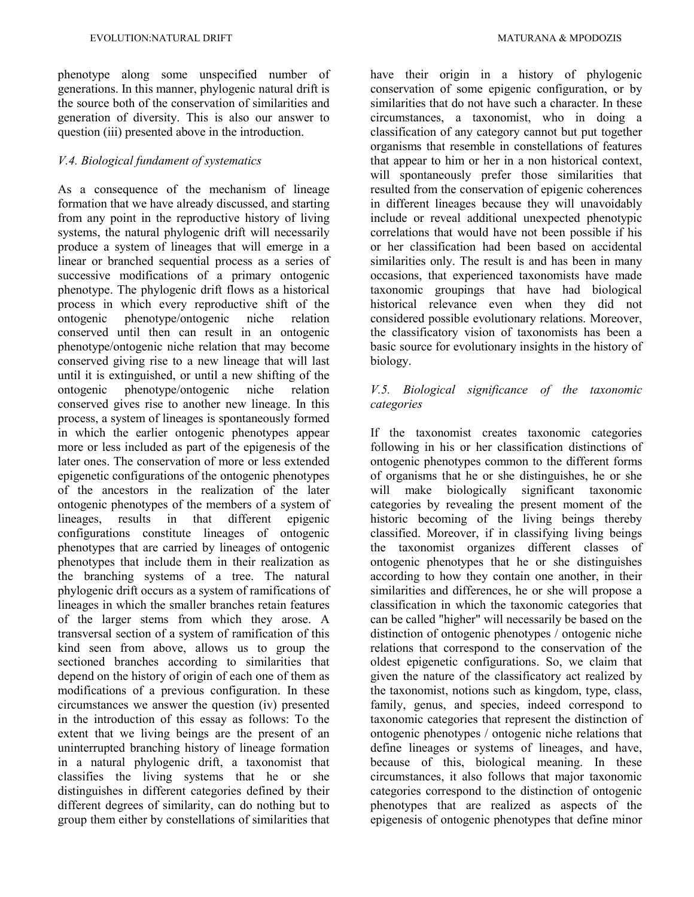phenotype along some unspecified number of generations. In this manner, phylogenic natural drift is the source both of the conservation of similarities and generation of diversity. This is also our answer to question (iii) presented above in the introduction.

# *V.4. Biological fundament of systematics*

As a consequence of the mechanism of lineage formation that we have already discussed, and starting from any point in the reproductive history of living systems, the natural phylogenic drift will necessarily produce a system of lineages that will emerge in a linear or branched sequential process as a series of successive modifications of a primary ontogenic phenotype. The phylogenic drift flows as a historical process in which every reproductive shift of the ontogenic phenotype/ontogenic niche relation conserved until then can result in an ontogenic phenotype/ontogenic niche relation that may become conserved giving rise to a new lineage that will last until it is extinguished, or until a new shifting of the ontogenic phenotype/ontogenic niche relation conserved gives rise to another new lineage. In this process, a system of lineages is spontaneously formed in which the earlier ontogenic phenotypes appear more or less included as part of the epigenesis of the later ones. The conservation of more or less extended epigenetic configurations of the ontogenic phenotypes of the ancestors in the realization of the later ontogenic phenotypes of the members of a system of lineages, results in that different epigenic configurations constitute lineages of ontogenic phenotypes that are carried by lineages of ontogenic phenotypes that include them in their realization as the branching systems of a tree. The natural phylogenic drift occurs as a system of ramifications of lineages in which the smaller branches retain features of the larger stems from which they arose. A transversal section of a system of ramification of this kind seen from above, allows us to group the sectioned branches according to similarities that depend on the history of origin of each one of them as modifications of a previous configuration. In these circumstances we answer the question (iv) presented in the introduction of this essay as follows: To the extent that we living beings are the present of an uninterrupted branching history of lineage formation in a natural phylogenic drift, a taxonomist that classifies the living systems that he or she distinguishes in different categories defined by their different degrees of similarity, can do nothing but to group them either by constellations of similarities that

have their origin in a history of phylogenic conservation of some epigenic configuration, or by similarities that do not have such a character. In these circumstances, a taxonomist, who in doing a classification of any category cannot but put together organisms that resemble in constellations of features that appear to him or her in a non historical context, will spontaneously prefer those similarities that resulted from the conservation of epigenic coherences in different lineages because they will unavoidably include or reveal additional unexpected phenotypic correlations that would have not been possible if his or her classification had been based on accidental similarities only. The result is and has been in many occasions, that experienced taxonomists have made taxonomic groupings that have had biological historical relevance even when they did not considered possible evolutionary relations. Moreover, the classificatory vision of taxonomists has been a basic source for evolutionary insights in the history of

# *V.5. Biological significance of the taxonomic categories*

biology.

If the taxonomist creates taxonomic categories following in his or her classification distinctions of ontogenic phenotypes common to the different forms of organisms that he or she distinguishes, he or she will make biologically significant taxonomic categories by revealing the present moment of the historic becoming of the living beings thereby classified. Moreover, if in classifying living beings the taxonomist organizes different classes of ontogenic phenotypes that he or she distinguishes according to how they contain one another, in their similarities and differences, he or she will propose a classification in which the taxonomic categories that can be called "higher" will necessarily be based on the distinction of ontogenic phenotypes / ontogenic niche relations that correspond to the conservation of the oldest epigenetic configurations. So, we claim that given the nature of the classificatory act realized by the taxonomist, notions such as kingdom, type, class, family, genus, and species, indeed correspond to taxonomic categories that represent the distinction of ontogenic phenotypes / ontogenic niche relations that define lineages or systems of lineages, and have, because of this, biological meaning. In these circumstances, it also follows that major taxonomic categories correspond to the distinction of ontogenic phenotypes that are realized as aspects of the epigenesis of ontogenic phenotypes that define minor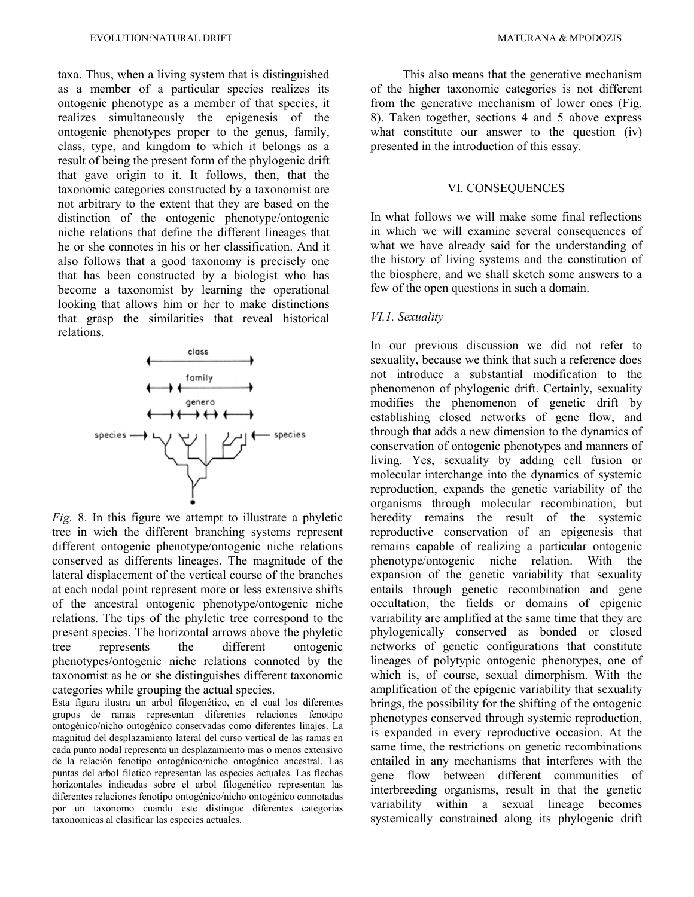taxa. Thus, when a living system that is distinguished as a member of a particular species realizes its ontogenic phenotype as a member of that species, it realizes simultaneously the epigenesis of the ontogenic phenotypes proper to the genus, family, class, type, and kingdom to which it belongs as a result of being the present form of the phylogenic drift that gave origin to it. It follows, then, that the taxonomic categories constructed by a taxonomist are not arbitrary to the extent that they are based on the distinction of the ontogenic phenotype/ontogenic niche relations that define the different lineages that he or she connotes in his or her classification. And it also follows that a good taxonomy is precisely one that has been constructed by a biologist who has become a taxonomist by learning the operational looking that allows him or her to make distinctions that grasp the similarities that reveal historical relations.



*Fig.* 8. In this figure we attempt to illustrate a phyletic tree in wich the different branching systems represent different ontogenic phenotype/ontogenic niche relations conserved as differents lineages. The magnitude of the lateral displacement of the vertical course of the branches at each nodal point represent more or less extensive shifts of the ancestral ontogenic phenotype/ontogenic niche relations. The tips of the phyletic tree correspond to the present species. The horizontal arrows above the phyletic tree represents the different ontogenic phenotypes/ontogenic niche relations connoted by the taxonomist as he or she distinguishes different taxonomic categories while grouping the actual species.

Esta figura ilustra un arbol filogenético, en el cual los diferentes grupos de ramas representan diferentes relaciones fenotipo ontogénico/nicho ontogénico conservadas como diferentes linajes. La magnitud del desplazamiento lateral del curso vertical de las ramas en cada punto nodal representa un desplazamiento mas o menos extensivo de la relación fenotipo ontogénico/nicho ontogénico ancestral. Las puntas del arbol filetico representan las especies actuales. Las flechas horizontales indicadas sobre el arbol filogenético representan las diferentes relaciones fenotipo ontogénico/nicho ontogénico connotadas por un taxonomo cuando este distingue diferentes categorias taxonomicas al clasificar las especies actuales.

This also means that the generative mechanism of the higher taxonomic categories is not different from the generative mechanism of lower ones (Fig. 8). Taken together, sections 4 and 5 above express what constitute our answer to the question (iv) presented in the introduction of this essay.

#### VI. CONSEQUENCES

In what follows we will make some final reflections in which we will examine several consequences of what we have already said for the understanding of the history of living systems and the constitution of the biosphere, and we shall sketch some answers to a few of the open questions in such a domain.

#### *VI.1. Sexuality*

In our previous discussion we did not refer to sexuality, because we think that such a reference does not introduce a substantial modification to the phenomenon of phylogenic drift. Certainly, sexuality modifies the phenomenon of genetic drift by establishing closed networks of gene flow, and through that adds a new dimension to the dynamics of conservation of ontogenic phenotypes and manners of living. Yes, sexuality by adding cell fusion or molecular interchange into the dynamics of systemic reproduction, expands the genetic variability of the organisms through molecular recombination, but heredity remains the result of the systemic reproductive conservation of an epigenesis that remains capable of realizing a particular ontogenic phenotype/ontogenic niche relation. With the expansion of the genetic variability that sexuality entails through genetic recombination and gene occultation, the fields or domains of epigenic variability are amplified at the same time that they are phylogenically conserved as bonded or closed networks of genetic configurations that constitute lineages of polytypic ontogenic phenotypes, one of which is, of course, sexual dimorphism. With the amplification of the epigenic variability that sexuality brings, the possibility for the shifting of the ontogenic phenotypes conserved through systemic reproduction, is expanded in every reproductive occasion. At the same time, the restrictions on genetic recombinations entailed in any mechanisms that interferes with the gene flow between different communities of interbreeding organisms, result in that the genetic variability within a sexual lineage becomes systemically constrained along its phylogenic drift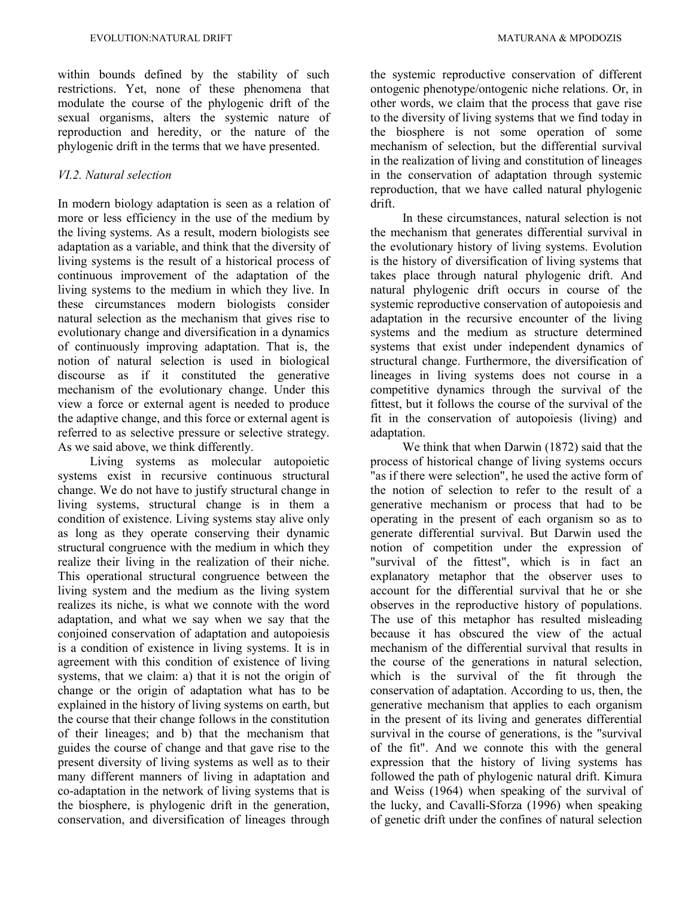within bounds defined by the stability of such restrictions. Yet, none of these phenomena that modulate the course of the phylogenic drift of the sexual organisms, alters the systemic nature of reproduction and heredity, or the nature of the phylogenic drift in the terms that we have presented.

# *VI.2. Natural selection*

In modern biology adaptation is seen as a relation of more or less efficiency in the use of the medium by the living systems. As a result, modern biologists see adaptation as a variable, and think that the diversity of living systems is the result of a historical process of continuous improvement of the adaptation of the living systems to the medium in which they live. In these circumstances modern biologists consider natural selection as the mechanism that gives rise to evolutionary change and diversification in a dynamics of continuously improving adaptation. That is, the notion of natural selection is used in biological discourse as if it constituted the generative mechanism of the evolutionary change. Under this view a force or external agent is needed to produce the adaptive change, and this force or external agent is referred to as selective pressure or selective strategy. As we said above, we think differently.

Living systems as molecular autopoietic systems exist in recursive continuous structural change. We do not have to justify structural change in living systems, structural change is in them a condition of existence. Living systems stay alive only as long as they operate conserving their dynamic structural congruence with the medium in which they realize their living in the realization of their niche. This operational structural congruence between the living system and the medium as the living system realizes its niche, is what we connote with the word adaptation, and what we say when we say that the conjoined conservation of adaptation and autopoiesis is a condition of existence in living systems. It is in agreement with this condition of existence of living systems, that we claim: a) that it is not the origin of change or the origin of adaptation what has to be explained in the history of living systems on earth, but the course that their change follows in the constitution of their lineages; and b) that the mechanism that guides the course of change and that gave rise to the present diversity of living systems as well as to their many different manners of living in adaptation and co-adaptation in the network of living systems that is the biosphere, is phylogenic drift in the generation, conservation, and diversification of lineages through

the systemic reproductive conservation of different ontogenic phenotype/ontogenic niche relations. Or, in other words, we claim that the process that gave rise to the diversity of living systems that we find today in the biosphere is not some operation of some mechanism of selection, but the differential survival in the realization of living and constitution of lineages in the conservation of adaptation through systemic reproduction, that we have called natural phylogenic drift.

In these circumstances, natural selection is not the mechanism that generates differential survival in the evolutionary history of living systems. Evolution is the history of diversification of living systems that takes place through natural phylogenic drift. And natural phylogenic drift occurs in course of the systemic reproductive conservation of autopoiesis and adaptation in the recursive encounter of the living systems and the medium as structure determined systems that exist under independent dynamics of structural change. Furthermore, the diversification of lineages in living systems does not course in a competitive dynamics through the survival of the fittest, but it follows the course of the survival of the fit in the conservation of autopoiesis (living) and adaptation.

We think that when Darwin (1872) said that the process of historical change of living systems occurs "as if there were selection", he used the active form of the notion of selection to refer to the result of a generative mechanism or process that had to be operating in the present of each organism so as to generate differential survival. But Darwin used the notion of competition under the expression of "survival of the fittest", which is in fact an explanatory metaphor that the observer uses to account for the differential survival that he or she observes in the reproductive history of populations. The use of this metaphor has resulted misleading because it has obscured the view of the actual mechanism of the differential survival that results in the course of the generations in natural selection, which is the survival of the fit through the conservation of adaptation. According to us, then, the generative mechanism that applies to each organism in the present of its living and generates differential survival in the course of generations, is the "survival of the fit". And we connote this with the general expression that the history of living systems has followed the path of phylogenic natural drift. Kimura and Weiss (1964) when speaking of the survival of the lucky, and Cavalli-Sforza (1996) when speaking of genetic drift under the confines of natural selection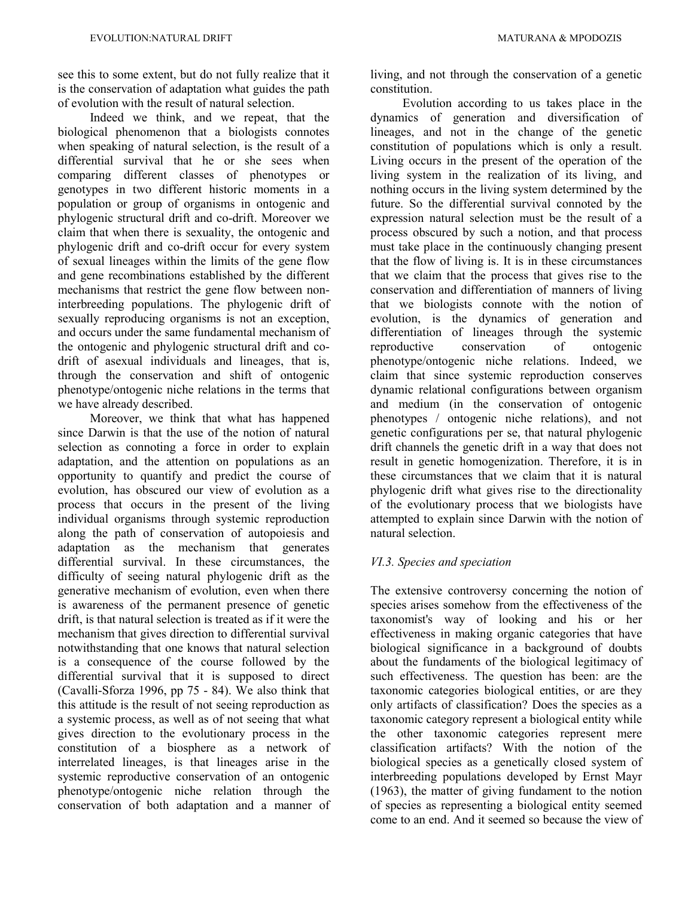see this to some extent, but do not fully realize that it is the conservation of adaptation what guides the path of evolution with the result of natural selection.

Indeed we think, and we repeat, that the biological phenomenon that a biologists connotes when speaking of natural selection, is the result of a differential survival that he or she sees when comparing different classes of phenotypes or genotypes in two different historic moments in a population or group of organisms in ontogenic and phylogenic structural drift and co-drift. Moreover we claim that when there is sexuality, the ontogenic and phylogenic drift and co-drift occur for every system of sexual lineages within the limits of the gene flow and gene recombinations established by the different mechanisms that restrict the gene flow between noninterbreeding populations. The phylogenic drift of sexually reproducing organisms is not an exception, and occurs under the same fundamental mechanism of the ontogenic and phylogenic structural drift and codrift of asexual individuals and lineages, that is, through the conservation and shift of ontogenic phenotype/ontogenic niche relations in the terms that we have already described.

Moreover, we think that what has happened since Darwin is that the use of the notion of natural selection as connoting a force in order to explain adaptation, and the attention on populations as an opportunity to quantify and predict the course of evolution, has obscured our view of evolution as a process that occurs in the present of the living individual organisms through systemic reproduction along the path of conservation of autopoiesis and adaptation as the mechanism that generates differential survival. In these circumstances, the difficulty of seeing natural phylogenic drift as the generative mechanism of evolution, even when there is awareness of the permanent presence of genetic drift, is that natural selection is treated as if it were the mechanism that gives direction to differential survival notwithstanding that one knows that natural selection is a consequence of the course followed by the differential survival that it is supposed to direct (Cavalli-Sforza 1996, pp 75 - 84). We also think that this attitude is the result of not seeing reproduction as a systemic process, as well as of not seeing that what gives direction to the evolutionary process in the constitution of a biosphere as a network of interrelated lineages, is that lineages arise in the systemic reproductive conservation of an ontogenic phenotype/ontogenic niche relation through the conservation of both adaptation and a manner of living, and not through the conservation of a genetic constitution.

Evolution according to us takes place in the dynamics of generation and diversification of lineages, and not in the change of the genetic constitution of populations which is only a result. Living occurs in the present of the operation of the living system in the realization of its living, and nothing occurs in the living system determined by the future. So the differential survival connoted by the expression natural selection must be the result of a process obscured by such a notion, and that process must take place in the continuously changing present that the flow of living is. It is in these circumstances that we claim that the process that gives rise to the conservation and differentiation of manners of living that we biologists connote with the notion of evolution, is the dynamics of generation and differentiation of lineages through the systemic reproductive conservation of ontogenic phenotype/ontogenic niche relations. Indeed, we claim that since systemic reproduction conserves dynamic relational configurations between organism and medium (in the conservation of ontogenic phenotypes / ontogenic niche relations), and not genetic configurations per se, that natural phylogenic drift channels the genetic drift in a way that does not result in genetic homogenization. Therefore, it is in these circumstances that we claim that it is natural phylogenic drift what gives rise to the directionality of the evolutionary process that we biologists have attempted to explain since Darwin with the notion of natural selection.

# *VI.3. Species and speciation*

The extensive controversy concerning the notion of species arises somehow from the effectiveness of the taxonomist's way of looking and his or her effectiveness in making organic categories that have biological significance in a background of doubts about the fundaments of the biological legitimacy of such effectiveness. The question has been: are the taxonomic categories biological entities, or are they only artifacts of classification? Does the species as a taxonomic category represent a biological entity while the other taxonomic categories represent mere classification artifacts? With the notion of the biological species as a genetically closed system of interbreeding populations developed by Ernst Mayr (1963), the matter of giving fundament to the notion of species as representing a biological entity seemed come to an end. And it seemed so because the view of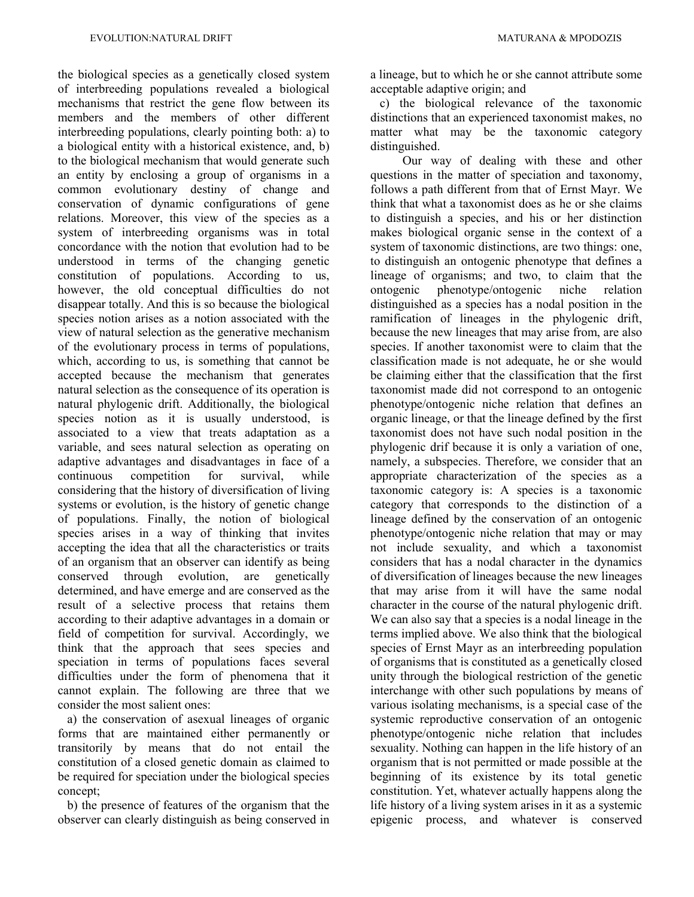the biological species as a genetically closed system of interbreeding populations revealed a biological mechanisms that restrict the gene flow between its members and the members of other different interbreeding populations, clearly pointing both: a) to a biological entity with a historical existence, and, b) to the biological mechanism that would generate such an entity by enclosing a group of organisms in a common evolutionary destiny of change and conservation of dynamic configurations of gene relations. Moreover, this view of the species as a system of interbreeding organisms was in total concordance with the notion that evolution had to be understood in terms of the changing genetic constitution of populations. According to us, however, the old conceptual difficulties do not disappear totally. And this is so because the biological species notion arises as a notion associated with the view of natural selection as the generative mechanism of the evolutionary process in terms of populations, which, according to us, is something that cannot be accepted because the mechanism that generates natural selection as the consequence of its operation is natural phylogenic drift. Additionally, the biological species notion as it is usually understood, is associated to a view that treats adaptation as a variable, and sees natural selection as operating on adaptive advantages and disadvantages in face of a continuous competition for survival, while considering that the history of diversification of living systems or evolution, is the history of genetic change of populations. Finally, the notion of biological species arises in a way of thinking that invites accepting the idea that all the characteristics or traits of an organism that an observer can identify as being conserved through evolution, are genetically determined, and have emerge and are conserved as the result of a selective process that retains them according to their adaptive advantages in a domain or field of competition for survival. Accordingly, we think that the approach that sees species and speciation in terms of populations faces several difficulties under the form of phenomena that it cannot explain. The following are three that we consider the most salient ones:

 a) the conservation of asexual lineages of organic forms that are maintained either permanently or transitorily by means that do not entail the constitution of a closed genetic domain as claimed to be required for speciation under the biological species concept;

 b) the presence of features of the organism that the observer can clearly distinguish as being conserved in a lineage, but to which he or she cannot attribute some acceptable adaptive origin; and

 c) the biological relevance of the taxonomic distinctions that an experienced taxonomist makes, no matter what may be the taxonomic category distinguished.

Our way of dealing with these and other questions in the matter of speciation and taxonomy, follows a path different from that of Ernst Mayr. We think that what a taxonomist does as he or she claims to distinguish a species, and his or her distinction makes biological organic sense in the context of a system of taxonomic distinctions, are two things: one, to distinguish an ontogenic phenotype that defines a lineage of organisms; and two, to claim that the ontogenic phenotype/ontogenic niche relation distinguished as a species has a nodal position in the ramification of lineages in the phylogenic drift, because the new lineages that may arise from, are also species. If another taxonomist were to claim that the classification made is not adequate, he or she would be claiming either that the classification that the first taxonomist made did not correspond to an ontogenic phenotype/ontogenic niche relation that defines an organic lineage, or that the lineage defined by the first taxonomist does not have such nodal position in the phylogenic drif because it is only a variation of one, namely, a subspecies. Therefore, we consider that an appropriate characterization of the species as a taxonomic category is: A species is a taxonomic category that corresponds to the distinction of a lineage defined by the conservation of an ontogenic phenotype/ontogenic niche relation that may or may not include sexuality, and which a taxonomist considers that has a nodal character in the dynamics of diversification of lineages because the new lineages that may arise from it will have the same nodal character in the course of the natural phylogenic drift. We can also say that a species is a nodal lineage in the terms implied above. We also think that the biological species of Ernst Mayr as an interbreeding population of organisms that is constituted as a genetically closed unity through the biological restriction of the genetic interchange with other such populations by means of various isolating mechanisms, is a special case of the systemic reproductive conservation of an ontogenic phenotype/ontogenic niche relation that includes sexuality. Nothing can happen in the life history of an organism that is not permitted or made possible at the beginning of its existence by its total genetic constitution. Yet, whatever actually happens along the life history of a living system arises in it as a systemic epigenic process, and whatever is conserved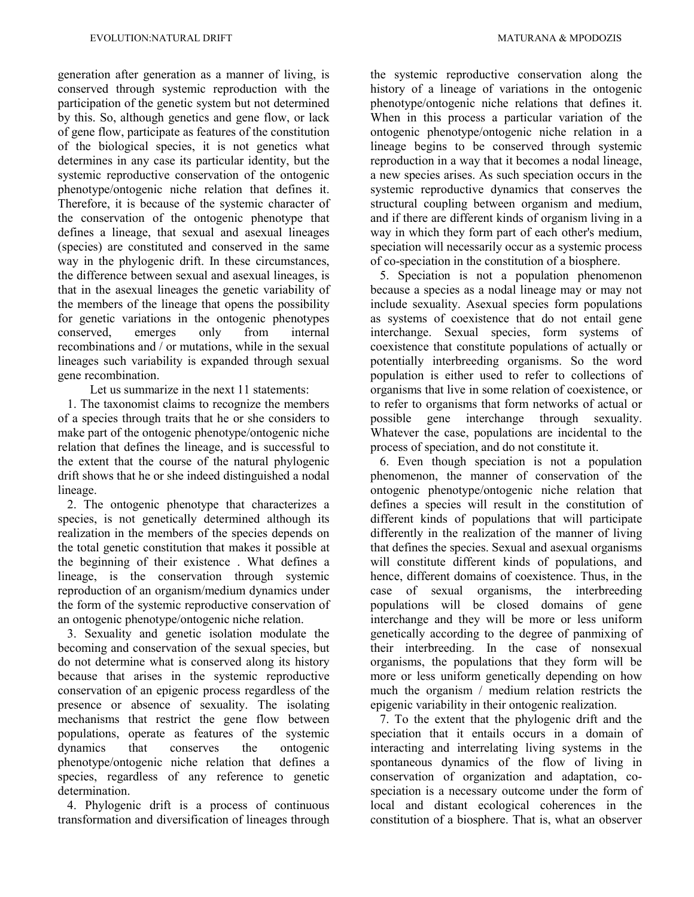generation after generation as a manner of living, is conserved through systemic reproduction with the participation of the genetic system but not determined by this. So, although genetics and gene flow, or lack of gene flow, participate as features of the constitution of the biological species, it is not genetics what determines in any case its particular identity, but the systemic reproductive conservation of the ontogenic phenotype/ontogenic niche relation that defines it. Therefore, it is because of the systemic character of the conservation of the ontogenic phenotype that defines a lineage, that sexual and asexual lineages (species) are constituted and conserved in the same way in the phylogenic drift. In these circumstances, the difference between sexual and asexual lineages, is that in the asexual lineages the genetic variability of the members of the lineage that opens the possibility for genetic variations in the ontogenic phenotypes conserved, emerges only from internal recombinations and / or mutations, while in the sexual lineages such variability is expanded through sexual gene recombination.

Let us summarize in the next 11 statements:

 1. The taxonomist claims to recognize the members of a species through traits that he or she considers to make part of the ontogenic phenotype/ontogenic niche relation that defines the lineage, and is successful to the extent that the course of the natural phylogenic drift shows that he or she indeed distinguished a nodal lineage.

 2. The ontogenic phenotype that characterizes a species, is not genetically determined although its realization in the members of the species depends on the total genetic constitution that makes it possible at the beginning of their existence . What defines a lineage, is the conservation through systemic reproduction of an organism/medium dynamics under the form of the systemic reproductive conservation of an ontogenic phenotype/ontogenic niche relation.

 3. Sexuality and genetic isolation modulate the becoming and conservation of the sexual species, but do not determine what is conserved along its history because that arises in the systemic reproductive conservation of an epigenic process regardless of the presence or absence of sexuality. The isolating mechanisms that restrict the gene flow between populations, operate as features of the systemic dynamics that conserves the ontogenic phenotype/ontogenic niche relation that defines a species, regardless of any reference to genetic determination.

 4. Phylogenic drift is a process of continuous transformation and diversification of lineages through the systemic reproductive conservation along the history of a lineage of variations in the ontogenic phenotype/ontogenic niche relations that defines it. When in this process a particular variation of the ontogenic phenotype/ontogenic niche relation in a lineage begins to be conserved through systemic reproduction in a way that it becomes a nodal lineage, a new species arises. As such speciation occurs in the systemic reproductive dynamics that conserves the structural coupling between organism and medium, and if there are different kinds of organism living in a way in which they form part of each other's medium, speciation will necessarily occur as a systemic process of co-speciation in the constitution of a biosphere.

 5. Speciation is not a population phenomenon because a species as a nodal lineage may or may not include sexuality. Asexual species form populations as systems of coexistence that do not entail gene interchange. Sexual species, form systems of coexistence that constitute populations of actually or potentially interbreeding organisms. So the word population is either used to refer to collections of organisms that live in some relation of coexistence, or to refer to organisms that form networks of actual or possible gene interchange through sexuality. Whatever the case, populations are incidental to the process of speciation, and do not constitute it.

 6. Even though speciation is not a population phenomenon, the manner of conservation of the ontogenic phenotype/ontogenic niche relation that defines a species will result in the constitution of different kinds of populations that will participate differently in the realization of the manner of living that defines the species. Sexual and asexual organisms will constitute different kinds of populations, and hence, different domains of coexistence. Thus, in the case of sexual organisms, the interbreeding populations will be closed domains of gene interchange and they will be more or less uniform genetically according to the degree of panmixing of their interbreeding. In the case of nonsexual organisms, the populations that they form will be more or less uniform genetically depending on how much the organism / medium relation restricts the epigenic variability in their ontogenic realization.

 7. To the extent that the phylogenic drift and the speciation that it entails occurs in a domain of interacting and interrelating living systems in the spontaneous dynamics of the flow of living in conservation of organization and adaptation, cospeciation is a necessary outcome under the form of local and distant ecological coherences in the constitution of a biosphere. That is, what an observer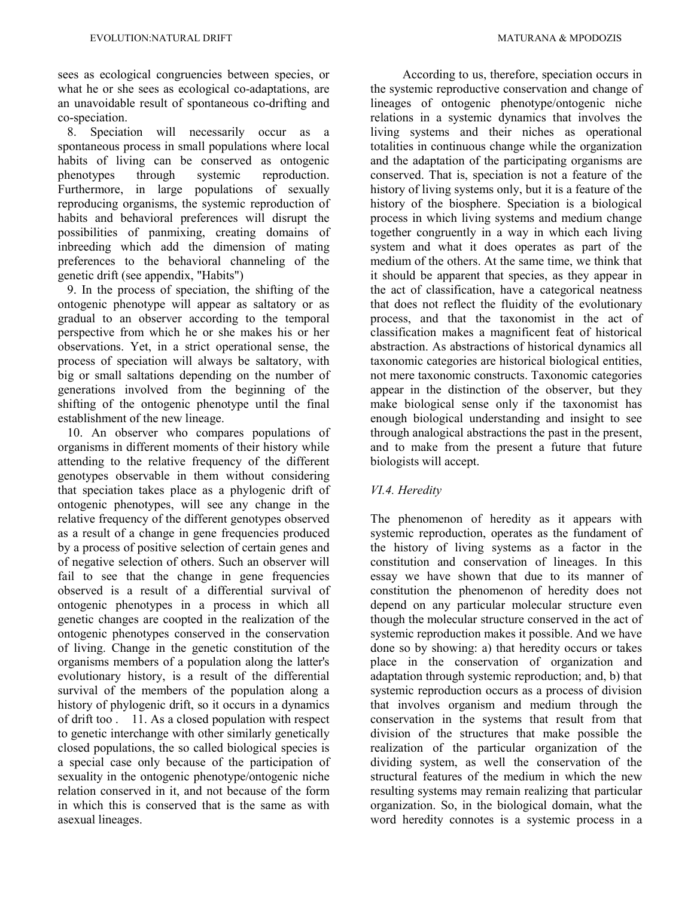sees as ecological congruencies between species, or what he or she sees as ecological co-adaptations, are an unavoidable result of spontaneous co-drifting and co-speciation.

 8. Speciation will necessarily occur as a spontaneous process in small populations where local habits of living can be conserved as ontogenic phenotypes through systemic reproduction. Furthermore, in large populations of sexually reproducing organisms, the systemic reproduction of habits and behavioral preferences will disrupt the possibilities of panmixing, creating domains of inbreeding which add the dimension of mating preferences to the behavioral channeling of the genetic drift (see appendix, "Habits")

 9. In the process of speciation, the shifting of the ontogenic phenotype will appear as saltatory or as gradual to an observer according to the temporal perspective from which he or she makes his or her observations. Yet, in a strict operational sense, the process of speciation will always be saltatory, with big or small saltations depending on the number of generations involved from the beginning of the shifting of the ontogenic phenotype until the final establishment of the new lineage.

 10. An observer who compares populations of organisms in different moments of their history while attending to the relative frequency of the different genotypes observable in them without considering that speciation takes place as a phylogenic drift of ontogenic phenotypes, will see any change in the relative frequency of the different genotypes observed as a result of a change in gene frequencies produced by a process of positive selection of certain genes and of negative selection of others. Such an observer will fail to see that the change in gene frequencies observed is a result of a differential survival of ontogenic phenotypes in a process in which all genetic changes are coopted in the realization of the ontogenic phenotypes conserved in the conservation of living. Change in the genetic constitution of the organisms members of a population along the latter's evolutionary history, is a result of the differential survival of the members of the population along a history of phylogenic drift, so it occurs in a dynamics of drift too . 11. As a closed population with respect to genetic interchange with other similarly genetically closed populations, the so called biological species is a special case only because of the participation of sexuality in the ontogenic phenotype/ontogenic niche relation conserved in it, and not because of the form in which this is conserved that is the same as with asexual lineages.

According to us, therefore, speciation occurs in the systemic reproductive conservation and change of lineages of ontogenic phenotype/ontogenic niche relations in a systemic dynamics that involves the living systems and their niches as operational totalities in continuous change while the organization and the adaptation of the participating organisms are conserved. That is, speciation is not a feature of the history of living systems only, but it is a feature of the history of the biosphere. Speciation is a biological process in which living systems and medium change together congruently in a way in which each living system and what it does operates as part of the medium of the others. At the same time, we think that it should be apparent that species, as they appear in the act of classification, have a categorical neatness that does not reflect the fluidity of the evolutionary process, and that the taxonomist in the act of classification makes a magnificent feat of historical abstraction. As abstractions of historical dynamics all taxonomic categories are historical biological entities, not mere taxonomic constructs. Taxonomic categories appear in the distinction of the observer, but they make biological sense only if the taxonomist has enough biological understanding and insight to see through analogical abstractions the past in the present, and to make from the present a future that future biologists will accept.

# *VI.4. Heredity*

The phenomenon of heredity as it appears with systemic reproduction, operates as the fundament of the history of living systems as a factor in the constitution and conservation of lineages. In this essay we have shown that due to its manner of constitution the phenomenon of heredity does not depend on any particular molecular structure even though the molecular structure conserved in the act of systemic reproduction makes it possible. And we have done so by showing: a) that heredity occurs or takes place in the conservation of organization and adaptation through systemic reproduction; and, b) that systemic reproduction occurs as a process of division that involves organism and medium through the conservation in the systems that result from that division of the structures that make possible the realization of the particular organization of the dividing system, as well the conservation of the structural features of the medium in which the new resulting systems may remain realizing that particular organization. So, in the biological domain, what the word heredity connotes is a systemic process in a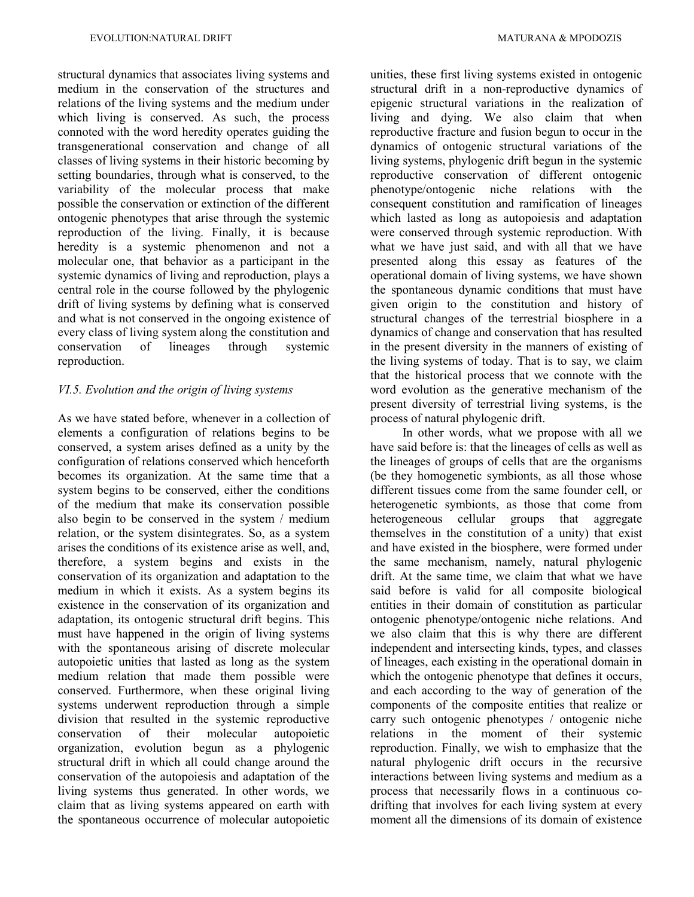structural dynamics that associates living systems and medium in the conservation of the structures and relations of the living systems and the medium under which living is conserved. As such, the process connoted with the word heredity operates guiding the transgenerational conservation and change of all classes of living systems in their historic becoming by setting boundaries, through what is conserved, to the variability of the molecular process that make possible the conservation or extinction of the different ontogenic phenotypes that arise through the systemic reproduction of the living. Finally, it is because heredity is a systemic phenomenon and not a molecular one, that behavior as a participant in the systemic dynamics of living and reproduction, plays a central role in the course followed by the phylogenic drift of living systems by defining what is conserved and what is not conserved in the ongoing existence of every class of living system along the constitution and conservation of lineages through systemic reproduction.

# *VI.5. Evolution and the origin of living systems*

As we have stated before, whenever in a collection of elements a configuration of relations begins to be conserved, a system arises defined as a unity by the configuration of relations conserved which henceforth becomes its organization. At the same time that a system begins to be conserved, either the conditions of the medium that make its conservation possible also begin to be conserved in the system / medium relation, or the system disintegrates. So, as a system arises the conditions of its existence arise as well, and, therefore, a system begins and exists in the conservation of its organization and adaptation to the medium in which it exists. As a system begins its existence in the conservation of its organization and adaptation, its ontogenic structural drift begins. This must have happened in the origin of living systems with the spontaneous arising of discrete molecular autopoietic unities that lasted as long as the system medium relation that made them possible were conserved. Furthermore, when these original living systems underwent reproduction through a simple division that resulted in the systemic reproductive conservation of their molecular autopoietic organization, evolution begun as a phylogenic structural drift in which all could change around the conservation of the autopoiesis and adaptation of the living systems thus generated. In other words, we claim that as living systems appeared on earth with the spontaneous occurrence of molecular autopoietic

unities, these first living systems existed in ontogenic structural drift in a non-reproductive dynamics of epigenic structural variations in the realization of living and dying. We also claim that when reproductive fracture and fusion begun to occur in the dynamics of ontogenic structural variations of the living systems, phylogenic drift begun in the systemic reproductive conservation of different ontogenic phenotype/ontogenic niche relations with the consequent constitution and ramification of lineages which lasted as long as autopoiesis and adaptation were conserved through systemic reproduction. With what we have just said, and with all that we have presented along this essay as features of the operational domain of living systems, we have shown the spontaneous dynamic conditions that must have given origin to the constitution and history of structural changes of the terrestrial biosphere in a dynamics of change and conservation that has resulted in the present diversity in the manners of existing of the living systems of today. That is to say, we claim that the historical process that we connote with the word evolution as the generative mechanism of the present diversity of terrestrial living systems, is the process of natural phylogenic drift.

In other words, what we propose with all we have said before is: that the lineages of cells as well as the lineages of groups of cells that are the organisms (be they homogenetic symbionts, as all those whose different tissues come from the same founder cell, or heterogenetic symbionts, as those that come from heterogeneous cellular groups that aggregate themselves in the constitution of a unity) that exist and have existed in the biosphere, were formed under the same mechanism, namely, natural phylogenic drift. At the same time, we claim that what we have said before is valid for all composite biological entities in their domain of constitution as particular ontogenic phenotype/ontogenic niche relations. And we also claim that this is why there are different independent and intersecting kinds, types, and classes of lineages, each existing in the operational domain in which the ontogenic phenotype that defines it occurs, and each according to the way of generation of the components of the composite entities that realize or carry such ontogenic phenotypes / ontogenic niche relations in the moment of their systemic reproduction. Finally, we wish to emphasize that the natural phylogenic drift occurs in the recursive interactions between living systems and medium as a process that necessarily flows in a continuous codrifting that involves for each living system at every moment all the dimensions of its domain of existence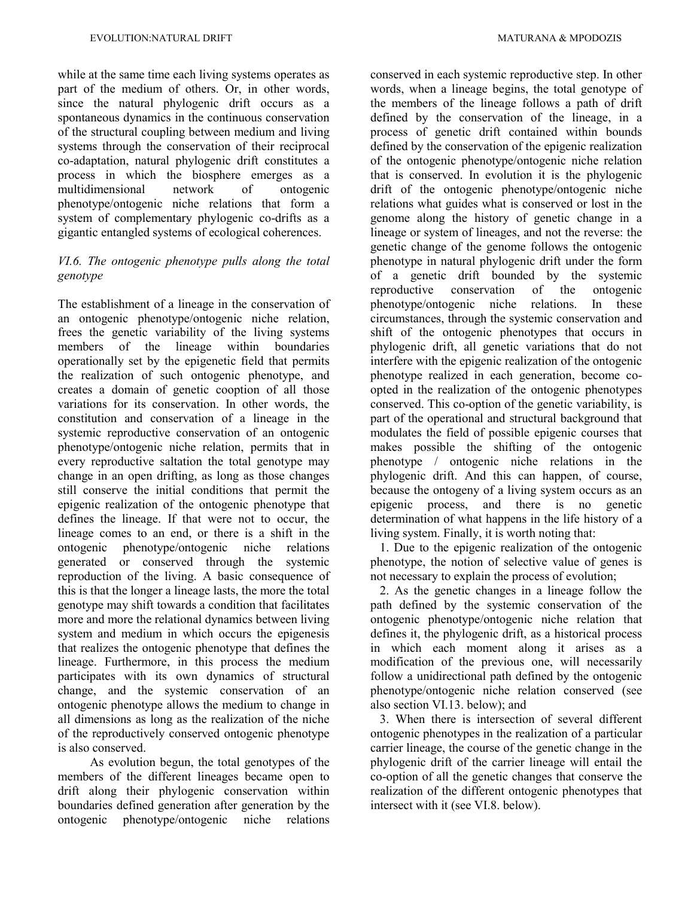while at the same time each living systems operates as part of the medium of others. Or, in other words, since the natural phylogenic drift occurs as a spontaneous dynamics in the continuous conservation of the structural coupling between medium and living systems through the conservation of their reciprocal co-adaptation, natural phylogenic drift constitutes a process in which the biosphere emerges as a multidimensional network of ontogenic phenotype/ontogenic niche relations that form a system of complementary phylogenic co-drifts as a gigantic entangled systems of ecological coherences.

# *VI.6. The ontogenic phenotype pulls along the total genotype*

The establishment of a lineage in the conservation of an ontogenic phenotype/ontogenic niche relation, frees the genetic variability of the living systems members of the lineage within boundaries operationally set by the epigenetic field that permits the realization of such ontogenic phenotype, and creates a domain of genetic cooption of all those variations for its conservation. In other words, the constitution and conservation of a lineage in the systemic reproductive conservation of an ontogenic phenotype/ontogenic niche relation, permits that in every reproductive saltation the total genotype may change in an open drifting, as long as those changes still conserve the initial conditions that permit the epigenic realization of the ontogenic phenotype that defines the lineage. If that were not to occur, the lineage comes to an end, or there is a shift in the ontogenic phenotype/ontogenic niche relations generated or conserved through the systemic reproduction of the living. A basic consequence of this is that the longer a lineage lasts, the more the total genotype may shift towards a condition that facilitates more and more the relational dynamics between living system and medium in which occurs the epigenesis that realizes the ontogenic phenotype that defines the lineage. Furthermore, in this process the medium participates with its own dynamics of structural change, and the systemic conservation of an ontogenic phenotype allows the medium to change in all dimensions as long as the realization of the niche of the reproductively conserved ontogenic phenotype is also conserved.

As evolution begun, the total genotypes of the members of the different lineages became open to drift along their phylogenic conservation within boundaries defined generation after generation by the ontogenic phenotype/ontogenic niche relations conserved in each systemic reproductive step. In other words, when a lineage begins, the total genotype of the members of the lineage follows a path of drift defined by the conservation of the lineage, in a process of genetic drift contained within bounds defined by the conservation of the epigenic realization of the ontogenic phenotype/ontogenic niche relation that is conserved. In evolution it is the phylogenic drift of the ontogenic phenotype/ontogenic niche relations what guides what is conserved or lost in the genome along the history of genetic change in a lineage or system of lineages, and not the reverse: the genetic change of the genome follows the ontogenic phenotype in natural phylogenic drift under the form of a genetic drift bounded by the systemic reproductive conservation of the ontogenic phenotype/ontogenic niche relations. In these circumstances, through the systemic conservation and shift of the ontogenic phenotypes that occurs in phylogenic drift, all genetic variations that do not interfere with the epigenic realization of the ontogenic phenotype realized in each generation, become coopted in the realization of the ontogenic phenotypes conserved. This co-option of the genetic variability, is part of the operational and structural background that modulates the field of possible epigenic courses that makes possible the shifting of the ontogenic phenotype / ontogenic niche relations in the phylogenic drift. And this can happen, of course, because the ontogeny of a living system occurs as an epigenic process, and there is no genetic determination of what happens in the life history of a living system. Finally, it is worth noting that:

 1. Due to the epigenic realization of the ontogenic phenotype, the notion of selective value of genes is not necessary to explain the process of evolution;

 2. As the genetic changes in a lineage follow the path defined by the systemic conservation of the ontogenic phenotype/ontogenic niche relation that defines it, the phylogenic drift, as a historical process in which each moment along it arises as a modification of the previous one, will necessarily follow a unidirectional path defined by the ontogenic phenotype/ontogenic niche relation conserved (see also section VI.13. below); and

 3. When there is intersection of several different ontogenic phenotypes in the realization of a particular carrier lineage, the course of the genetic change in the phylogenic drift of the carrier lineage will entail the co-option of all the genetic changes that conserve the realization of the different ontogenic phenotypes that intersect with it (see VI.8. below).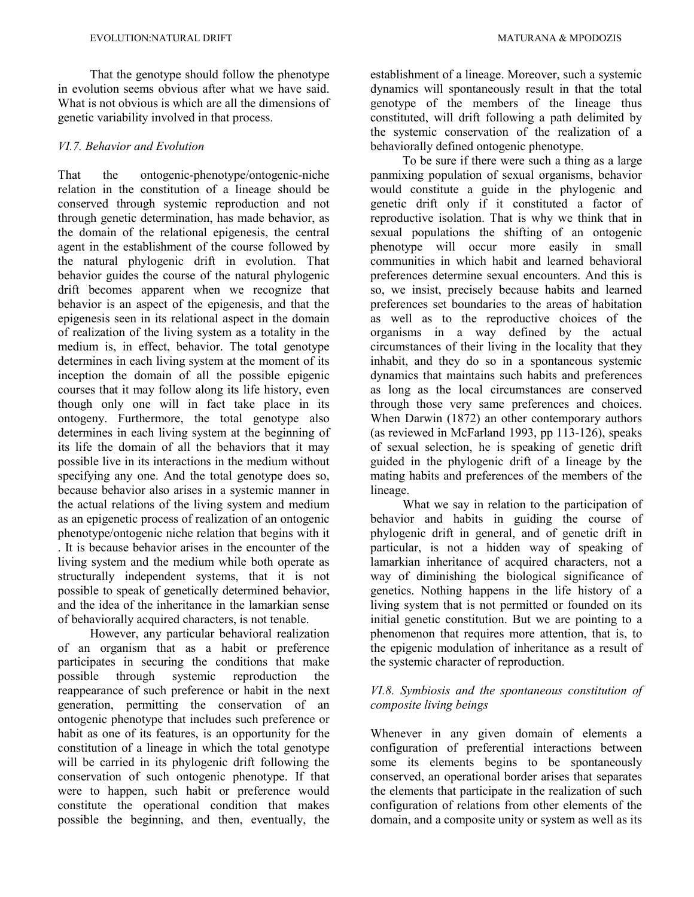That the genotype should follow the phenotype in evolution seems obvious after what we have said. What is not obvious is which are all the dimensions of genetic variability involved in that process.

# *VI.7. Behavior and Evolution*

That the ontogenic-phenotype/ontogenic-niche relation in the constitution of a lineage should be conserved through systemic reproduction and not through genetic determination, has made behavior, as the domain of the relational epigenesis, the central agent in the establishment of the course followed by the natural phylogenic drift in evolution. That behavior guides the course of the natural phylogenic drift becomes apparent when we recognize that behavior is an aspect of the epigenesis, and that the epigenesis seen in its relational aspect in the domain of realization of the living system as a totality in the medium is, in effect, behavior. The total genotype determines in each living system at the moment of its inception the domain of all the possible epigenic courses that it may follow along its life history, even though only one will in fact take place in its ontogeny. Furthermore, the total genotype also determines in each living system at the beginning of its life the domain of all the behaviors that it may possible live in its interactions in the medium without specifying any one. And the total genotype does so, because behavior also arises in a systemic manner in the actual relations of the living system and medium as an epigenetic process of realization of an ontogenic phenotype/ontogenic niche relation that begins with it . It is because behavior arises in the encounter of the living system and the medium while both operate as structurally independent systems, that it is not possible to speak of genetically determined behavior, and the idea of the inheritance in the lamarkian sense of behaviorally acquired characters, is not tenable.

However, any particular behavioral realization of an organism that as a habit or preference participates in securing the conditions that make possible through systemic reproduction the reappearance of such preference or habit in the next generation, permitting the conservation of an ontogenic phenotype that includes such preference or habit as one of its features, is an opportunity for the constitution of a lineage in which the total genotype will be carried in its phylogenic drift following the conservation of such ontogenic phenotype. If that were to happen, such habit or preference would constitute the operational condition that makes possible the beginning, and then, eventually, the

establishment of a lineage. Moreover, such a systemic dynamics will spontaneously result in that the total genotype of the members of the lineage thus constituted, will drift following a path delimited by the systemic conservation of the realization of a behaviorally defined ontogenic phenotype.

To be sure if there were such a thing as a large panmixing population of sexual organisms, behavior would constitute a guide in the phylogenic and genetic drift only if it constituted a factor of reproductive isolation. That is why we think that in sexual populations the shifting of an ontogenic phenotype will occur more easily in small communities in which habit and learned behavioral preferences determine sexual encounters. And this is so, we insist, precisely because habits and learned preferences set boundaries to the areas of habitation as well as to the reproductive choices of the organisms in a way defined by the actual circumstances of their living in the locality that they inhabit, and they do so in a spontaneous systemic dynamics that maintains such habits and preferences as long as the local circumstances are conserved through those very same preferences and choices. When Darwin (1872) an other contemporary authors (as reviewed in McFarland 1993, pp 113-126), speaks of sexual selection, he is speaking of genetic drift guided in the phylogenic drift of a lineage by the mating habits and preferences of the members of the lineage.

What we say in relation to the participation of behavior and habits in guiding the course of phylogenic drift in general, and of genetic drift in particular, is not a hidden way of speaking of lamarkian inheritance of acquired characters, not a way of diminishing the biological significance of genetics. Nothing happens in the life history of a living system that is not permitted or founded on its initial genetic constitution. But we are pointing to a phenomenon that requires more attention, that is, to the epigenic modulation of inheritance as a result of the systemic character of reproduction.

# *VI.8. Symbiosis and the spontaneous constitution of composite living beings*

Whenever in any given domain of elements a configuration of preferential interactions between some its elements begins to be spontaneously conserved, an operational border arises that separates the elements that participate in the realization of such configuration of relations from other elements of the domain, and a composite unity or system as well as its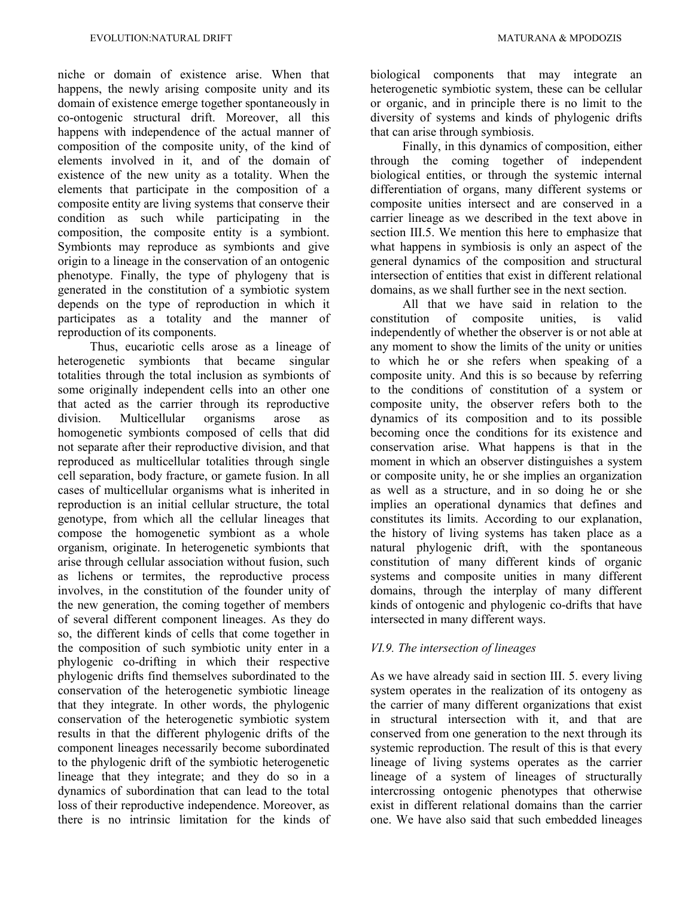niche or domain of existence arise. When that happens, the newly arising composite unity and its domain of existence emerge together spontaneously in co-ontogenic structural drift. Moreover, all this happens with independence of the actual manner of composition of the composite unity, of the kind of elements involved in it, and of the domain of existence of the new unity as a totality. When the elements that participate in the composition of a composite entity are living systems that conserve their condition as such while participating in the composition, the composite entity is a symbiont. Symbionts may reproduce as symbionts and give origin to a lineage in the conservation of an ontogenic phenotype. Finally, the type of phylogeny that is generated in the constitution of a symbiotic system depends on the type of reproduction in which it participates as a totality and the manner of reproduction of its components.

Thus, eucariotic cells arose as a lineage of heterogenetic symbionts that became singular totalities through the total inclusion as symbionts of some originally independent cells into an other one that acted as the carrier through its reproductive division. Multicellular organisms arose as homogenetic symbionts composed of cells that did not separate after their reproductive division, and that reproduced as multicellular totalities through single cell separation, body fracture, or gamete fusion. In all cases of multicellular organisms what is inherited in reproduction is an initial cellular structure, the total genotype, from which all the cellular lineages that compose the homogenetic symbiont as a whole organism, originate. In heterogenetic symbionts that arise through cellular association without fusion, such as lichens or termites, the reproductive process involves, in the constitution of the founder unity of the new generation, the coming together of members of several different component lineages. As they do so, the different kinds of cells that come together in the composition of such symbiotic unity enter in a phylogenic co-drifting in which their respective phylogenic drifts find themselves subordinated to the conservation of the heterogenetic symbiotic lineage that they integrate. In other words, the phylogenic conservation of the heterogenetic symbiotic system results in that the different phylogenic drifts of the component lineages necessarily become subordinated to the phylogenic drift of the symbiotic heterogenetic lineage that they integrate; and they do so in a dynamics of subordination that can lead to the total loss of their reproductive independence. Moreover, as there is no intrinsic limitation for the kinds of biological components that may integrate an heterogenetic symbiotic system, these can be cellular or organic, and in principle there is no limit to the diversity of systems and kinds of phylogenic drifts that can arise through symbiosis.

Finally, in this dynamics of composition, either through the coming together of independent biological entities, or through the systemic internal differentiation of organs, many different systems or composite unities intersect and are conserved in a carrier lineage as we described in the text above in section III.5. We mention this here to emphasize that what happens in symbiosis is only an aspect of the general dynamics of the composition and structural intersection of entities that exist in different relational domains, as we shall further see in the next section.

All that we have said in relation to the constitution of composite unities, is valid independently of whether the observer is or not able at any moment to show the limits of the unity or unities to which he or she refers when speaking of a composite unity. And this is so because by referring to the conditions of constitution of a system or composite unity, the observer refers both to the dynamics of its composition and to its possible becoming once the conditions for its existence and conservation arise. What happens is that in the moment in which an observer distinguishes a system or composite unity, he or she implies an organization as well as a structure, and in so doing he or she implies an operational dynamics that defines and constitutes its limits. According to our explanation, the history of living systems has taken place as a natural phylogenic drift, with the spontaneous constitution of many different kinds of organic systems and composite unities in many different domains, through the interplay of many different kinds of ontogenic and phylogenic co-drifts that have intersected in many different ways.

# *VI.9. The intersection of lineages*

As we have already said in section III. 5. every living system operates in the realization of its ontogeny as the carrier of many different organizations that exist in structural intersection with it, and that are conserved from one generation to the next through its systemic reproduction. The result of this is that every lineage of living systems operates as the carrier lineage of a system of lineages of structurally intercrossing ontogenic phenotypes that otherwise exist in different relational domains than the carrier one. We have also said that such embedded lineages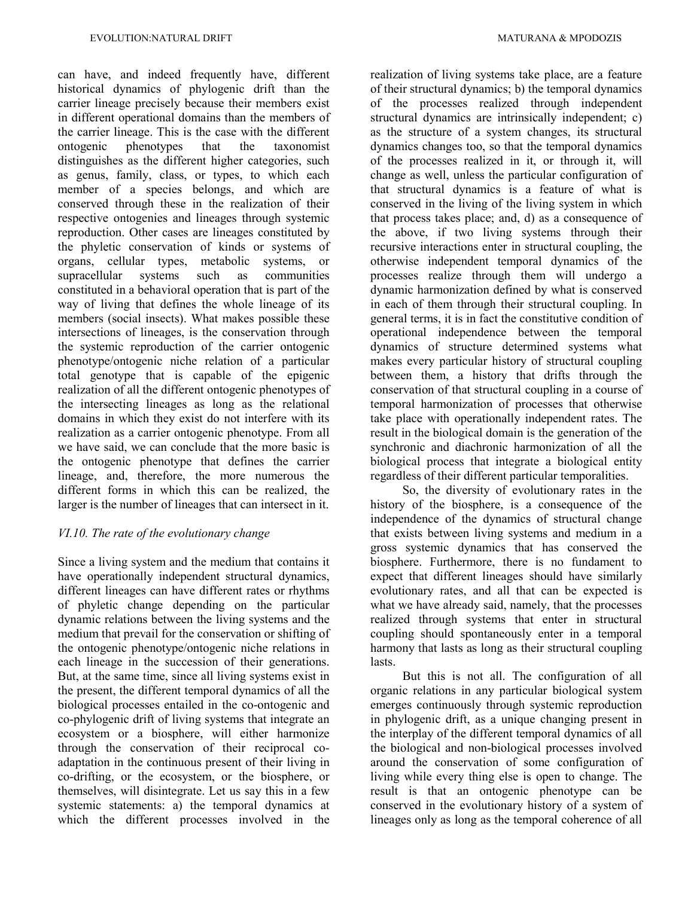can have, and indeed frequently have, different historical dynamics of phylogenic drift than the carrier lineage precisely because their members exist in different operational domains than the members of the carrier lineage. This is the case with the different ontogenic phenotypes that the taxonomist distinguishes as the different higher categories, such as genus, family, class, or types, to which each member of a species belongs, and which are conserved through these in the realization of their respective ontogenies and lineages through systemic reproduction. Other cases are lineages constituted by the phyletic conservation of kinds or systems of organs, cellular types, metabolic systems, or supracellular systems such as communities constituted in a behavioral operation that is part of the way of living that defines the whole lineage of its members (social insects). What makes possible these intersections of lineages, is the conservation through the systemic reproduction of the carrier ontogenic phenotype/ontogenic niche relation of a particular total genotype that is capable of the epigenic realization of all the different ontogenic phenotypes of the intersecting lineages as long as the relational domains in which they exist do not interfere with its realization as a carrier ontogenic phenotype. From all we have said, we can conclude that the more basic is the ontogenic phenotype that defines the carrier lineage, and, therefore, the more numerous the different forms in which this can be realized, the larger is the number of lineages that can intersect in it.

### *VI.10. The rate of the evolutionary change*

Since a living system and the medium that contains it have operationally independent structural dynamics, different lineages can have different rates or rhythms of phyletic change depending on the particular dynamic relations between the living systems and the medium that prevail for the conservation or shifting of the ontogenic phenotype/ontogenic niche relations in each lineage in the succession of their generations. But, at the same time, since all living systems exist in the present, the different temporal dynamics of all the biological processes entailed in the co-ontogenic and co-phylogenic drift of living systems that integrate an ecosystem or a biosphere, will either harmonize through the conservation of their reciprocal coadaptation in the continuous present of their living in co-drifting, or the ecosystem, or the biosphere, or themselves, will disintegrate. Let us say this in a few systemic statements: a) the temporal dynamics at which the different processes involved in the

realization of living systems take place, are a feature of their structural dynamics; b) the temporal dynamics of the processes realized through independent structural dynamics are intrinsically independent; c) as the structure of a system changes, its structural dynamics changes too, so that the temporal dynamics of the processes realized in it, or through it, will change as well, unless the particular configuration of that structural dynamics is a feature of what is conserved in the living of the living system in which that process takes place; and, d) as a consequence of the above, if two living systems through their recursive interactions enter in structural coupling, the otherwise independent temporal dynamics of the processes realize through them will undergo a dynamic harmonization defined by what is conserved in each of them through their structural coupling. In general terms, it is in fact the constitutive condition of operational independence between the temporal dynamics of structure determined systems what makes every particular history of structural coupling between them, a history that drifts through the conservation of that structural coupling in a course of temporal harmonization of processes that otherwise take place with operationally independent rates. The result in the biological domain is the generation of the synchronic and diachronic harmonization of all the biological process that integrate a biological entity regardless of their different particular temporalities.

So, the diversity of evolutionary rates in the history of the biosphere, is a consequence of the independence of the dynamics of structural change that exists between living systems and medium in a gross systemic dynamics that has conserved the biosphere. Furthermore, there is no fundament to expect that different lineages should have similarly evolutionary rates, and all that can be expected is what we have already said, namely, that the processes realized through systems that enter in structural coupling should spontaneously enter in a temporal harmony that lasts as long as their structural coupling lasts.

But this is not all. The configuration of all organic relations in any particular biological system emerges continuously through systemic reproduction in phylogenic drift, as a unique changing present in the interplay of the different temporal dynamics of all the biological and non-biological processes involved around the conservation of some configuration of living while every thing else is open to change. The result is that an ontogenic phenotype can be conserved in the evolutionary history of a system of lineages only as long as the temporal coherence of all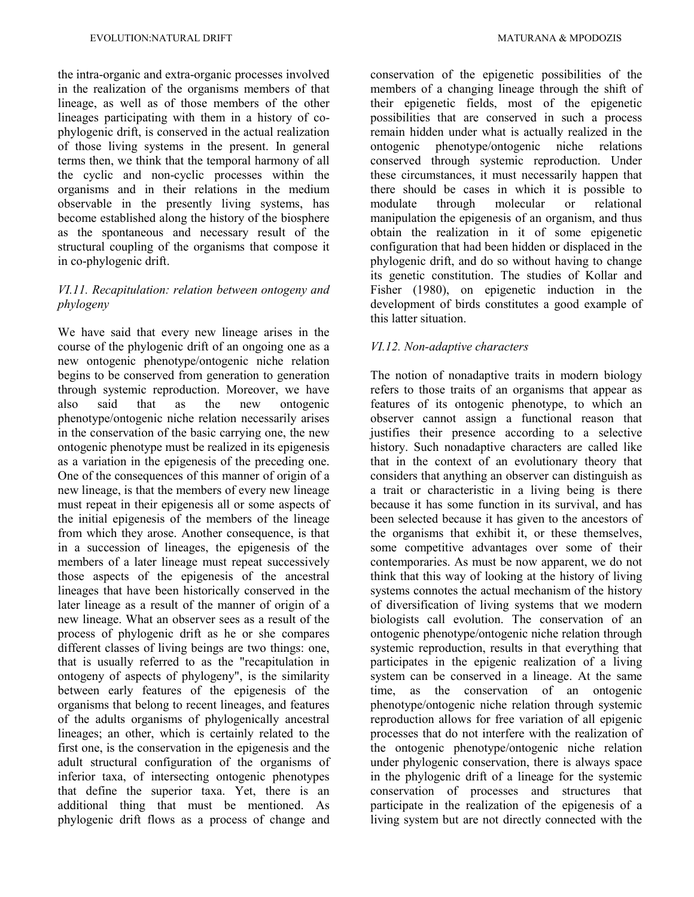the intra-organic and extra-organic processes involved in the realization of the organisms members of that lineage, as well as of those members of the other lineages participating with them in a history of cophylogenic drift, is conserved in the actual realization of those living systems in the present. In general terms then, we think that the temporal harmony of all the cyclic and non-cyclic processes within the organisms and in their relations in the medium observable in the presently living systems, has become established along the history of the biosphere as the spontaneous and necessary result of the structural coupling of the organisms that compose it in co-phylogenic drift.

# *VI.11. Recapitulation: relation between ontogeny and phylogeny*

We have said that every new lineage arises in the course of the phylogenic drift of an ongoing one as a new ontogenic phenotype/ontogenic niche relation begins to be conserved from generation to generation through systemic reproduction. Moreover, we have also said that as the new ontogenic phenotype/ontogenic niche relation necessarily arises in the conservation of the basic carrying one, the new ontogenic phenotype must be realized in its epigenesis as a variation in the epigenesis of the preceding one. One of the consequences of this manner of origin of a new lineage, is that the members of every new lineage must repeat in their epigenesis all or some aspects of the initial epigenesis of the members of the lineage from which they arose. Another consequence, is that in a succession of lineages, the epigenesis of the members of a later lineage must repeat successively those aspects of the epigenesis of the ancestral lineages that have been historically conserved in the later lineage as a result of the manner of origin of a new lineage. What an observer sees as a result of the process of phylogenic drift as he or she compares different classes of living beings are two things: one, that is usually referred to as the "recapitulation in ontogeny of aspects of phylogeny", is the similarity between early features of the epigenesis of the organisms that belong to recent lineages, and features of the adults organisms of phylogenically ancestral lineages; an other, which is certainly related to the first one, is the conservation in the epigenesis and the adult structural configuration of the organisms of inferior taxa, of intersecting ontogenic phenotypes that define the superior taxa. Yet, there is an additional thing that must be mentioned. As phylogenic drift flows as a process of change and

conservation of the epigenetic possibilities of the members of a changing lineage through the shift of their epigenetic fields, most of the epigenetic possibilities that are conserved in such a process remain hidden under what is actually realized in the ontogenic phenotype/ontogenic niche relations conserved through systemic reproduction. Under these circumstances, it must necessarily happen that there should be cases in which it is possible to modulate through molecular or relational manipulation the epigenesis of an organism, and thus obtain the realization in it of some epigenetic configuration that had been hidden or displaced in the phylogenic drift, and do so without having to change its genetic constitution. The studies of Kollar and Fisher (1980), on epigenetic induction in the development of birds constitutes a good example of this latter situation.

### *VI.12. Non-adaptive characters*

The notion of nonadaptive traits in modern biology refers to those traits of an organisms that appear as features of its ontogenic phenotype, to which an observer cannot assign a functional reason that justifies their presence according to a selective history. Such nonadaptive characters are called like that in the context of an evolutionary theory that considers that anything an observer can distinguish as a trait or characteristic in a living being is there because it has some function in its survival, and has been selected because it has given to the ancestors of the organisms that exhibit it, or these themselves, some competitive advantages over some of their contemporaries. As must be now apparent, we do not think that this way of looking at the history of living systems connotes the actual mechanism of the history of diversification of living systems that we modern biologists call evolution. The conservation of an ontogenic phenotype/ontogenic niche relation through systemic reproduction, results in that everything that participates in the epigenic realization of a living system can be conserved in a lineage. At the same time, as the conservation of an ontogenic phenotype/ontogenic niche relation through systemic reproduction allows for free variation of all epigenic processes that do not interfere with the realization of the ontogenic phenotype/ontogenic niche relation under phylogenic conservation, there is always space in the phylogenic drift of a lineage for the systemic conservation of processes and structures that participate in the realization of the epigenesis of a living system but are not directly connected with the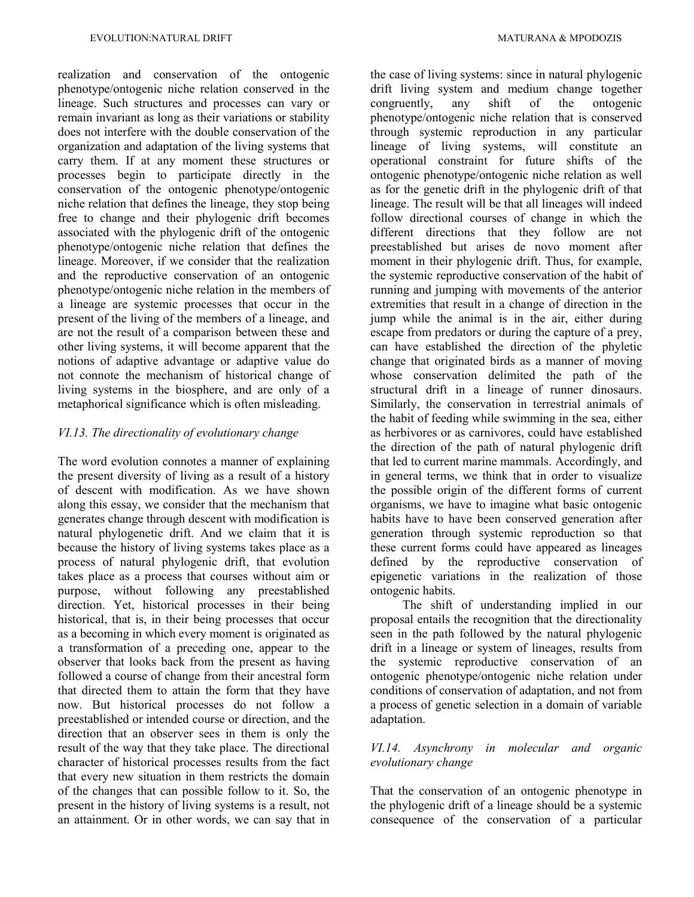realization and conservation of the ontogenic phenotype/ontogenic niche relation conserved in the lineage. Such structures and processes can vary or remain invariant as long as their variations or stability does not interfere with the double conservation of the organization and adaptation of the living systems that carry them. If at any moment these structures or processes begin to participate directly in the conservation of the ontogenic phenotype/ontogenic niche relation that defines the lineage, they stop being free to change and their phylogenic drift becomes associated with the phylogenic drift of the ontogenic phenotype/ontogenic niche relation that defines the lineage. Moreover, if we consider that the realization and the reproductive conservation of an ontogenic phenotype/ontogenic niche relation in the members of a lineage are systemic processes that occur in the present of the living of the members of a lineage, and are not the result of a comparison between these and other living systems, it will become apparent that the notions of adaptive advantage or adaptive value do not connote the mechanism of historical change of living systems in the biosphere, and are only of a metaphorical significance which is often misleading.

#### *VI.13. The directionality of evolutionary change*

The word evolution connotes a manner of explaining the present diversity of living as a result of a history of descent with modification. As we have shown along this essay, we consider that the mechanism that generates change through descent with modification is natural phylogenetic drift. And we claim that it is because the history of living systems takes place as a process of natural phylogenic drift, that evolution takes place as a process that courses without aim or purpose, without following any preestablished direction. Yet, historical processes in their being historical, that is, in their being processes that occur as a becoming in which every moment is originated as a transformation of a preceding one, appear to the observer that looks back from the present as having followed a course of change from their ancestral form that directed them to attain the form that they have now. But historical processes do not follow a preestablished or intended course or direction, and the direction that an observer sees in them is only the result of the way that they take place. The directional character of historical processes results from the fact that every new situation in them restricts the domain of the changes that can possible follow to it. So, the present in the history of living systems is a result, not an attainment. Or in other words, we can say that in

the case of living systems: since in natural phylogenic drift living system and medium change together congruently, any shift of the ontogenic phenotype/ontogenic niche relation that is conserved through systemic reproduction in any particular lineage of living systems, will constitute an operational constraint for future shifts of the ontogenic phenotype/ontogenic niche relation as well as for the genetic drift in the phylogenic drift of that lineage. The result will be that all lineages will indeed follow directional courses of change in which the different directions that they follow are not preestablished but arises de novo moment after moment in their phylogenic drift. Thus, for example, the systemic reproductive conservation of the habit of running and jumping with movements of the anterior extremities that result in a change of direction in the jump while the animal is in the air, either during escape from predators or during the capture of a prey, can have established the direction of the phyletic change that originated birds as a manner of moving whose conservation delimited the path of the structural drift in a lineage of runner dinosaurs. Similarly, the conservation in terrestrial animals of the habit of feeding while swimming in the sea, either as herbivores or as carnivores, could have established the direction of the path of natural phylogenic drift that led to current marine mammals. Accordingly, and in general terms, we think that in order to visualize the possible origin of the different forms of current organisms, we have to imagine what basic ontogenic habits have to have been conserved generation after generation through systemic reproduction so that these current forms could have appeared as lineages defined by the reproductive conservation of epigenetic variations in the realization of those ontogenic habits.

The shift of understanding implied in our proposal entails the recognition that the directionality seen in the path followed by the natural phylogenic drift in a lineage or system of lineages, results from the systemic reproductive conservation of an ontogenic phenotype/ontogenic niche relation under conditions of conservation of adaptation, and not from a process of genetic selection in a domain of variable adaptation.

# *VI.14. Asynchrony in molecular and organic evolutionary change*

That the conservation of an ontogenic phenotype in the phylogenic drift of a lineage should be a systemic consequence of the conservation of a particular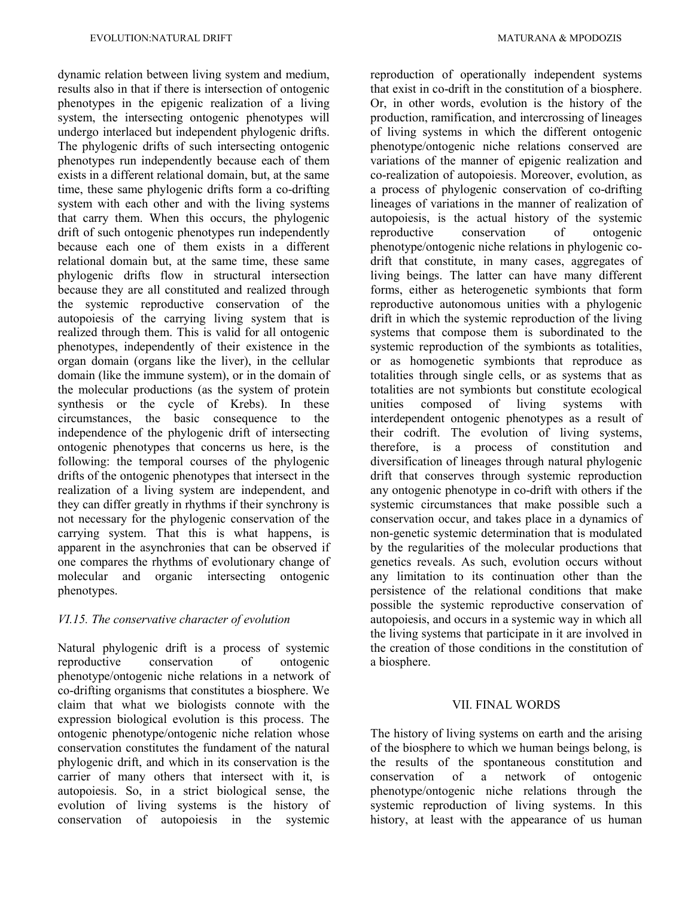dynamic relation between living system and medium, results also in that if there is intersection of ontogenic phenotypes in the epigenic realization of a living system, the intersecting ontogenic phenotypes will undergo interlaced but independent phylogenic drifts. The phylogenic drifts of such intersecting ontogenic phenotypes run independently because each of them exists in a different relational domain, but, at the same time, these same phylogenic drifts form a co-drifting system with each other and with the living systems that carry them. When this occurs, the phylogenic drift of such ontogenic phenotypes run independently because each one of them exists in a different relational domain but, at the same time, these same phylogenic drifts flow in structural intersection because they are all constituted and realized through the systemic reproductive conservation of the autopoiesis of the carrying living system that is realized through them. This is valid for all ontogenic phenotypes, independently of their existence in the organ domain (organs like the liver), in the cellular domain (like the immune system), or in the domain of the molecular productions (as the system of protein synthesis or the cycle of Krebs). In these circumstances, the basic consequence to the independence of the phylogenic drift of intersecting ontogenic phenotypes that concerns us here, is the following: the temporal courses of the phylogenic drifts of the ontogenic phenotypes that intersect in the realization of a living system are independent, and they can differ greatly in rhythms if their synchrony is not necessary for the phylogenic conservation of the carrying system. That this is what happens, is apparent in the asynchronies that can be observed if one compares the rhythms of evolutionary change of molecular and organic intersecting ontogenic phenotypes.

# *VI.15. The conservative character of evolution*

Natural phylogenic drift is a process of systemic reproductive conservation of ontogenic phenotype/ontogenic niche relations in a network of co-drifting organisms that constitutes a biosphere. We claim that what we biologists connote with the expression biological evolution is this process. The ontogenic phenotype/ontogenic niche relation whose conservation constitutes the fundament of the natural phylogenic drift, and which in its conservation is the carrier of many others that intersect with it, is autopoiesis. So, in a strict biological sense, the evolution of living systems is the history of conservation of autopoiesis in the systemic

reproduction of operationally independent systems that exist in co-drift in the constitution of a biosphere. Or, in other words, evolution is the history of the production, ramification, and intercrossing of lineages of living systems in which the different ontogenic phenotype/ontogenic niche relations conserved are variations of the manner of epigenic realization and co-realization of autopoiesis. Moreover, evolution, as a process of phylogenic conservation of co-drifting lineages of variations in the manner of realization of autopoiesis, is the actual history of the systemic reproductive conservation of ontogenic phenotype/ontogenic niche relations in phylogenic codrift that constitute, in many cases, aggregates of living beings. The latter can have many different forms, either as heterogenetic symbionts that form reproductive autonomous unities with a phylogenic drift in which the systemic reproduction of the living systems that compose them is subordinated to the systemic reproduction of the symbionts as totalities, or as homogenetic symbionts that reproduce as totalities through single cells, or as systems that as totalities are not symbionts but constitute ecological unities composed of living systems with interdependent ontogenic phenotypes as a result of their codrift. The evolution of living systems, therefore, is a process of constitution and diversification of lineages through natural phylogenic drift that conserves through systemic reproduction any ontogenic phenotype in co-drift with others if the systemic circumstances that make possible such a conservation occur, and takes place in a dynamics of non-genetic systemic determination that is modulated by the regularities of the molecular productions that genetics reveals. As such, evolution occurs without any limitation to its continuation other than the persistence of the relational conditions that make possible the systemic reproductive conservation of autopoiesis, and occurs in a systemic way in which all the living systems that participate in it are involved in the creation of those conditions in the constitution of a biosphere.

# VII. FINAL WORDS

The history of living systems on earth and the arising of the biosphere to which we human beings belong, is the results of the spontaneous constitution and conservation of a network of ontogenic phenotype/ontogenic niche relations through the systemic reproduction of living systems. In this history, at least with the appearance of us human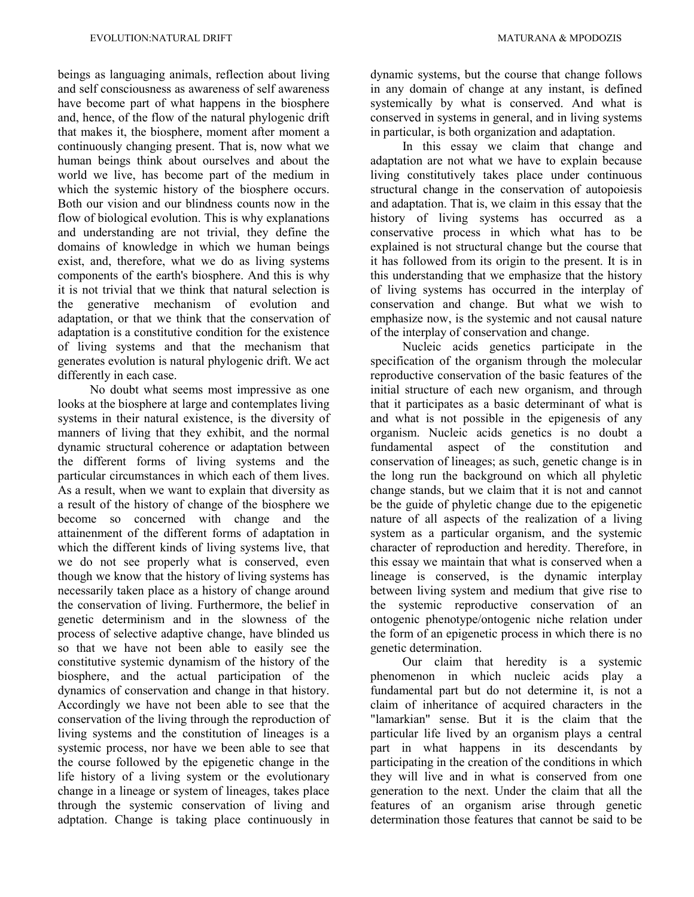beings as languaging animals, reflection about living and self consciousness as awareness of self awareness have become part of what happens in the biosphere and, hence, of the flow of the natural phylogenic drift that makes it, the biosphere, moment after moment a continuously changing present. That is, now what we human beings think about ourselves and about the world we live, has become part of the medium in which the systemic history of the biosphere occurs. Both our vision and our blindness counts now in the flow of biological evolution. This is why explanations and understanding are not trivial, they define the domains of knowledge in which we human beings exist, and, therefore, what we do as living systems components of the earth's biosphere. And this is why it is not trivial that we think that natural selection is the generative mechanism of evolution and adaptation, or that we think that the conservation of adaptation is a constitutive condition for the existence of living systems and that the mechanism that generates evolution is natural phylogenic drift. We act differently in each case.

No doubt what seems most impressive as one looks at the biosphere at large and contemplates living systems in their natural existence, is the diversity of manners of living that they exhibit, and the normal dynamic structural coherence or adaptation between the different forms of living systems and the particular circumstances in which each of them lives. As a result, when we want to explain that diversity as a result of the history of change of the biosphere we become so concerned with change and the attainenment of the different forms of adaptation in which the different kinds of living systems live, that we do not see properly what is conserved, even though we know that the history of living systems has necessarily taken place as a history of change around the conservation of living. Furthermore, the belief in genetic determinism and in the slowness of the process of selective adaptive change, have blinded us so that we have not been able to easily see the constitutive systemic dynamism of the history of the biosphere, and the actual participation of the dynamics of conservation and change in that history. Accordingly we have not been able to see that the conservation of the living through the reproduction of living systems and the constitution of lineages is a systemic process, nor have we been able to see that the course followed by the epigenetic change in the life history of a living system or the evolutionary change in a lineage or system of lineages, takes place through the systemic conservation of living and adptation. Change is taking place continuously in

dynamic systems, but the course that change follows in any domain of change at any instant, is defined systemically by what is conserved. And what is conserved in systems in general, and in living systems in particular, is both organization and adaptation.

In this essay we claim that change and adaptation are not what we have to explain because living constitutively takes place under continuous structural change in the conservation of autopoiesis and adaptation. That is, we claim in this essay that the history of living systems has occurred as a conservative process in which what has to be explained is not structural change but the course that it has followed from its origin to the present. It is in this understanding that we emphasize that the history of living systems has occurred in the interplay of conservation and change. But what we wish to emphasize now, is the systemic and not causal nature of the interplay of conservation and change.

Nucleic acids genetics participate in the specification of the organism through the molecular reproductive conservation of the basic features of the initial structure of each new organism, and through that it participates as a basic determinant of what is and what is not possible in the epigenesis of any organism. Nucleic acids genetics is no doubt a fundamental aspect of the constitution and conservation of lineages; as such, genetic change is in the long run the background on which all phyletic change stands, but we claim that it is not and cannot be the guide of phyletic change due to the epigenetic nature of all aspects of the realization of a living system as a particular organism, and the systemic character of reproduction and heredity. Therefore, in this essay we maintain that what is conserved when a lineage is conserved, is the dynamic interplay between living system and medium that give rise to the systemic reproductive conservation of an ontogenic phenotype/ontogenic niche relation under the form of an epigenetic process in which there is no genetic determination.

Our claim that heredity is a systemic phenomenon in which nucleic acids play a fundamental part but do not determine it, is not a claim of inheritance of acquired characters in the "lamarkian" sense. But it is the claim that the particular life lived by an organism plays a central part in what happens in its descendants by participating in the creation of the conditions in which they will live and in what is conserved from one generation to the next. Under the claim that all the features of an organism arise through genetic determination those features that cannot be said to be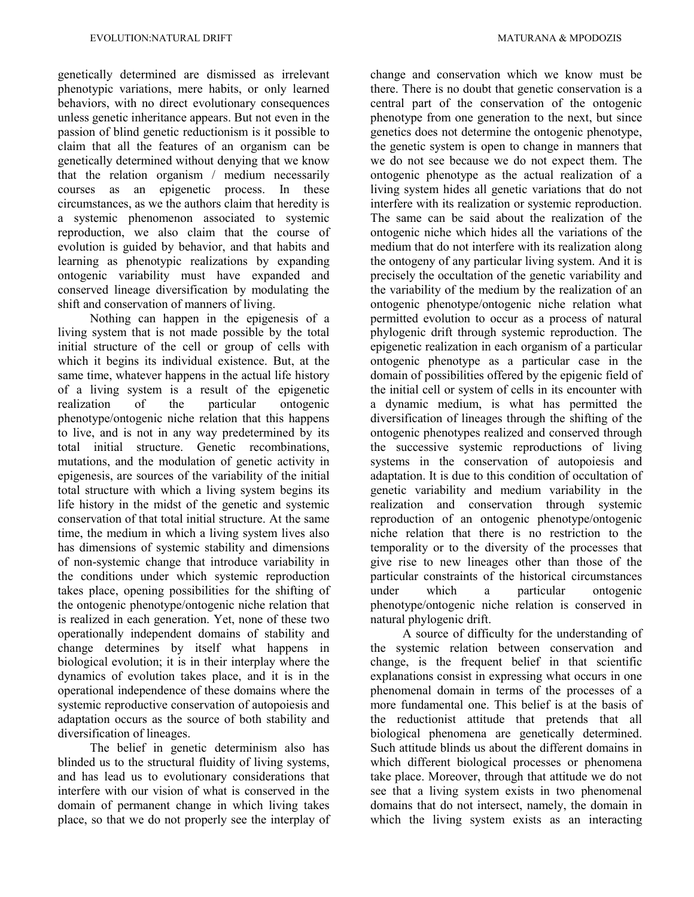genetically determined are dismissed as irrelevant phenotypic variations, mere habits, or only learned behaviors, with no direct evolutionary consequences unless genetic inheritance appears. But not even in the passion of blind genetic reductionism is it possible to claim that all the features of an organism can be genetically determined without denying that we know that the relation organism / medium necessarily courses as an epigenetic process. In these circumstances, as we the authors claim that heredity is a systemic phenomenon associated to systemic reproduction, we also claim that the course of evolution is guided by behavior, and that habits and learning as phenotypic realizations by expanding ontogenic variability must have expanded and conserved lineage diversification by modulating the shift and conservation of manners of living.

Nothing can happen in the epigenesis of a living system that is not made possible by the total initial structure of the cell or group of cells with which it begins its individual existence. But, at the same time, whatever happens in the actual life history of a living system is a result of the epigenetic realization of the particular ontogenic phenotype/ontogenic niche relation that this happens to live, and is not in any way predetermined by its total initial structure. Genetic recombinations, mutations, and the modulation of genetic activity in epigenesis, are sources of the variability of the initial total structure with which a living system begins its life history in the midst of the genetic and systemic conservation of that total initial structure. At the same time, the medium in which a living system lives also has dimensions of systemic stability and dimensions of non-systemic change that introduce variability in the conditions under which systemic reproduction takes place, opening possibilities for the shifting of the ontogenic phenotype/ontogenic niche relation that is realized in each generation. Yet, none of these two operationally independent domains of stability and change determines by itself what happens in biological evolution; it is in their interplay where the dynamics of evolution takes place, and it is in the operational independence of these domains where the systemic reproductive conservation of autopoiesis and adaptation occurs as the source of both stability and diversification of lineages.

The belief in genetic determinism also has blinded us to the structural fluidity of living systems, and has lead us to evolutionary considerations that interfere with our vision of what is conserved in the domain of permanent change in which living takes place, so that we do not properly see the interplay of change and conservation which we know must be there. There is no doubt that genetic conservation is a central part of the conservation of the ontogenic phenotype from one generation to the next, but since genetics does not determine the ontogenic phenotype, the genetic system is open to change in manners that we do not see because we do not expect them. The ontogenic phenotype as the actual realization of a living system hides all genetic variations that do not interfere with its realization or systemic reproduction. The same can be said about the realization of the ontogenic niche which hides all the variations of the medium that do not interfere with its realization along the ontogeny of any particular living system. And it is precisely the occultation of the genetic variability and the variability of the medium by the realization of an ontogenic phenotype/ontogenic niche relation what permitted evolution to occur as a process of natural phylogenic drift through systemic reproduction. The epigenetic realization in each organism of a particular ontogenic phenotype as a particular case in the domain of possibilities offered by the epigenic field of the initial cell or system of cells in its encounter with a dynamic medium, is what has permitted the diversification of lineages through the shifting of the ontogenic phenotypes realized and conserved through the successive systemic reproductions of living systems in the conservation of autopoiesis and adaptation. It is due to this condition of occultation of genetic variability and medium variability in the realization and conservation through systemic reproduction of an ontogenic phenotype/ontogenic niche relation that there is no restriction to the temporality or to the diversity of the processes that give rise to new lineages other than those of the particular constraints of the historical circumstances under which a particular ontogenic phenotype/ontogenic niche relation is conserved in natural phylogenic drift.

A source of difficulty for the understanding of the systemic relation between conservation and change, is the frequent belief in that scientific explanations consist in expressing what occurs in one phenomenal domain in terms of the processes of a more fundamental one. This belief is at the basis of the reductionist attitude that pretends that all biological phenomena are genetically determined. Such attitude blinds us about the different domains in which different biological processes or phenomena take place. Moreover, through that attitude we do not see that a living system exists in two phenomenal domains that do not intersect, namely, the domain in which the living system exists as an interacting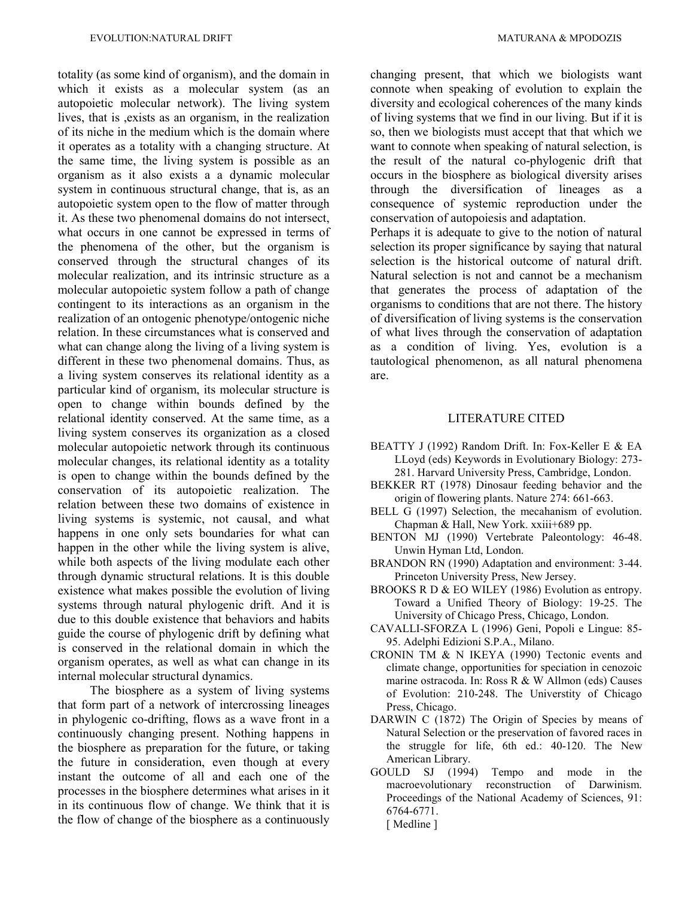totality (as some kind of organism), and the domain in which it exists as a molecular system (as an autopoietic molecular network). The living system lives, that is ,exists as an organism, in the realization of its niche in the medium which is the domain where it operates as a totality with a changing structure. At the same time, the living system is possible as an organism as it also exists a a dynamic molecular system in continuous structural change, that is, as an autopoietic system open to the flow of matter through it. As these two phenomenal domains do not intersect, what occurs in one cannot be expressed in terms of the phenomena of the other, but the organism is conserved through the structural changes of its molecular realization, and its intrinsic structure as a molecular autopoietic system follow a path of change contingent to its interactions as an organism in the realization of an ontogenic phenotype/ontogenic niche relation. In these circumstances what is conserved and what can change along the living of a living system is different in these two phenomenal domains. Thus, as a living system conserves its relational identity as a particular kind of organism, its molecular structure is open to change within bounds defined by the relational identity conserved. At the same time, as a living system conserves its organization as a closed molecular autopoietic network through its continuous molecular changes, its relational identity as a totality is open to change within the bounds defined by the conservation of its autopoietic realization. The relation between these two domains of existence in living systems is systemic, not causal, and what happens in one only sets boundaries for what can happen in the other while the living system is alive, while both aspects of the living modulate each other through dynamic structural relations. It is this double existence what makes possible the evolution of living systems through natural phylogenic drift. And it is due to this double existence that behaviors and habits guide the course of phylogenic drift by defining what is conserved in the relational domain in which the organism operates, as well as what can change in its internal molecular structural dynamics.

The biosphere as a system of living systems that form part of a network of intercrossing lineages in phylogenic co-drifting, flows as a wave front in a continuously changing present. Nothing happens in the biosphere as preparation for the future, or taking the future in consideration, even though at every instant the outcome of all and each one of the processes in the biosphere determines what arises in it in its continuous flow of change. We think that it is the flow of change of the biosphere as a continuously

changing present, that which we biologists want connote when speaking of evolution to explain the diversity and ecological coherences of the many kinds of living systems that we find in our living. But if it is so, then we biologists must accept that that which we want to connote when speaking of natural selection, is the result of the natural co-phylogenic drift that occurs in the biosphere as biological diversity arises through the diversification of lineages as a consequence of systemic reproduction under the conservation of autopoiesis and adaptation.

Perhaps it is adequate to give to the notion of natural selection its proper significance by saying that natural selection is the historical outcome of natural drift. Natural selection is not and cannot be a mechanism that generates the process of adaptation of the organisms to conditions that are not there. The history of diversification of living systems is the conservation of what lives through the conservation of adaptation as a condition of living. Yes, evolution is a tautological phenomenon, as all natural phenomena are.

#### LITERATURE CITED

- BEATTY J (1992) Random Drift. In: Fox-Keller E & EA LLoyd (eds) Keywords in Evolutionary Biology: 273- 281. Harvard University Press, Cambridge, London.
- BEKKER RT (1978) Dinosaur feeding behavior and the origin of flowering plants. Nature 274: 661-663.
- BELL G (1997) Selection, the mecahanism of evolution. Chapman & Hall, New York. xxiii+689 pp.
- BENTON MJ (1990) Vertebrate Paleontology: 46-48. Unwin Hyman Ltd, London.
- BRANDON RN (1990) Adaptation and environment: 3-44. Princeton University Press, New Jersey.
- BROOKS R D & EO WILEY (1986) Evolution as entropy. Toward a Unified Theory of Biology: 19-25. The University of Chicago Press, Chicago, London.
- CAVALLI-SFORZA L (1996) Geni, Popoli e Lingue: 85- 95. Adelphi Edizioni S.P.A., Milano.
- CRONIN TM & N IKEYA (1990) Tectonic events and climate change, opportunities for speciation in cenozoic marine ostracoda. In: Ross R & W Allmon (eds) Causes of Evolution: 210-248. The Universtity of Chicago Press, Chicago.
- DARWIN C (1872) The Origin of Species by means of Natural Selection or the preservation of favored races in the struggle for life, 6th ed.: 40-120. The New American Library.
- GOULD SJ (1994) Tempo and mode in the macroevolutionary reconstruction of Darwinism. Proceedings of the National Academy of Sciences, 91: 6764-6771.
	- [ Medline ]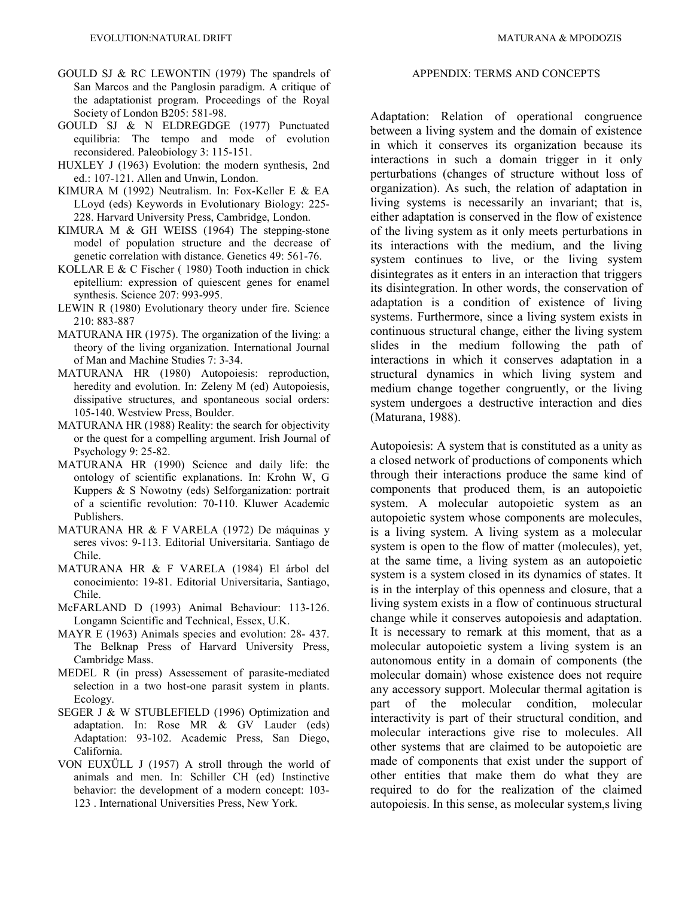- GOULD SJ & RC LEWONTIN (1979) The spandrels of San Marcos and the Panglosin paradigm. A critique of the adaptationist program. Proceedings of the Royal Society of London B205: 581-98.
- GOULD SJ & N ELDREGDGE (1977) Punctuated equilibria: The tempo and mode of evolution reconsidered. Paleobiology 3: 115-151.
- HUXLEY J (1963) Evolution: the modern synthesis, 2nd ed.: 107-121. Allen and Unwin, London.
- KIMURA M (1992) Neutralism. In: Fox-Keller E & EA LLoyd (eds) Keywords in Evolutionary Biology: 225- 228. Harvard University Press, Cambridge, London.
- KIMURA M & GH WEISS (1964) The stepping-stone model of population structure and the decrease of genetic correlation with distance. Genetics 49: 561-76.
- KOLLAR E & C Fischer ( 1980) Tooth induction in chick epitellium: expression of quiescent genes for enamel synthesis. Science 207: 993-995.
- LEWIN R (1980) Evolutionary theory under fire. Science 210: 883-887
- MATURANA HR (1975). The organization of the living: a theory of the living organization. International Journal of Man and Machine Studies 7: 3-34.
- MATURANA HR (1980) Autopoiesis: reproduction, heredity and evolution. In: Zeleny M (ed) Autopoiesis, dissipative structures, and spontaneous social orders: 105-140. Westview Press, Boulder.
- MATURANA HR (1988) Reality: the search for objectivity or the quest for a compelling argument. Irish Journal of Psychology 9: 25-82.
- MATURANA HR (1990) Science and daily life: the ontology of scientific explanations. In: Krohn W, G Kuppers & S Nowotny (eds) Selforganization: portrait of a scientific revolution: 70-110. Kluwer Academic Publishers.
- MATURANA HR & F VARELA (1972) De máquinas y seres vivos: 9-113. Editorial Universitaria. Santiago de Chile.
- MATURANA HR & F VARELA (1984) El árbol del conocimiento: 19-81. Editorial Universitaria, Santiago, Chile.
- McFARLAND D (1993) Animal Behaviour: 113-126. Longamn Scientific and Technical, Essex, U.K.
- MAYR E (1963) Animals species and evolution: 28- 437. The Belknap Press of Harvard University Press, Cambridge Mass.
- MEDEL R (in press) Assessement of parasite-mediated selection in a two host-one parasit system in plants. Ecology.
- SEGER J & W STUBLEFIELD (1996) Optimization and adaptation. In: Rose MR & GV Lauder (eds) Adaptation: 93-102. Academic Press, San Diego, California.
- VON EUXÜLL J (1957) A stroll through the world of animals and men. In: Schiller CH (ed) Instinctive behavior: the development of a modern concept: 103- 123 . International Universities Press, New York.

#### APPENDIX: TERMS AND CONCEPTS

Adaptation: Relation of operational congruence between a living system and the domain of existence in which it conserves its organization because its interactions in such a domain trigger in it only perturbations (changes of structure without loss of organization). As such, the relation of adaptation in living systems is necessarily an invariant; that is, either adaptation is conserved in the flow of existence of the living system as it only meets perturbations in its interactions with the medium, and the living system continues to live, or the living system disintegrates as it enters in an interaction that triggers its disintegration. In other words, the conservation of adaptation is a condition of existence of living systems. Furthermore, since a living system exists in continuous structural change, either the living system slides in the medium following the path of interactions in which it conserves adaptation in a structural dynamics in which living system and medium change together congruently, or the living system undergoes a destructive interaction and dies (Maturana, 1988).

Autopoiesis: A system that is constituted as a unity as a closed network of productions of components which through their interactions produce the same kind of components that produced them, is an autopoietic system. A molecular autopoietic system as an autopoietic system whose components are molecules, is a living system. A living system as a molecular system is open to the flow of matter (molecules), yet, at the same time, a living system as an autopoietic system is a system closed in its dynamics of states. It is in the interplay of this openness and closure, that a living system exists in a flow of continuous structural change while it conserves autopoiesis and adaptation. It is necessary to remark at this moment, that as a molecular autopoietic system a living system is an autonomous entity in a domain of components (the molecular domain) whose existence does not require any accessory support. Molecular thermal agitation is part of the molecular condition, molecular interactivity is part of their structural condition, and molecular interactions give rise to molecules. All other systems that are claimed to be autopoietic are made of components that exist under the support of other entities that make them do what they are required to do for the realization of the claimed autopoiesis. In this sense, as molecular system,s living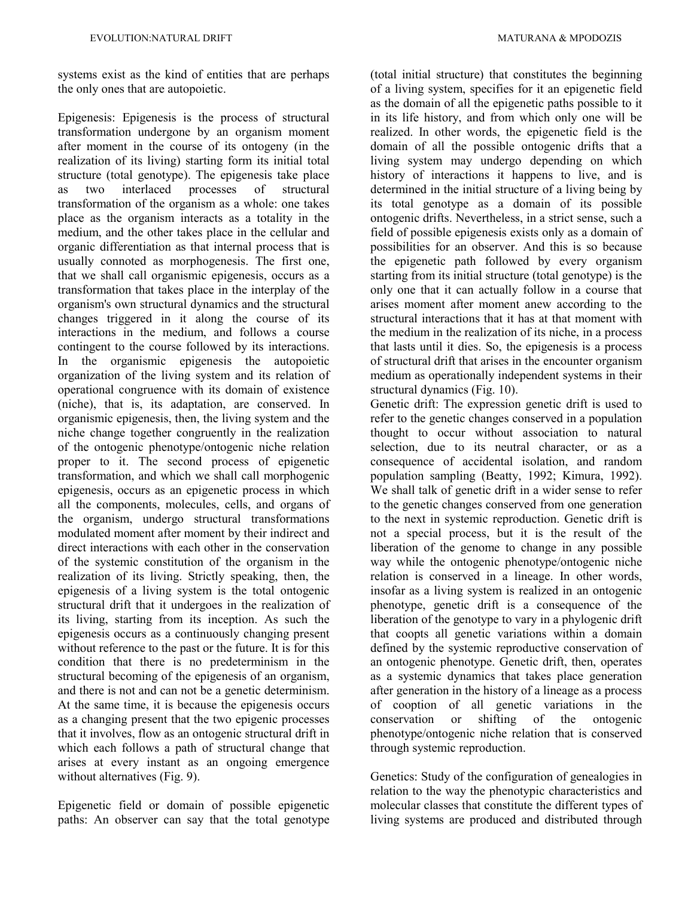systems exist as the kind of entities that are perhaps the only ones that are autopoietic.

Epigenesis: Epigenesis is the process of structural transformation undergone by an organism moment after moment in the course of its ontogeny (in the realization of its living) starting form its initial total structure (total genotype). The epigenesis take place as two interlaced processes of structural transformation of the organism as a whole: one takes place as the organism interacts as a totality in the medium, and the other takes place in the cellular and organic differentiation as that internal process that is usually connoted as morphogenesis. The first one, that we shall call organismic epigenesis, occurs as a transformation that takes place in the interplay of the organism's own structural dynamics and the structural changes triggered in it along the course of its interactions in the medium, and follows a course contingent to the course followed by its interactions. In the organismic epigenesis the autopoietic organization of the living system and its relation of operational congruence with its domain of existence (niche), that is, its adaptation, are conserved. In organismic epigenesis, then, the living system and the niche change together congruently in the realization of the ontogenic phenotype/ontogenic niche relation proper to it. The second process of epigenetic transformation, and which we shall call morphogenic epigenesis, occurs as an epigenetic process in which all the components, molecules, cells, and organs of the organism, undergo structural transformations modulated moment after moment by their indirect and direct interactions with each other in the conservation of the systemic constitution of the organism in the realization of its living. Strictly speaking, then, the epigenesis of a living system is the total ontogenic structural drift that it undergoes in the realization of its living, starting from its inception. As such the epigenesis occurs as a continuously changing present without reference to the past or the future. It is for this condition that there is no predeterminism in the structural becoming of the epigenesis of an organism, and there is not and can not be a genetic determinism. At the same time, it is because the epigenesis occurs as a changing present that the two epigenic processes that it involves, flow as an ontogenic structural drift in which each follows a path of structural change that arises at every instant as an ongoing emergence without alternatives (Fig. 9).

Epigenetic field or domain of possible epigenetic paths: An observer can say that the total genotype (total initial structure) that constitutes the beginning of a living system, specifies for it an epigenetic field as the domain of all the epigenetic paths possible to it in its life history, and from which only one will be realized. In other words, the epigenetic field is the domain of all the possible ontogenic drifts that a living system may undergo depending on which history of interactions it happens to live, and is determined in the initial structure of a living being by its total genotype as a domain of its possible ontogenic drifts. Nevertheless, in a strict sense, such a field of possible epigenesis exists only as a domain of possibilities for an observer. And this is so because the epigenetic path followed by every organism starting from its initial structure (total genotype) is the only one that it can actually follow in a course that arises moment after moment anew according to the structural interactions that it has at that moment with the medium in the realization of its niche, in a process that lasts until it dies. So, the epigenesis is a process of structural drift that arises in the encounter organism medium as operationally independent systems in their structural dynamics (Fig. 10).

Genetic drift: The expression genetic drift is used to refer to the genetic changes conserved in a population thought to occur without association to natural selection, due to its neutral character, or as a consequence of accidental isolation, and random population sampling (Beatty, 1992; Kimura, 1992). We shall talk of genetic drift in a wider sense to refer to the genetic changes conserved from one generation to the next in systemic reproduction. Genetic drift is not a special process, but it is the result of the liberation of the genome to change in any possible way while the ontogenic phenotype/ontogenic niche relation is conserved in a lineage. In other words, insofar as a living system is realized in an ontogenic phenotype, genetic drift is a consequence of the liberation of the genotype to vary in a phylogenic drift that coopts all genetic variations within a domain defined by the systemic reproductive conservation of an ontogenic phenotype. Genetic drift, then, operates as a systemic dynamics that takes place generation after generation in the history of a lineage as a process of cooption of all genetic variations in the conservation or shifting of the ontogenic phenotype/ontogenic niche relation that is conserved through systemic reproduction.

Genetics: Study of the configuration of genealogies in relation to the way the phenotypic characteristics and molecular classes that constitute the different types of living systems are produced and distributed through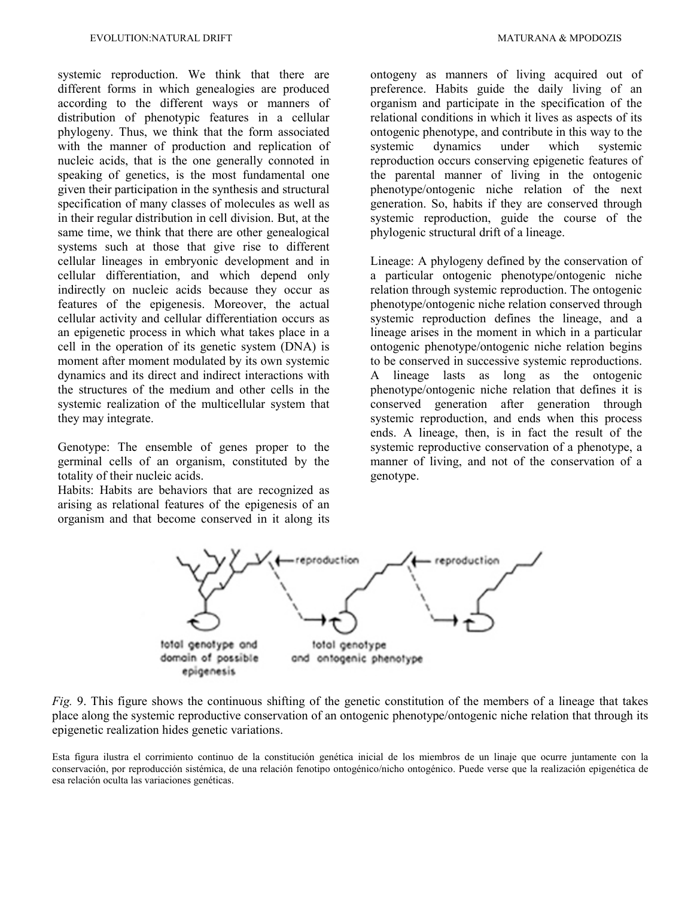systemic reproduction. We think that there are different forms in which genealogies are produced according to the different ways or manners of distribution of phenotypic features in a cellular phylogeny. Thus, we think that the form associated with the manner of production and replication of nucleic acids, that is the one generally connoted in speaking of genetics, is the most fundamental one given their participation in the synthesis and structural specification of many classes of molecules as well as in their regular distribution in cell division. But, at the same time, we think that there are other genealogical systems such at those that give rise to different cellular lineages in embryonic development and in cellular differentiation, and which depend only indirectly on nucleic acids because they occur as features of the epigenesis. Moreover, the actual cellular activity and cellular differentiation occurs as an epigenetic process in which what takes place in a cell in the operation of its genetic system (DNA) is moment after moment modulated by its own systemic dynamics and its direct and indirect interactions with the structures of the medium and other cells in the systemic realization of the multicellular system that they may integrate.

Genotype: The ensemble of genes proper to the germinal cells of an organism, constituted by the totality of their nucleic acids.

Habits: Habits are behaviors that are recognized as arising as relational features of the epigenesis of an organism and that become conserved in it along its

ontogeny as manners of living acquired out of preference. Habits guide the daily living of an organism and participate in the specification of the relational conditions in which it lives as aspects of its ontogenic phenotype, and contribute in this way to the systemic dynamics under which systemic reproduction occurs conserving epigenetic features of the parental manner of living in the ontogenic phenotype/ontogenic niche relation of the next generation. So, habits if they are conserved through systemic reproduction, guide the course of the phylogenic structural drift of a lineage.

Lineage: A phylogeny defined by the conservation of a particular ontogenic phenotype/ontogenic niche relation through systemic reproduction. The ontogenic phenotype/ontogenic niche relation conserved through systemic reproduction defines the lineage, and a lineage arises in the moment in which in a particular ontogenic phenotype/ontogenic niche relation begins to be conserved in successive systemic reproductions. A lineage lasts as long as the ontogenic phenotype/ontogenic niche relation that defines it is conserved generation after generation through systemic reproduction, and ends when this process ends. A lineage, then, is in fact the result of the systemic reproductive conservation of a phenotype, a manner of living, and not of the conservation of a genotype.



*Fig.* 9. This figure shows the continuous shifting of the genetic constitution of the members of a lineage that takes place along the systemic reproductive conservation of an ontogenic phenotype/ontogenic niche relation that through its epigenetic realization hides genetic variations.

Esta figura ilustra el corrimiento continuo de la constitución genética inicial de los miembros de un linaje que ocurre juntamente con la conservación, por reproducción sistémica, de una relación fenotipo ontogénico/nicho ontogénico. Puede verse que la realización epigenética de esa relación oculta las variaciones genéticas.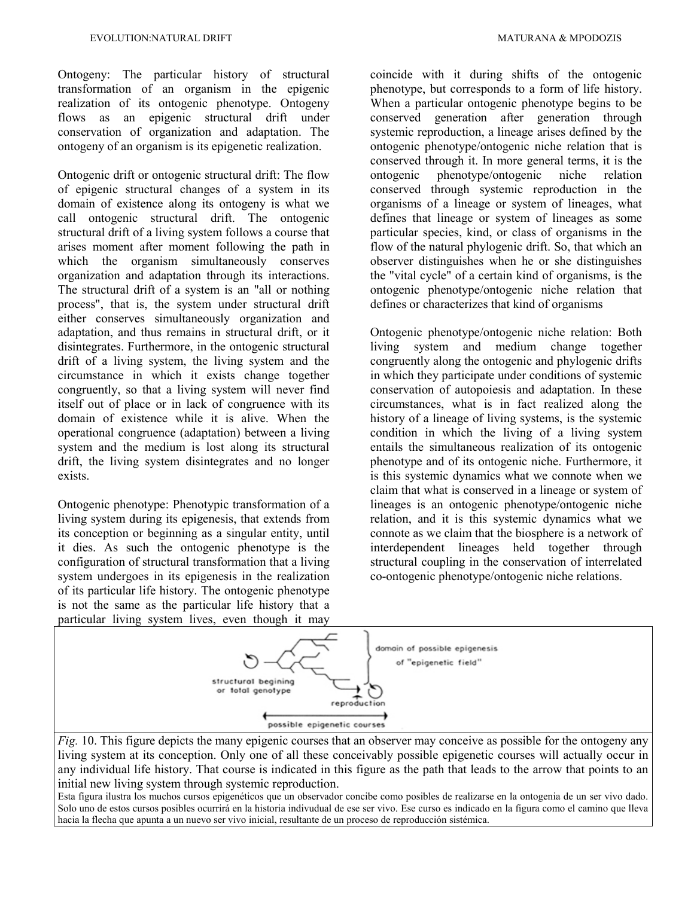Ontogeny: The particular history of structural transformation of an organism in the epigenic realization of its ontogenic phenotype. Ontogeny flows as an epigenic structural drift under conservation of organization and adaptation. The ontogeny of an organism is its epigenetic realization.

Ontogenic drift or ontogenic structural drift: The flow of epigenic structural changes of a system in its domain of existence along its ontogeny is what we call ontogenic structural drift. The ontogenic structural drift of a living system follows a course that arises moment after moment following the path in which the organism simultaneously conserves organization and adaptation through its interactions. The structural drift of a system is an "all or nothing process", that is, the system under structural drift either conserves simultaneously organization and adaptation, and thus remains in structural drift, or it disintegrates. Furthermore, in the ontogenic structural drift of a living system, the living system and the circumstance in which it exists change together congruently, so that a living system will never find itself out of place or in lack of congruence with its domain of existence while it is alive. When the operational congruence (adaptation) between a living system and the medium is lost along its structural drift, the living system disintegrates and no longer exists.

Ontogenic phenotype: Phenotypic transformation of a living system during its epigenesis, that extends from its conception or beginning as a singular entity, until it dies. As such the ontogenic phenotype is the configuration of structural transformation that a living system undergoes in its epigenesis in the realization of its particular life history. The ontogenic phenotype is not the same as the particular life history that a particular living system lives, even though it may

coincide with it during shifts of the ontogenic phenotype, but corresponds to a form of life history. When a particular ontogenic phenotype begins to be conserved generation after generation through systemic reproduction, a lineage arises defined by the ontogenic phenotype/ontogenic niche relation that is conserved through it. In more general terms, it is the ontogenic phenotype/ontogenic niche relation conserved through systemic reproduction in the organisms of a lineage or system of lineages, what defines that lineage or system of lineages as some particular species, kind, or class of organisms in the flow of the natural phylogenic drift. So, that which an observer distinguishes when he or she distinguishes the "vital cycle" of a certain kind of organisms, is the ontogenic phenotype/ontogenic niche relation that defines or characterizes that kind of organisms

Ontogenic phenotype/ontogenic niche relation: Both living system and medium change together congruently along the ontogenic and phylogenic drifts in which they participate under conditions of systemic conservation of autopoiesis and adaptation. In these circumstances, what is in fact realized along the history of a lineage of living systems, is the systemic condition in which the living of a living system entails the simultaneous realization of its ontogenic phenotype and of its ontogenic niche. Furthermore, it is this systemic dynamics what we connote when we claim that what is conserved in a lineage or system of lineages is an ontogenic phenotype/ontogenic niche relation, and it is this systemic dynamics what we connote as we claim that the biosphere is a network of interdependent lineages held together through structural coupling in the conservation of interrelated co-ontogenic phenotype/ontogenic niche relations.



*Fig.* 10. This figure depicts the many epigenic courses that an observer may conceive as possible for the ontogeny any living system at its conception. Only one of all these conceivably possible epigenetic courses will actually occur in any individual life history. That course is indicated in this figure as the path that leads to the arrow that points to an initial new living system through systemic reproduction.

Esta figura ilustra los muchos cursos epigenéticos que un observador concibe como posibles de realizarse en la ontogenia de un ser vivo dado. Solo uno de estos cursos posibles ocurrirá en la historia indivudual de ese ser vivo. Ese curso es indicado en la figura como el camino que lleva hacia la flecha que apunta a un nuevo ser vivo inicial, resultante de un proceso de reproducción sistémica.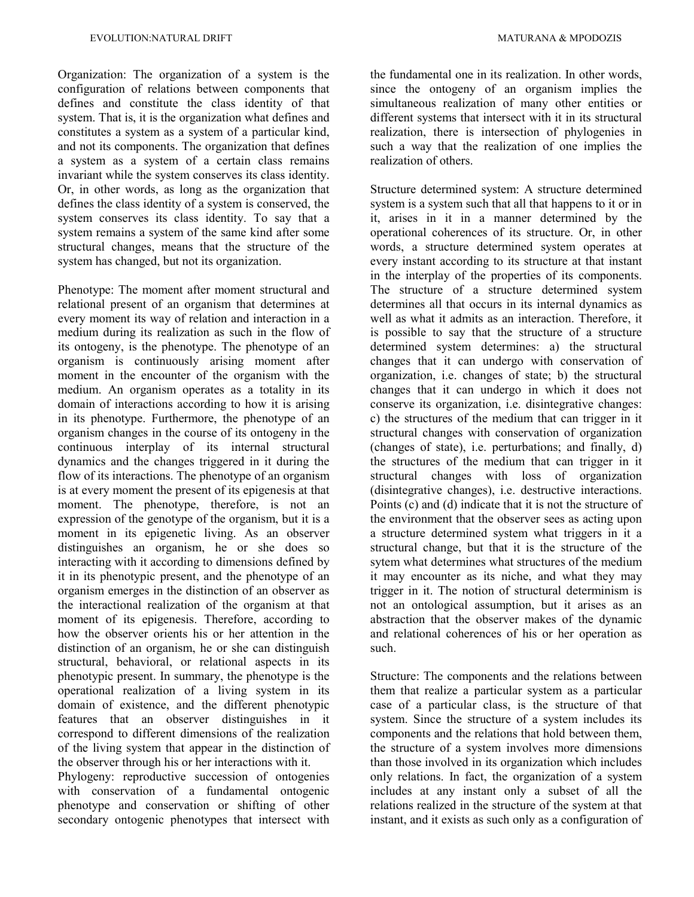Organization: The organization of a system is the configuration of relations between components that defines and constitute the class identity of that system. That is, it is the organization what defines and constitutes a system as a system of a particular kind, and not its components. The organization that defines a system as a system of a certain class remains invariant while the system conserves its class identity. Or, in other words, as long as the organization that defines the class identity of a system is conserved, the system conserves its class identity. To say that a system remains a system of the same kind after some structural changes, means that the structure of the system has changed, but not its organization.

Phenotype: The moment after moment structural and relational present of an organism that determines at every moment its way of relation and interaction in a medium during its realization as such in the flow of its ontogeny, is the phenotype. The phenotype of an organism is continuously arising moment after moment in the encounter of the organism with the medium. An organism operates as a totality in its domain of interactions according to how it is arising in its phenotype. Furthermore, the phenotype of an organism changes in the course of its ontogeny in the continuous interplay of its internal structural dynamics and the changes triggered in it during the flow of its interactions. The phenotype of an organism is at every moment the present of its epigenesis at that moment. The phenotype, therefore, is not an expression of the genotype of the organism, but it is a moment in its epigenetic living. As an observer distinguishes an organism, he or she does so interacting with it according to dimensions defined by it in its phenotypic present, and the phenotype of an organism emerges in the distinction of an observer as the interactional realization of the organism at that moment of its epigenesis. Therefore, according to how the observer orients his or her attention in the distinction of an organism, he or she can distinguish structural, behavioral, or relational aspects in its phenotypic present. In summary, the phenotype is the operational realization of a living system in its domain of existence, and the different phenotypic features that an observer distinguishes in it correspond to different dimensions of the realization of the living system that appear in the distinction of the observer through his or her interactions with it.

Phylogeny: reproductive succession of ontogenies with conservation of a fundamental ontogenic phenotype and conservation or shifting of other secondary ontogenic phenotypes that intersect with the fundamental one in its realization. In other words, since the ontogeny of an organism implies the simultaneous realization of many other entities or different systems that intersect with it in its structural realization, there is intersection of phylogenies in such a way that the realization of one implies the realization of others.

Structure determined system: A structure determined system is a system such that all that happens to it or in it, arises in it in a manner determined by the operational coherences of its structure. Or, in other words, a structure determined system operates at every instant according to its structure at that instant in the interplay of the properties of its components. The structure of a structure determined system determines all that occurs in its internal dynamics as well as what it admits as an interaction. Therefore, it is possible to say that the structure of a structure determined system determines: a) the structural changes that it can undergo with conservation of organization, i.e. changes of state; b) the structural changes that it can undergo in which it does not conserve its organization, i.e. disintegrative changes: c) the structures of the medium that can trigger in it structural changes with conservation of organization (changes of state), i.e. perturbations; and finally, d) the structures of the medium that can trigger in it structural changes with loss of organization (disintegrative changes), i.e. destructive interactions. Points (c) and (d) indicate that it is not the structure of the environment that the observer sees as acting upon a structure determined system what triggers in it a structural change, but that it is the structure of the sytem what determines what structures of the medium it may encounter as its niche, and what they may trigger in it. The notion of structural determinism is not an ontological assumption, but it arises as an abstraction that the observer makes of the dynamic and relational coherences of his or her operation as such.

Structure: The components and the relations between them that realize a particular system as a particular case of a particular class, is the structure of that system. Since the structure of a system includes its components and the relations that hold between them, the structure of a system involves more dimensions than those involved in its organization which includes only relations. In fact, the organization of a system includes at any instant only a subset of all the relations realized in the structure of the system at that instant, and it exists as such only as a configuration of